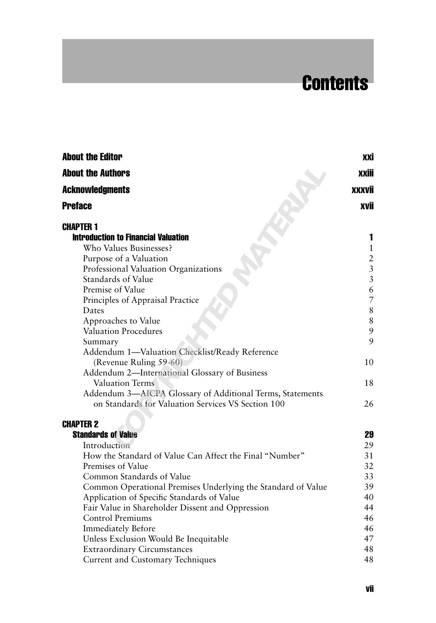## **Contents**

| <b>About the Editor</b>                                      | xxi                                        |
|--------------------------------------------------------------|--------------------------------------------|
| <b>About the Authors</b>                                     | xxiii                                      |
| <b>Acknowledgments</b>                                       | xxxvii                                     |
| <b>Preface</b>                                               | xvii                                       |
| <b>CHAPTER 1</b>                                             |                                            |
| <b>Introduction to Financial Valuation</b>                   | 1.                                         |
| Who Values Businesses?                                       | $\mathbf{1}$                               |
| Purpose of a Valuation                                       |                                            |
| Professional Valuation Organizations                         | $\begin{array}{c} 2 \\ 3 \\ 3 \end{array}$ |
| Standards of Value                                           |                                            |
| Premise of Value                                             | $\overline{6}$                             |
| Principles of Appraisal Practice                             | $\overline{7}$                             |
| Dates                                                        | $\,$ 8 $\,$                                |
| Approaches to Value                                          | $\,$ 8 $\,$                                |
| Valuation Procedures                                         | 9                                          |
| Summary                                                      | 9                                          |
| Addendum 1-Valuation Checklist/Ready Reference               |                                            |
| (Revenue Ruling 59-60)                                       | 10                                         |
| Addendum 2-International Glossary of Business                |                                            |
| Valuation Terms                                              | 18                                         |
| Addendum 3-AICPA Glossary of Additional Terms, Statements    |                                            |
| on Standards for Valuation Services VS Section 100           | 26                                         |
| <b>CHAPTER 2</b>                                             |                                            |
| <b>Standards of Value</b>                                    | 29                                         |
| Introduction                                                 | 29                                         |
| How the Standard of Value Can Affect the Final "Number"      | 31                                         |
| Premises of Value                                            | 32                                         |
| Common Standards of Value                                    | 33                                         |
| Common Operational Premises Underlying the Standard of Value | 39                                         |
| Application of Specific Standards of Value                   | 40                                         |
| Fair Value in Shareholder Dissent and Oppression             | 44                                         |
| <b>Control Premiums</b>                                      | 46                                         |
| <b>Immediately Before</b>                                    | 46                                         |
| Unless Exclusion Would Be Inequitable                        | 47                                         |
| <b>Extraordinary Circumstances</b>                           | 48                                         |
| <b>Current and Customary Techniques</b>                      | 48                                         |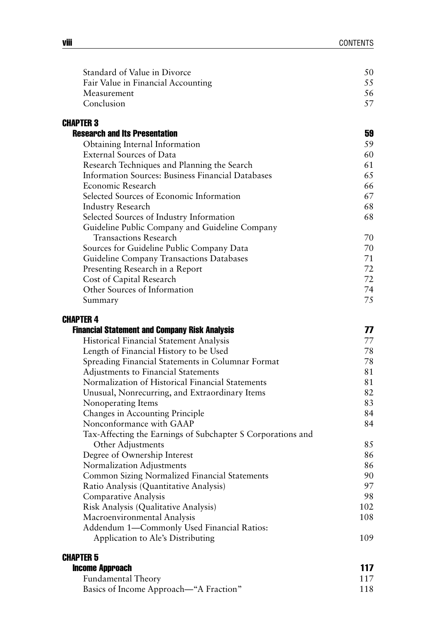| Standard of Value in Divorce                      | 50 |
|---------------------------------------------------|----|
| Fair Value in Financial Accounting                | 55 |
| Measurement                                       | 56 |
| Conclusion                                        | 57 |
|                                                   |    |
| CHAPTER 3                                         |    |
| <b>Research and Its Presentation</b>              | 59 |
| Obtaining Internal Information                    | 59 |
| <b>External Sources of Data</b>                   | 60 |
| Research Techniques and Planning the Search       | 61 |
| Information Sources: Business Financial Databases | 65 |
| Economic Research                                 | 66 |
| Selected Sources of Economic Information          | 67 |
| <b>Industry Research</b>                          | 68 |
| Selected Sources of Industry Information          | 68 |
| Guideline Public Company and Guideline Company    |    |
| <b>Transactions Research</b>                      | 70 |
| Sources for Guideline Public Company Data         | 70 |
| Guideline Company Transactions Databases          | 71 |
| Presenting Research in a Report                   | 72 |
| Cost of Capital Research                          | 72 |
| Other Sources of Information                      | 74 |
| Summary                                           | 75 |
|                                                   |    |
|                                                   |    |

| <b>CHAPTER 4</b>                                            |     |
|-------------------------------------------------------------|-----|
| <b>Financial Statement and Company Risk Analysis</b>        | 77  |
| Historical Financial Statement Analysis                     | 77  |
| Length of Financial History to be Used                      | 78  |
| Spreading Financial Statements in Columnar Format           | 78  |
| Adjustments to Financial Statements                         | 81  |
| Normalization of Historical Financial Statements            | 81  |
| Unusual, Nonrecurring, and Extraordinary Items              | 82  |
| Nonoperating Items                                          | 83  |
| Changes in Accounting Principle                             | 84  |
| Nonconformance with GAAP                                    | 84  |
| Tax-Affecting the Earnings of Subchapter S Corporations and |     |
| Other Adjustments                                           | 85  |
| Degree of Ownership Interest                                | 86  |
| Normalization Adjustments                                   | 86  |
| <b>Common Sizing Normalized Financial Statements</b>        | 90  |
| Ratio Analysis (Quantitative Analysis)                      | 97  |
| Comparative Analysis                                        | 98  |
| Risk Analysis (Qualitative Analysis)                        | 102 |
| Macroenvironmental Analysis                                 | 108 |
| Addendum 1-Commonly Used Financial Ratios:                  |     |
| Application to Ale's Distributing                           | 109 |
| <b>CHADTER 5</b>                                            |     |

| VIIAF I LII V                          |     |
|----------------------------------------|-----|
| <b>Income Approach</b>                 | 117 |
| <b>Fundamental Theory</b>              | 117 |
| Basics of Income Approach—"A Fraction" | 118 |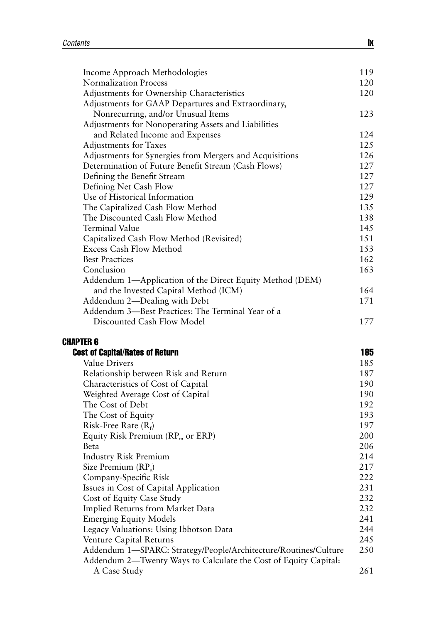| Income Approach Methodologies                            | 119 |
|----------------------------------------------------------|-----|
| <b>Normalization Process</b>                             | 120 |
| Adjustments for Ownership Characteristics                | 120 |
| Adjustments for GAAP Departures and Extraordinary,       |     |
| Nonrecurring, and/or Unusual Items                       | 123 |
| Adjustments for Nonoperating Assets and Liabilities      |     |
| and Related Income and Expenses                          | 124 |
| <b>Adjustments for Taxes</b>                             | 125 |
| Adjustments for Synergies from Mergers and Acquisitions  | 126 |
| Determination of Future Benefit Stream (Cash Flows)      | 127 |
| Defining the Benefit Stream                              | 127 |
| Defining Net Cash Flow                                   | 127 |
| Use of Historical Information                            | 129 |
| The Capitalized Cash Flow Method                         | 135 |
| The Discounted Cash Flow Method                          | 138 |
| <b>Terminal Value</b>                                    | 145 |
| Capitalized Cash Flow Method (Revisited)                 | 151 |
| <b>Excess Cash Flow Method</b>                           | 153 |
| <b>Best Practices</b>                                    | 162 |
| Conclusion                                               | 163 |
| Addendum 1—Application of the Direct Equity Method (DEM) |     |
| and the Invested Capital Method (ICM)                    | 164 |
| Addendum 2-Dealing with Debt                             | 171 |
| Addendum 3-Best Practices: The Terminal Year of a        |     |
| Discounted Cash Flow Model                               | 177 |

| <b>Cost of Capital/Rates of Return</b>                          | 185 |
|-----------------------------------------------------------------|-----|
| Value Drivers                                                   | 185 |
| Relationship between Risk and Return                            | 187 |
| Characteristics of Cost of Capital                              | 190 |
| Weighted Average Cost of Capital                                | 190 |
| The Cost of Debt                                                | 192 |
| The Cost of Equity                                              | 193 |
| Risk-Free Rate $(R_f)$                                          | 197 |
| Equity Risk Premium $(RP_m$ or ERP)                             | 200 |
| <b>Beta</b>                                                     | 206 |
| Industry Risk Premium                                           | 214 |
| Size Premium (RP.)                                              | 217 |
| Company-Specific Risk                                           | 222 |
| Issues in Cost of Capital Application                           | 231 |
| Cost of Equity Case Study                                       | 232 |
| Implied Returns from Market Data                                | 232 |
| <b>Emerging Equity Models</b>                                   | 241 |
| Legacy Valuations: Using Ibbotson Data                          | 244 |
| Venture Capital Returns                                         | 245 |
| Addendum 1-SPARC: Strategy/People/Architecture/Routines/Culture | 250 |
| Addendum 2—Twenty Ways to Calculate the Cost of Equity Capital: |     |
| A Case Study                                                    | 261 |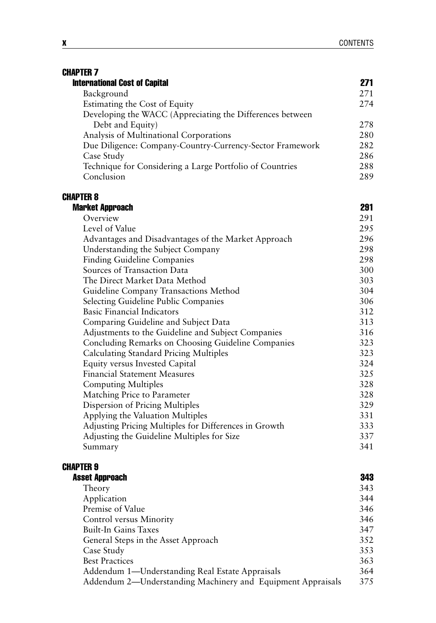## **CHAPTER 7**<br>Internati

| <b>International Cost of Capital</b>                      | 271 |
|-----------------------------------------------------------|-----|
| Background                                                | 271 |
| Estimating the Cost of Equity                             | 274 |
| Developing the WACC (Appreciating the Differences between |     |
| Debt and Equity)                                          | 278 |
| Analysis of Multinational Corporations                    | 280 |
| Due Diligence: Company-Country-Currency-Sector Framework  | 282 |
| Case Study                                                | 286 |
| Technique for Considering a Large Portfolio of Countries  | 288 |
| Conclusion                                                | 289 |

## CHAPTER 8

| <b>Market Approach</b>                                | 291 |
|-------------------------------------------------------|-----|
| Overview                                              | 291 |
| Level of Value                                        | 295 |
| Advantages and Disadvantages of the Market Approach   | 296 |
| Understanding the Subject Company                     | 298 |
| <b>Finding Guideline Companies</b>                    | 298 |
| Sources of Transaction Data                           | 300 |
| The Direct Market Data Method                         | 303 |
| Guideline Company Transactions Method                 | 304 |
| Selecting Guideline Public Companies                  | 306 |
| <b>Basic Financial Indicators</b>                     | 312 |
| Comparing Guideline and Subject Data                  | 313 |
| Adjustments to the Guideline and Subject Companies    | 316 |
| Concluding Remarks on Choosing Guideline Companies    | 323 |
| Calculating Standard Pricing Multiples                | 323 |
| <b>Equity versus Invested Capital</b>                 | 324 |
| <b>Financial Statement Measures</b>                   | 325 |
| <b>Computing Multiples</b>                            | 328 |
| Matching Price to Parameter                           | 328 |
| Dispersion of Pricing Multiples                       | 329 |
| Applying the Valuation Multiples                      | 331 |
| Adjusting Pricing Multiples for Differences in Growth | 333 |
| Adjusting the Guideline Multiples for Size            | 337 |
| Summary                                               | 341 |

| Asset Approach                                              | 343 |
|-------------------------------------------------------------|-----|
| Theory                                                      | 343 |
| Application                                                 | 344 |
| Premise of Value                                            | 346 |
| Control versus Minority                                     | 346 |
| <b>Built-In Gains Taxes</b>                                 | 347 |
| General Steps in the Asset Approach                         | 352 |
| Case Study                                                  | 353 |
| <b>Best Practices</b>                                       | 363 |
| Addendum 1-Understanding Real Estate Appraisals             | 364 |
| Addendum 2-Understanding Machinery and Equipment Appraisals | 375 |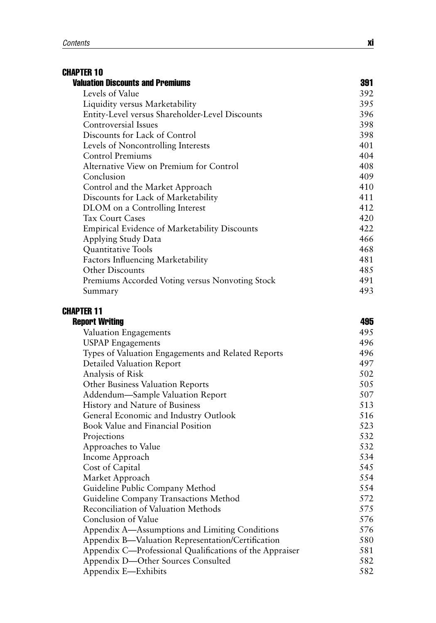## CHAPTER 10

| Valuation Discounts and Premiums                     | 391 |
|------------------------------------------------------|-----|
| Levels of Value                                      | 392 |
| Liquidity versus Marketability                       | 395 |
| Entity-Level versus Shareholder-Level Discounts      | 396 |
| Controversial Issues                                 | 398 |
| Discounts for Lack of Control                        | 398 |
| Levels of Noncontrolling Interests                   | 401 |
| Control Premiums                                     | 404 |
| Alternative View on Premium for Control              | 408 |
| Conclusion                                           | 409 |
| Control and the Market Approach                      | 410 |
| Discounts for Lack of Marketability                  | 411 |
| DLOM on a Controlling Interest                       | 412 |
| <b>Tax Court Cases</b>                               | 420 |
| <b>Empirical Evidence of Marketability Discounts</b> | 422 |
| Applying Study Data                                  | 466 |
| Quantitative Tools                                   | 468 |
| <b>Factors Influencing Marketability</b>             | 481 |
| Other Discounts                                      | 485 |
| Premiums Accorded Voting versus Nonvoting Stock      | 491 |
| Summary                                              | 493 |

| <b>Report Writing</b>                                   | 495 |
|---------------------------------------------------------|-----|
| Valuation Engagements                                   | 495 |
| <b>USPAP</b> Engagements                                | 496 |
| Types of Valuation Engagements and Related Reports      | 496 |
| <b>Detailed Valuation Report</b>                        | 497 |
| Analysis of Risk                                        | 502 |
| Other Business Valuation Reports                        | 505 |
| Addendum—Sample Valuation Report                        | 507 |
| History and Nature of Business                          | 513 |
| General Economic and Industry Outlook                   | 516 |
| Book Value and Financial Position                       | 523 |
| Projections                                             | 532 |
| Approaches to Value                                     | 532 |
| Income Approach                                         | 534 |
| Cost of Capital                                         | 545 |
| Market Approach                                         | 554 |
| Guideline Public Company Method                         | 554 |
| Guideline Company Transactions Method                   | 572 |
| Reconciliation of Valuation Methods                     | 575 |
| Conclusion of Value                                     | 576 |
| Appendix A—Assumptions and Limiting Conditions          | 576 |
| Appendix B-Valuation Representation/Certification       | 580 |
| Appendix C—Professional Qualifications of the Appraiser | 581 |
| Appendix D-Other Sources Consulted                      | 582 |
| Appendix E-Exhibits                                     | 582 |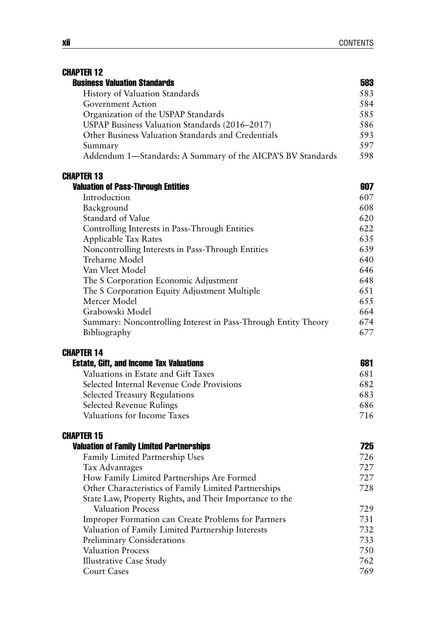| <b>CHAPTER 12</b>                   |     |
|-------------------------------------|-----|
| <b>Business Valuation Standards</b> | 583 |

| History of Valuation Standards                                 | 583 |
|----------------------------------------------------------------|-----|
| <b>Government Action</b>                                       | 584 |
| Organization of the USPAP Standards                            | 585 |
| USPAP Business Valuation Standards (2016-2017)                 | 586 |
| Other Business Valuation Standards and Credentials             | 593 |
| Summary                                                        | 597 |
| Addendum 1—Standards: A Summary of the AICPA'S BV Standards    | 598 |
| <b>CHAPTER 13</b>                                              |     |
| <b>Valuation of Pass-Through Entities</b>                      | 607 |
| Introduction                                                   | 607 |
| Background                                                     | 608 |
| Standard of Value                                              | 620 |
| Controlling Interests in Pass-Through Entities                 | 622 |
| <b>Applicable Tax Rates</b>                                    | 635 |
| Noncontrolling Interests in Pass-Through Entities              | 639 |
| Treharne Model                                                 | 640 |
| Van Vleet Model                                                | 646 |
| The S Corporation Economic Adjustment                          | 648 |
| The S Corporation Equity Adjustment Multiple                   | 651 |
| Mercer Model                                                   | 655 |
| Grabowski Model                                                | 664 |
| Summary: Noncontrolling Interest in Pass-Through Entity Theory | 674 |
| Bibliography                                                   | 677 |
| <b>CHAPTER 14</b>                                              |     |
| <b>Estate, Gift, and Income Tax Valuations</b>                 | 681 |
| Valuations in Estate and Gift Taxes                            | 681 |
| Selected Internal Revenue Code Provisions                      | 682 |
| <b>Selected Treasury Regulations</b>                           | 683 |
| <b>Selected Revenue Rulings</b>                                | 686 |
| Valuations for Income Taxes                                    | 716 |
| <b>CHAPTER 15</b>                                              |     |
| <b>Valuation of Family Limited Partnerships</b>                | 725 |
| Family Limited Partnership Uses                                | 726 |
| Tax Advantages                                                 | 727 |
| How Family Limited Partnerships Are Formed                     | 727 |
| Other Characteristics of Family Limited Partnerships           | 728 |
| State Law, Property Rights, and Their Importance to the        |     |
| <b>Valuation Process</b>                                       | 729 |
| Improper Formation can Create Problems for Partners            | 731 |
| Valuation of Family Limited Partnership Interests              | 732 |
| Preliminary Considerations                                     | 733 |
| <b>Valuation Process</b>                                       | 750 |

Illustrative Case Study 762 Court Cases 769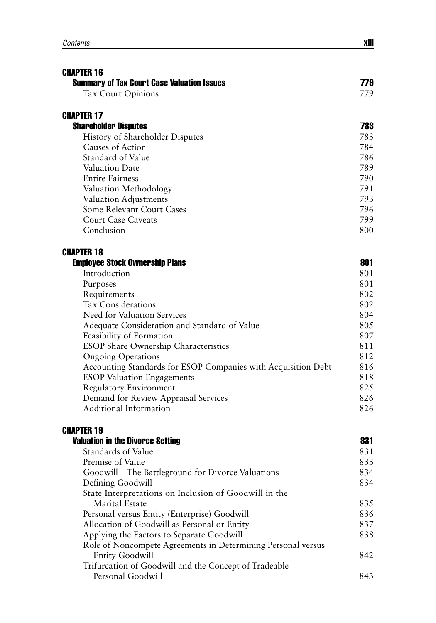| <b>CHAPTER 16</b>                                             |      |
|---------------------------------------------------------------|------|
| <b>Summary of Tax Court Case Valuation Issues</b>             | 779. |
| <b>Tax Court Opinions</b>                                     | 779  |
| <b>CHAPTER 17</b>                                             |      |
| <b>Shareholder Disputes</b>                                   | 783  |
| History of Shareholder Disputes                               | 783  |
| Causes of Action                                              | 784  |
| Standard of Value                                             | 786  |
| Valuation Date                                                | 789  |
| <b>Entire Fairness</b>                                        | 790  |
| Valuation Methodology                                         | 791  |
| Valuation Adjustments                                         | 793  |
| Some Relevant Court Cases                                     | 796  |
| <b>Court Case Caveats</b>                                     | 799  |
| Conclusion                                                    | 800  |
| <b>CHAPTER 18</b>                                             |      |
| <b>Employee Stock Ownership Plans</b>                         | 801  |
| Introduction                                                  | 801  |
| Purposes                                                      | 801  |
| Requirements                                                  | 802  |
| <b>Tax Considerations</b>                                     | 802  |
| Need for Valuation Services                                   | 804  |
| Adequate Consideration and Standard of Value                  | 805  |
| Feasibility of Formation                                      | 807  |
| ESOP Share Ownership Characteristics                          | 811  |
| <b>Ongoing Operations</b>                                     | 812  |
| Accounting Standards for ESOP Companies with Acquisition Debt | 816  |
| <b>ESOP Valuation Engagements</b>                             | 818  |
| <b>Regulatory Environment</b>                                 | 825  |
| Demand for Review Appraisal Services                          | 826  |
| Additional Information                                        | 826  |
| <b>CHAPTER 19</b>                                             |      |
| <b>Valuation in the Divorce Setting</b>                       | 831  |
| Standards of Value                                            | 831  |
| Premise of Value                                              | 833  |
| Goodwill—The Battleground for Divorce Valuations              | 834  |
| Defining Goodwill                                             | 834  |
| State Interpretations on Inclusion of Goodwill in the         |      |
| <b>Marital Estate</b>                                         | 835  |
| Personal versus Entity (Enterprise) Goodwill                  | 836  |
| Allocation of Goodwill as Personal or Entity                  | 837  |
| Applying the Factors to Separate Goodwill                     | 838  |
| Role of Noncompete Agreements in Determining Personal versus  |      |
| <b>Entity Goodwill</b>                                        | 842  |
| Trifurcation of Goodwill and the Concept of Tradeable         |      |
| Personal Goodwill                                             | 843  |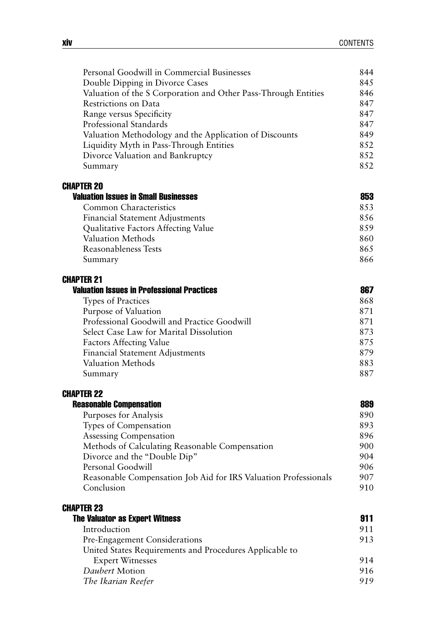| Personal Goodwill in Commercial Businesses                     | 844  |
|----------------------------------------------------------------|------|
| Double Dipping in Divorce Cases                                | 845  |
| Valuation of the S Corporation and Other Pass-Through Entities | 846  |
| Restrictions on Data                                           | 847  |
| Range versus Specificity                                       | 847  |
| Professional Standards                                         | 847  |
| Valuation Methodology and the Application of Discounts         | 849  |
| Liquidity Myth in Pass-Through Entities                        | 8.52 |
| Divorce Valuation and Bankruptcy                               | 8.52 |
| Summary                                                        | 8.52 |
|                                                                |      |

#### CHAPTER 20

| Valuation Issues in Small Businesses       | 853  |
|--------------------------------------------|------|
| Common Characteristics                     | 8.53 |
| <b>Financial Statement Adjustments</b>     | 856  |
| <b>Qualitative Factors Affecting Value</b> | 859  |
| Valuation Methods                          | 860  |
| Reasonableness Tests                       | 865  |
| Summary                                    | 866  |
|                                            |      |

## CHAPTER 21

| <b>Valuation Issues in Professional Practices</b> | 867 |
|---------------------------------------------------|-----|
| <b>Types of Practices</b>                         | 868 |
| Purpose of Valuation                              | 871 |
| Professional Goodwill and Practice Goodwill       | 871 |
| Select Case Law for Marital Dissolution           | 873 |
| <b>Factors Affecting Value</b>                    | 875 |
| <b>Financial Statement Adjustments</b>            | 879 |
| Valuation Methods                                 | 883 |
| Summary                                           | 887 |

## CHAPTER 22

| IAP IEK ZZ                                                      |     |
|-----------------------------------------------------------------|-----|
| <b>Reasonable Compensation</b>                                  | 889 |
| Purposes for Analysis                                           | 890 |
| Types of Compensation                                           | 893 |
| Assessing Compensation                                          | 896 |
| Methods of Calculating Reasonable Compensation                  | 900 |
| Divorce and the "Double Dip"                                    | 904 |
| Personal Goodwill                                               | 906 |
| Reasonable Compensation Job Aid for IRS Valuation Professionals | 907 |
| Conclusion                                                      | 910 |

| The Valuator as Expert Witness                          | 911 |
|---------------------------------------------------------|-----|
| Introduction                                            | 911 |
| Pre-Engagement Considerations                           | 913 |
| United States Requirements and Procedures Applicable to |     |
| <b>Expert Witnesses</b>                                 | 914 |
| Daubert Motion                                          | 916 |
| The Ikarian Reefer                                      | 919 |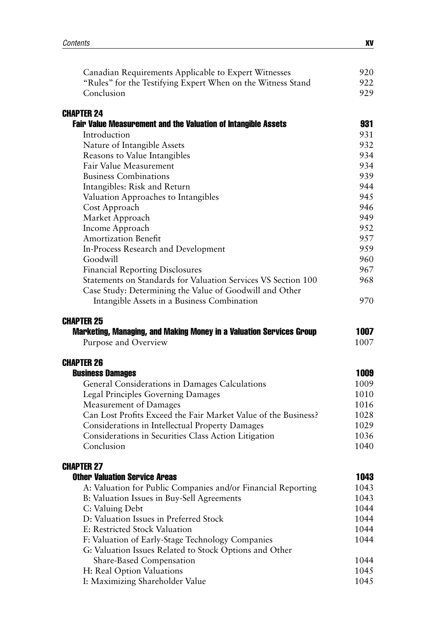| Canadian Requirements Applicable to Expert Witnesses                       | 920  |
|----------------------------------------------------------------------------|------|
| "Rules" for the Testifying Expert When on the Witness Stand                | 922  |
| Conclusion                                                                 | 929  |
| <b>CHAPTER 24</b>                                                          |      |
| <b>Fair Value Measurement and the Valuation of Intangible Assets</b>       | 931  |
| Introduction                                                               | 931  |
| Nature of Intangible Assets                                                | 932  |
| Reasons to Value Intangibles                                               | 934  |
| Fair Value Measurement                                                     | 934  |
| <b>Business Combinations</b>                                               | 939  |
| Intangibles: Risk and Return                                               | 944  |
| Valuation Approaches to Intangibles                                        | 945  |
| Cost Approach                                                              | 946  |
| Market Approach                                                            | 949  |
| Income Approach                                                            | 952  |
| <b>Amortization Benefit</b>                                                | 957  |
| In-Process Research and Development                                        | 959  |
| Goodwill                                                                   | 960  |
| <b>Financial Reporting Disclosures</b>                                     | 967  |
| Statements on Standards for Valuation Services VS Section 100              | 968  |
| Case Study: Determining the Value of Goodwill and Other                    |      |
| Intangible Assets in a Business Combination                                | 970  |
| <b>CHAPTER 25</b>                                                          |      |
| <b>Marketing, Managing, and Making Money in a Valuation Services Group</b> | 1007 |
| Purpose and Overview                                                       | 1007 |
| <b>CHAPTER 26</b>                                                          |      |
| <b>Business Damages</b>                                                    | 1009 |
| General Considerations in Damages Calculations                             | 1009 |
| Legal Principles Governing Damages                                         | 1010 |
| Measurement of Damages                                                     | 1016 |
| Can Lost Profits Exceed the Fair Market Value of the Business?             | 1028 |
| Considerations in Intellectual Property Damages                            | 1029 |
| Considerations in Securities Class Action Litigation                       | 1036 |
| Conclusion                                                                 | 1040 |
| <b>CHAPTER 27</b>                                                          |      |
| <b>Other Valuation Service Areas</b>                                       | 1043 |
| A: Valuation for Public Companies and/or Financial Reporting               | 1043 |
| B: Valuation Issues in Buy-Sell Agreements                                 | 1043 |
| C: Valuing Debt                                                            | 1044 |
| D: Valuation Issues in Preferred Stock                                     | 1044 |
| E: Restricted Stock Valuation                                              | 1044 |
| F: Valuation of Early-Stage Technology Companies                           | 1044 |
| G: Valuation Issues Related to Stock Options and Other                     |      |
| Share-Based Compensation                                                   | 1044 |
| H: Real Option Valuations                                                  | 1045 |
| I: Maximizing Shareholder Value                                            | 1045 |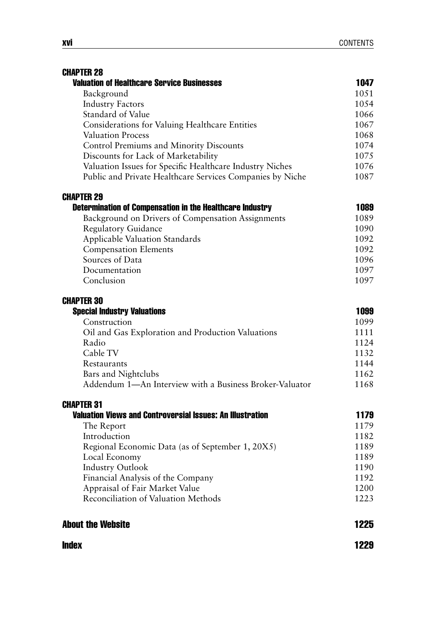## CHAPTER 28

| <b>Valuation of Healthcare Service Businesses</b>               | 1047 |
|-----------------------------------------------------------------|------|
| Background                                                      | 1051 |
| <b>Industry Factors</b>                                         | 1054 |
| Standard of Value                                               | 1066 |
| Considerations for Valuing Healthcare Entities                  | 1067 |
| <b>Valuation Process</b>                                        | 1068 |
| Control Premiums and Minority Discounts                         | 1074 |
| Discounts for Lack of Marketability                             | 1075 |
| Valuation Issues for Specific Healthcare Industry Niches        | 1076 |
| Public and Private Healthcare Services Companies by Niche       | 1087 |
| <b>CHAPTER 29</b>                                               |      |
| <b>Determination of Compensation in the Healthcare Industry</b> | 1089 |

| Background on Drivers of Compensation Assignments | 1089 |
|---------------------------------------------------|------|
| <b>Regulatory Guidance</b>                        | 1090 |
| Applicable Valuation Standards                    | 1092 |
| <b>Compensation Elements</b>                      | 1092 |
| Sources of Data                                   | 1096 |
| Documentation                                     | 1097 |
| Conclusion                                        | 1097 |
|                                                   |      |

| <b>Special Industry Valuations</b>                      | 1099 |
|---------------------------------------------------------|------|
| Construction                                            | 1099 |
| Oil and Gas Exploration and Production Valuations       | 1111 |
| Radio                                                   | 1124 |
| Cable TV                                                | 1132 |
| Restaurants                                             | 1144 |
| Bars and Nightclubs                                     | 1162 |
| Addendum 1-An Interview with a Business Broker-Valuator | 1168 |

| <b>Valuation Views and Controversial Issues: An Illustration</b><br>1179 |
|--------------------------------------------------------------------------|
| 1179                                                                     |
| 1182                                                                     |
| 1189<br>Regional Economic Data (as of September 1, 20X5)                 |
| 1189                                                                     |
| 1190                                                                     |
| Financial Analysis of the Company<br>1192                                |
| Appraisal of Fair Market Value<br>1200                                   |
| Reconciliation of Valuation Methods<br>1223                              |
|                                                                          |

| <b>About the Website</b> | 1225 |
|--------------------------|------|
| <b>Index</b>             | 1229 |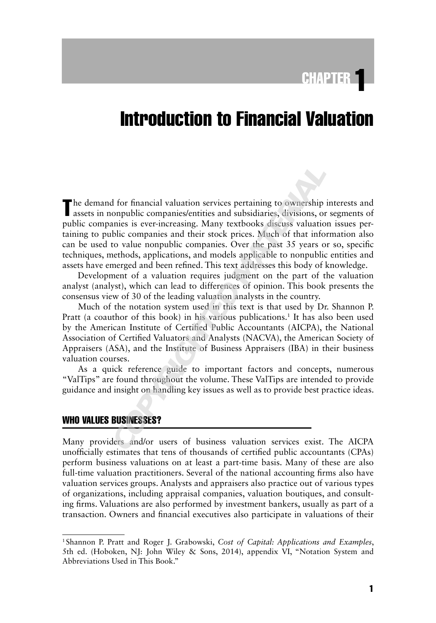## Introduction to Financial Valuation

The demand for financial valuation services pertaining to ownership interests and assets in nonpublic companies/entities and subsidiaries, divisions, or segments of public companies is ever-increasing. Many textbooks discuss valuation issues pertaining to public companies and their stock prices. Much of that information also can be used to value nonpublic companies. Over the past 35 years or so, specific techniques, methods, applications, and models applicable to nonpublic entities and assets have emerged and been refined. This text addresses this body of knowledge. d for financial valuation services pertaining to ownership<br>tompublic companies/entities and subsidiaries, divisions, or<br>anies is ever-increasing. Many textbooks discuss valuatio<br>blic companies and their stock prices. Much

Development of a valuation requires judgment on the part of the valuation analyst (analyst), which can lead to differences of opinion. This book presents the consensus view of 30 of the leading valuation analysts in the country.

Much of the notation system used in this text is that used by Dr. Shannon P. Pratt (a coauthor of this book) in his various publications.<sup>1</sup> It has also been used by the American Institute of Certified Public Accountants (AICPA), the National Association of Certified Valuators and Analysts (NACVA), the American Society of Appraisers (ASA), and the Institute of Business Appraisers (IBA) in their business valuation courses.

As a quick reference guide to important factors and concepts, numerous "ValTips" are found throughout the volume. These ValTips are intended to provide guidance and insight on handling key issues as well as to provide best practice ideas.

#### WHO VALUES BUSINESSES?

Many providers and/or users of business valuation services exist. The AICPA unofficially estimates that tens of thousands of certified public accountants (CPAs) perform business valuations on at least a part-time basis. Many of these are also full-time valuation practitioners. Several of the national accounting firms also have valuation services groups. Analysts and appraisers also practice out of various types of organizations, including appraisal companies, valuation boutiques, and consulting firms. Valuations are also performed by investment bankers, usually as part of a transaction. Owners and financial executives also participate in valuations of their

<sup>1</sup> Shannon P. Pratt and Roger J. Grabowski, *Cost of Capital: Applications and Examples*, 5th ed. (Hoboken, NJ: John Wiley & Sons, 2014), appendix VI, "Notation System and Abbreviations Used in This Book."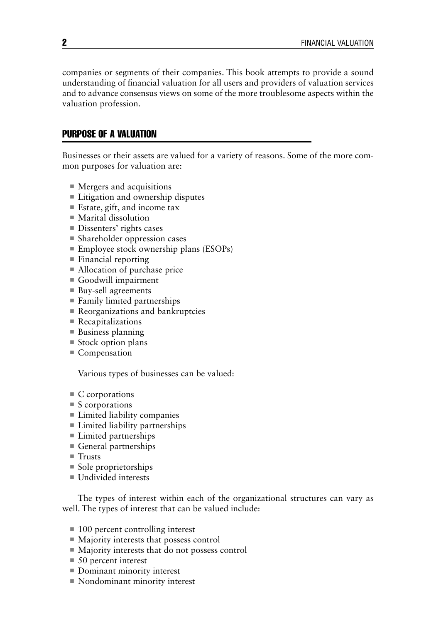companies or segments of their companies. This book attempts to provide a sound understanding of financial valuation for all users and providers of valuation services and to advance consensus views on some of the more troublesome aspects within the valuation profession.

## PURPOSE OF A VALUATION

Businesses or their assets are valued for a variety of reasons. Some of the more common purposes for valuation are:

- Mergers and acquisitions
- Litigation and ownership disputes
- Estate, gift, and income tax
- Marital dissolution
- Dissenters' rights cases
- Shareholder oppression cases
- Employee stock ownership plans (ESOPs)
- Financial reporting
- Allocation of purchase price
- Goodwill impairment
- Buy-sell agreements
- Family limited partnerships
- Reorganizations and bankruptcies
- Recapitalizations
- Business planning
- Stock option plans
- Compensation

Various types of businesses can be valued:

- C corporations
- S corporations
- Limited liability companies
- Limited liability partnerships
- Limited partnerships
- General partnerships
- Trusts
- Sole proprietorships
- Undivided interests

The types of interest within each of the organizational structures can vary as well. The types of interest that can be valued include:

- 100 percent controlling interest
- Majority interests that possess control
- Majority interests that do not possess control
- 50 percent interest
- Dominant minority interest
- Nondominant minority interest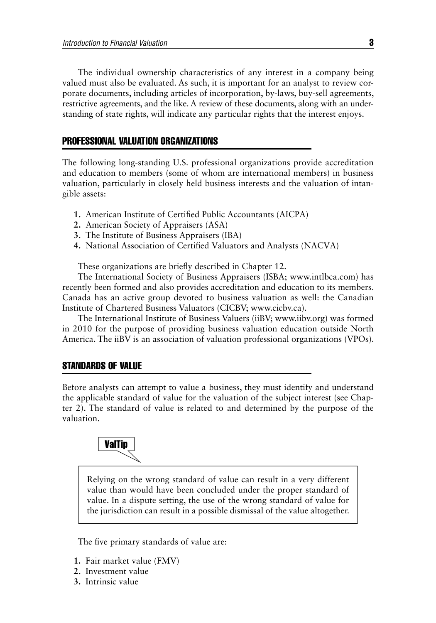The individual ownership characteristics of any interest in a company being valued must also be evaluated. As such, it is important for an analyst to review corporate documents, including articles of incorporation, by-laws, buy-sell agreements, restrictive agreements, and the like. A review of these documents, along with an understanding of state rights, will indicate any particular rights that the interest enjoys.

#### PROFESSIONAL VALUATION ORGANIZATIONS

The following long-standing U.S. professional organizations provide accreditation and education to members (some of whom are international members) in business valuation, particularly in closely held business interests and the valuation of intangible assets:

- 1. American Institute of Certified Public Accountants (AICPA)
- **2.** American Society of Appraisers (ASA)
- **3.** The Institute of Business Appraisers (IBA)
- 4. National Association of Certified Valuators and Analysts (NACVA)

These organizations are briefly described in Chapter 12.

The International Society of Business Appraisers (ISBA; www.intlbca.com) has recently been formed and also provides accreditation and education to its members. Canada has an active group devoted to business valuation as well: the Canadian Institute of Chartered Business Valuators (CICBV; www.cicbv.ca ).

The International Institute of Business Valuers (iiBV; www.iibv.org) was formed in 2010 for the purpose of providing business valuation education outside North America. The iiBV is an association of valuation professional organizations (VPOs).

## STANDARDS OF VALUE

Before analysts can attempt to value a business, they must identify and understand the applicable standard of value for the valuation of the subject interest (see Chapter 2). The standard of value is related to and determined by the purpose of the valuation.



Relying on the wrong standard of value can result in a very different value than would have been concluded under the proper standard of value. In a dispute setting, the use of the wrong standard of value for the jurisdiction can result in a possible dismissal of the value altogether.

The five primary standards of value are:

- **1.** Fair market value (FMV)
- **2.** Investment value
- **3.** Intrinsic value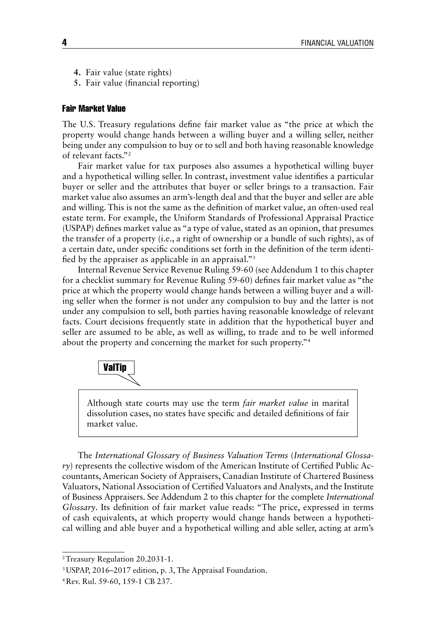- **4.** Fair value (state rights)
- **5.** Fair value (financial reporting)

#### Fair Market Value

The U.S. Treasury regulations define fair market value as "the price at which the property would change hands between a willing buyer and a willing seller, neither being under any compulsion to buy or to sell and both having reasonable knowledge of relevant facts."<sup>2</sup>

Fair market value for tax purposes also assumes a hypothetical willing buyer and a hypothetical willing seller. In contrast, investment value identifies a particular buyer or seller and the attributes that buyer or seller brings to a transaction. Fair market value also assumes an arm's-length deal and that the buyer and seller are able and willing. This is not the same as the definition of market value, an often-used real estate term. For example, the Uniform Standards of Professional Appraisal Practice (USPAP) defines market value as "a type of value, stated as an opinion, that presumes the transfer of a property (i.e., a right of ownership or a bundle of such rights), as of a certain date, under specific conditions set forth in the definition of the term identified by the appraiser as applicable in an appraisal."<sup>3</sup>

Internal Revenue Service Revenue Ruling 59-60 (see Addendum 1 to this chapter for a checklist summary for Revenue Ruling 59-60) defines fair market value as "the price at which the property would change hands between a willing buyer and a willing seller when the former is not under any compulsion to buy and the latter is not under any compulsion to sell, both parties having reasonable knowledge of relevant facts. Court decisions frequently state in addition that the hypothetical buyer and seller are assumed to be able, as well as willing, to trade and to be well informed about the property and concerning the market for such property."4



Although state courts may use the term *fair market value* in marital dissolution cases, no states have specific and detailed definitions of fair market value.

The *International Glossary of Business Valuation Terms* (*International Glossary*) represents the collective wisdom of the American Institute of Certified Public Accountants, American Society of Appraisers, Canadian Institute of Chartered Business Valuators, National Association of Certified Valuators and Analysts, and the Institute of Business Appraisers. See Addendum 2 to this chapter for the complete *International Glossary*. Its definition of fair market value reads: "The price, expressed in terms of cash equivalents, at which property would change hands between a hypothetical willing and able buyer and a hypothetical willing and able seller, acting at arm's

<sup>2</sup>Treasury Regulation 20.2031-1.

<sup>3</sup> USPAP, 2016–2017 edition, p. 3, The Appraisal Foundation.

<sup>4</sup> Rev. Rul. 59-60, 159-1 CB 237.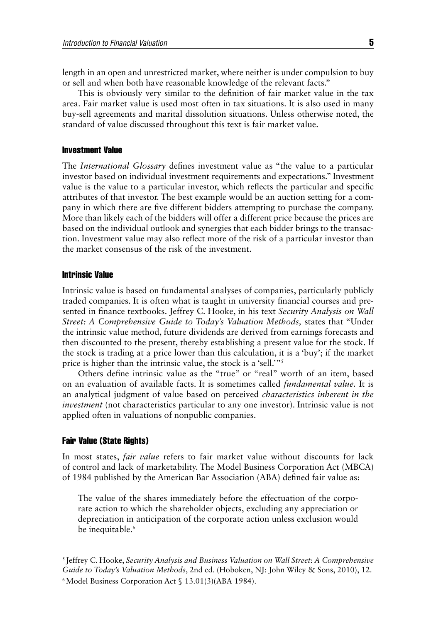length in an open and unrestricted market, where neither is under compulsion to buy or sell and when both have reasonable knowledge of the relevant facts."

This is obviously very similar to the definition of fair market value in the tax area. Fair market value is used most often in tax situations. It is also used in many buy-sell agreements and marital dissolution situations. Unless otherwise noted, the standard of value discussed throughout this text is fair market value.

#### Investment Value

The *International Glossary* defines investment value as "the value to a particular investor based on individual investment requirements and expectations." Investment value is the value to a particular investor, which reflects the particular and specific attributes of that investor. The best example would be an auction setting for a company in which there are five different bidders attempting to purchase the company. More than likely each of the bidders will offer a different price because the prices are based on the individual outlook and synergies that each bidder brings to the transaction. Investment value may also reflect more of the risk of a particular investor than the market consensus of the risk of the investment.

#### Intrinsic Value

Intrinsic value is based on fundamental analyses of companies, particularly publicly traded companies. It is often what is taught in university financial courses and presented in finance textbooks. Jeffrey C. Hooke, in his text *Security Analysis on Wall Street: A Comprehensive Guide to Today's Valuation Methods,* states that "Under the intrinsic value method, future dividends are derived from earnings forecasts and then discounted to the present, thereby establishing a present value for the stock. If the stock is trading at a price lower than this calculation, it is a 'buy'; if the market price is higher than the intrinsic value, the stock is a 'sell.'"<sup>5</sup>

Others define intrinsic value as the "true" or "real" worth of an item, based on an evaluation of available facts. It is sometimes called *fundamental value.* It is an analytical judgment of value based on perceived *characteristics inherent in the investment* (not characteristics particular to any one investor). Intrinsic value is not applied often in valuations of nonpublic companies.

#### Fair Value (State Rights)

In most states, *fair value* refers to fair market value without discounts for lack of control and lack of marketability. The Model Business Corporation Act (MBCA) of 1984 published by the American Bar Association (ABA) defined fair value as:

The value of the shares immediately before the effectuation of the corporate action to which the shareholder objects, excluding any appreciation or depreciation in anticipation of the corporate action unless exclusion would be inequitable.<sup>6</sup>

<sup>5</sup> Jeffrey C. Hooke, *Security Analysis and Business Valuation on Wall Street: A Comprehensive Guide to Today's Valuation Methods*, 2nd ed. (Hoboken, NJ: John Wiley & Sons, 2010), 12. <sup>6</sup> Model Business Corporation Act § 13.01(3)(ABA 1984).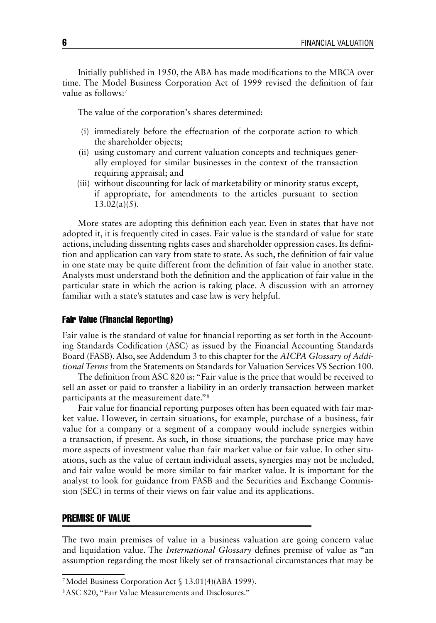Initially published in 1950, the ABA has made modifications to the MBCA over time. The Model Business Corporation Act of 1999 revised the definition of fair value as follows:7

The value of the corporation's shares determined:

- (i) immediately before the effectuation of the corporate action to which the shareholder objects;
- (ii) using customary and current valuation concepts and techniques generally employed for similar businesses in the context of the transaction requiring appraisal; and
- (iii) without discounting for lack of marketability or minority status except, if appropriate, for amendments to the articles pursuant to section  $13.02(a)(5)$ .

More states are adopting this definition each year. Even in states that have not adopted it, it is frequently cited in cases. Fair value is the standard of value for state actions, including dissenting rights cases and shareholder oppression cases. Its definition and application can vary from state to state. As such, the definition of fair value in one state may be quite different from the definition of fair value in another state. Analysts must understand both the definition and the application of fair value in the particular state in which the action is taking place. A discussion with an attorney familiar with a state's statutes and case law is very helpful.

#### Fair Value (Financial Reporting)

Fair value is the standard of value for financial reporting as set forth in the Accounting Standards Codification (ASC) as issued by the Financial Accounting Standards Board (FASB). Also, see Addendum 3 to this chapter for the *AICPA Glossary of Additional Terms* from the Statements on Standards for Valuation Services VS Section 100.

The definition from ASC 820 is: "Fair value is the price that would be received to sell an asset or paid to transfer a liability in an orderly transaction between market participants at the measurement date."<sup>8</sup>

Fair value for financial reporting purposes often has been equated with fair market value. However, in certain situations, for example, purchase of a business, fair value for a company or a segment of a company would include synergies within a transaction, if present. As such, in those situations, the purchase price may have more aspects of investment value than fair market value or fair value. In other situations, such as the value of certain individual assets, synergies may not be included, and fair value would be more similar to fair market value. It is important for the analyst to look for guidance from FASB and the Securities and Exchange Commission (SEC) in terms of their views on fair value and its applications.

#### PREMISE OF VALUE

The two main premises of value in a business valuation are going concern value and liquidation value. The *International Glossary* defines premise of value as "an assumption regarding the most likely set of transactional circumstances that may be

<sup>7</sup>Model Business Corporation Act § 13.01(4)(ABA 1999).

<sup>8</sup>ASC 820, "Fair Value Measurements and Disclosures."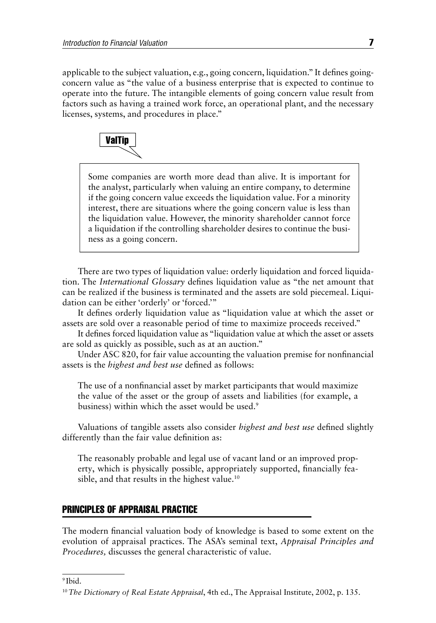applicable to the subject valuation, e.g., going concern, liquidation." It defines goingconcern value as "the value of a business enterprise that is expected to continue to operate into the future. The intangible elements of going concern value result from factors such as having a trained work force, an operational plant, and the necessary licenses, systems, and procedures in place."



Some companies are worth more dead than alive. It is important for the analyst, particularly when valuing an entire company, to determine if the going concern value exceeds the liquidation value. For a minority interest, there are situations where the going concern value is less than the liquidation value. However, the minority shareholder cannot force a liquidation if the controlling shareholder desires to continue the business as a going concern.

There are two types of liquidation value: orderly liquidation and forced liquidation. The *International Glossary* defines liquidation value as "the net amount that can be realized if the business is terminated and the assets are sold piecemeal. Liquidation can be either 'orderly' or 'forced.'"

It defines orderly liquidation value as "liquidation value at which the asset or assets are sold over a reasonable period of time to maximize proceeds received."

It defines forced liquidation value as "liquidation value at which the asset or assets are sold as quickly as possible, such as at an auction."

Under ASC 820, for fair value accounting the valuation premise for nonfinancial assets is the *highest and best use* defined as follows:

The use of a nonfinancial asset by market participants that would maximize the value of the asset or the group of assets and liabilities (for example, a business) within which the asset would be used.<sup>9</sup>

Valuations of tangible assets also consider *highest and best use* defined slightly differently than the fair value definition as:

The reasonably probable and legal use of vacant land or an improved property, which is physically possible, appropriately supported, financially feasible, and that results in the highest value.<sup>10</sup>

## PRINCIPLES OF APPRAISAL PRACTICE

The modern financial valuation body of knowledge is based to some extent on the evolution of appraisal practices. The ASA's seminal text, *Appraisal Principles and Procedures,* discusses the general characteristic of value.

<sup>9</sup> Ibid.

<sup>10</sup>*The Dictionary of Real Estate Appraisal*, 4th ed., The Appraisal Institute, 2002, p. 135.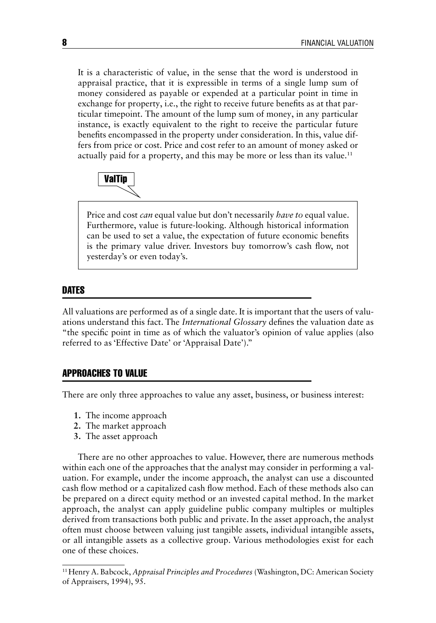It is a characteristic of value, in the sense that the word is understood in appraisal practice, that it is expressible in terms of a single lump sum of money considered as payable or expended at a particular point in time in exchange for property, i.e., the right to receive future benefits as at that particular timepoint. The amount of the lump sum of money, in any particular instance, is exactly equivalent to the right to receive the particular future benefits encompassed in the property under consideration. In this, value differs from price or cost. Price and cost refer to an amount of money asked or actually paid for a property, and this may be more or less than its value. 11



Price and cost *can* equal value but don't necessarily *have to* equal value. Furthermore, value is future-looking. Although historical information can be used to set a value, the expectation of future economic benefits is the primary value driver. Investors buy tomorrow's cash flow, not yesterday's or even today's.

## **DATES**

All valuations are performed as of a single date. It is important that the users of valuations understand this fact. The *International Glossary* defines the valuation date as "the specific point in time as of which the valuator's opinion of value applies (also referred to as 'Effective Date' or 'Appraisal Date')."

## APPROACHES TO VALUE

There are only three approaches to value any asset, business, or business interest:

- **1.** The income approach
- **2.** The market approach
- **3.** The asset approach

There are no other approaches to value. However, there are numerous methods within each one of the approaches that the analyst may consider in performing a valuation. For example, under the income approach, the analyst can use a discounted cash flow method or a capitalized cash flow method. Each of these methods also can be prepared on a direct equity method or an invested capital method. In the market approach, the analyst can apply guideline public company multiples or multiples derived from transactions both public and private. In the asset approach, the analyst often must choose between valuing just tangible assets, individual intangible assets, or all intangible assets as a collective group. Various methodologies exist for each one of these choices.

<sup>11</sup> Henry A. Babcock, *Appraisal Principles and Procedures* (Washington, DC: American Society of Appraisers, 1994), 95.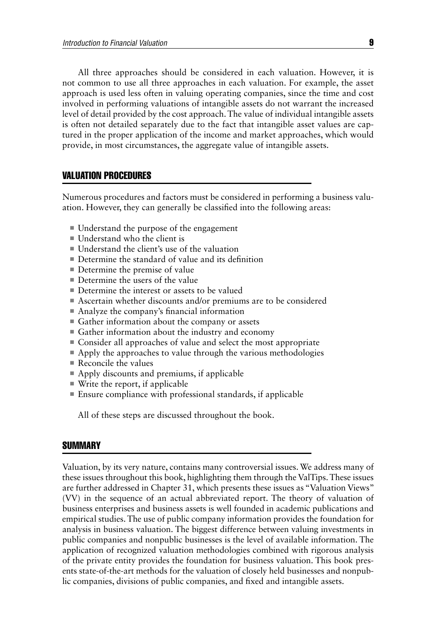All three approaches should be considered in each valuation. However, it is not common to use all three approaches in each valuation. For example, the asset approach is used less often in valuing operating companies, since the time and cost involved in performing valuations of intangible assets do not warrant the increased level of detail provided by the cost approach. The value of individual intangible assets is often not detailed separately due to the fact that intangible asset values are captured in the proper application of the income and market approaches, which would provide, in most circumstances, the aggregate value of intangible assets.

## VALUATION PROCEDURES

Numerous procedures and factors must be considered in performing a business valuation. However, they can generally be classified into the following areas:

- Understand the purpose of the engagement
- Understand who the client is
- Understand the client's use of the valuation
- $\blacksquare$  Determine the standard of value and its definition
- Determine the premise of value
- Determine the users of the value
- Determine the interest or assets to be valued
- Ascertain whether discounts and/or premiums are to be considered
- $\blacksquare$  Analyze the company's financial information
- Gather information about the company or assets
- Gather information about the industry and economy
- Consider all approaches of value and select the most appropriate
- Apply the approaches to value through the various methodologies
- Reconcile the values
- Apply discounts and premiums, if applicable
- Write the report, if applicable
- Ensure compliance with professional standards, if applicable

All of these steps are discussed throughout the book.

#### **SUMMARY**

Valuation, by its very nature, contains many controversial issues. We address many of these issues throughout this book, highlighting them through the ValTips. These issues are further addressed in Chapter 31, which presents these issues as "Valuation Views" (VV) in the sequence of an actual abbreviated report. The theory of valuation of business enterprises and business assets is well founded in academic publications and empirical studies. The use of public company information provides the foundation for analysis in business valuation. The biggest difference between valuing investments in public companies and nonpublic businesses is the level of available information. The application of recognized valuation methodologies combined with rigorous analysis of the private entity provides the foundation for business valuation. This book presents state-of-the-art methods for the valuation of closely held businesses and nonpublic companies, divisions of public companies, and fixed and intangible assets.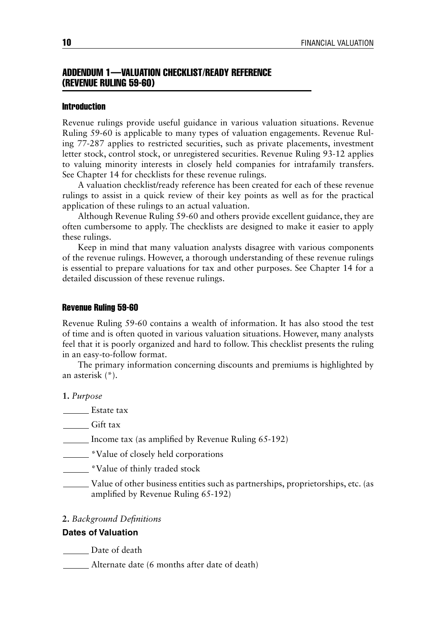## ADDENDUM 1—VALUATION CHECKLIST/READY REFERENCE (REVENUE RULING 59-60)

#### **Introduction**

Revenue rulings provide useful guidance in various valuation situations. Revenue Ruling 59-60 is applicable to many types of valuation engagements. Revenue Ruling 77-287 applies to restricted securities, such as private placements, investment letter stock, control stock, or unregistered securities. Revenue Ruling 93-12 applies to valuing minority interests in closely held companies for intrafamily transfers. See Chapter 14 for checklists for these revenue rulings.

A valuation checklist/ready reference has been created for each of these revenue rulings to assist in a quick review of their key points as well as for the practical application of these rulings to an actual valuation.

Although Revenue Ruling 59-60 and others provide excellent guidance, they are often cumbersome to apply. The checklists are designed to make it easier to apply these rulings.

Keep in mind that many valuation analysts disagree with various components of the revenue rulings. However, a thorough understanding of these revenue rulings is essential to prepare valuations for tax and other purposes. See Chapter 14 for a detailed discussion of these revenue rulings.

#### Revenue Ruling 59-60

Revenue Ruling 59-60 contains a wealth of information. It has also stood the test of time and is often quoted in various valuation situations. However, many analysts feel that it is poorly organized and hard to follow. This checklist presents the ruling in an easy-to-follow format.

The primary information concerning discounts and premiums is highlighted by an asterisk (\*).

**1.** *Purpose*

**Estate tax** 

Gift tax

- Income tax (as amplified by Revenue Ruling 65-192)
- \*Value of closely held corporations
- \*Value of thinly traded stock
- Value of other business entities such as partnerships, proprietorships, etc. (as amplified by Revenue Ruling  $65-192$ )

**2.** Background Definitions

#### **Dates of Valuation**

Date of death

Alternate date (6 months after date of death)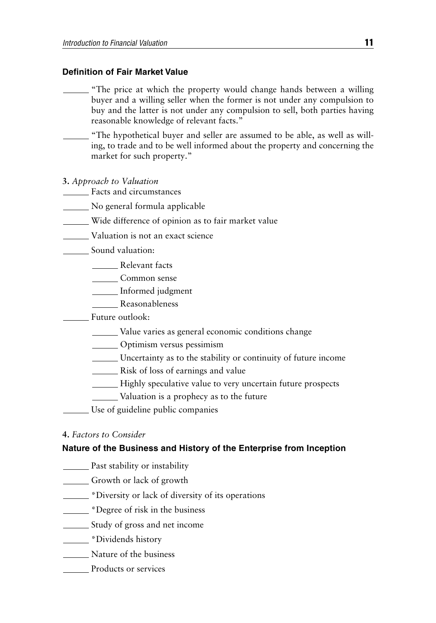## **Definition of Fair Market Value**

 "The price at which the property would change hands between a willing buyer and a willing seller when the former is not under any compulsion to buy and the latter is not under any compulsion to sell, both parties having reasonable knowledge of relevant facts."

 "The hypothetical buyer and seller are assumed to be able, as well as willing, to trade and to be well informed about the property and concerning the market for such property."

**3.** *Approach to Valuation*

**EXECUTE:** Facts and circumstances

- No general formula applicable
- Wide difference of opinion as to fair market value
- Valuation is not an exact science

Sound valuation:

- \_\_\_\_\_\_ Relevant facts
- Common sense

Informed judgment

Reasonableness

Future outlook:

- Value varies as general economic conditions change
- **COPTIMISM** versus pessimism
- Uncertainty as to the stability or continuity of future income
- **Risk of loss of earnings and value**
- Highly speculative value to very uncertain future prospects
- Valuation is a prophecy as to the future
- Use of guideline public companies

#### **4.** *Factors to Consider*

## **Nature of the Business and History of the Enterprise from Inception**

- **Past stability or instability**
- Crowth or lack of growth
- \*Diversity or lack of diversity of its operations
- **Example 3** \*Degree of risk in the business
- **Study of gross and net income**
- \*Dividends history
- Nature of the business
- Products or services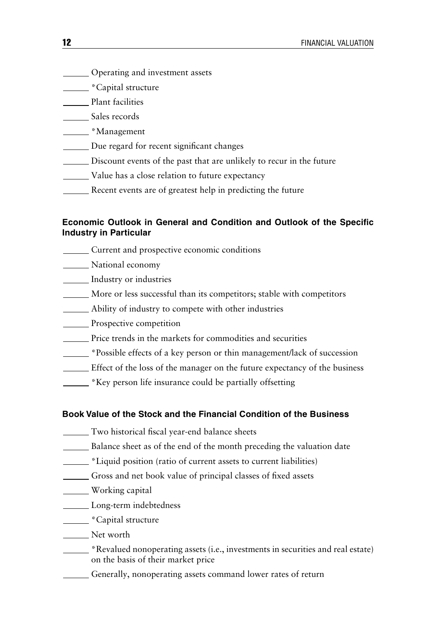- **COPERIGER 19 AT ALC** Operating and investment assets
- Capital structure
- Plant facilities
- Sales records
- \*Management
- **Due regard for recent significant changes**
- Discount events of the past that are unlikely to recur in the future
- Value has a close relation to future expectancy
- **Recent events are of greatest help in predicting the future**

## **Economic Outlook in General and Condition and Outlook of the Specific Industry in Particular**

- **Current and prospective economic conditions**
- **National economy**
- Industry or industries
- More or less successful than its competitors; stable with competitors
- **EXECUTE:** Ability of industry to compete with other industries
- **Prospective competition**
- Price trends in the markets for commodities and securities
- \*Possible effects of a key person or thin management/lack of succession
- **Effect of the loss of the manager on the future expectancy of the business**
- **EXECU** \*Key person life insurance could be partially offsetting

#### **Book Value of the Stock and the Financial Condition of the Business**

- **Two historical fiscal year-end balance sheets**
- Balance sheet as of the end of the month preceding the valuation date
- \*Liquid position (ratio of current assets to current liabilities)
- Gross and net book value of principal classes of fixed assets
- **Working capital**
- Long-term indebtedness
- Capital structure
- \_\_\_\_\_\_\_ Net worth
- $\text{``Revalued nonoperating assets (i.e., investments in securities and real estate)}$ on the basis of their market price
- **Cenerally, nonoperating assets command lower rates of return**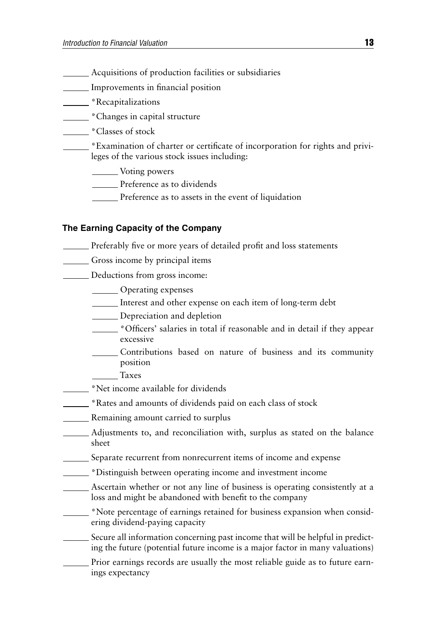- **EXECUTE:** Acquisitions of production facilities or subsidiaries
- Improvements in financial position
- **Example 21 Recapitalizations**
- \*Changes in capital structure
- \*Classes of stock
- $x^*$ Examination of charter or certificate of incorporation for rights and privileges of the various stock issues including:
	- Voting powers
	- **Preference as to dividends**
	- **Preference as to assets in the event of liquidation**

#### **The Earning Capacity of the Company**

- **Preferably five or more years of detailed profit and loss statements**
- Gross income by principal items
- Deductions from gross income:
	- **C** Operating expenses
	- Interest and other expense on each item of long-term debt
	- **Depreciation and depletion**
	- \* Officers' salaries in total if reasonable and in detail if they appear excessive
	- Contributions based on nature of business and its community position

Taxes

- \*Net income available for dividends
- \*Rates and amounts of dividends paid on each class of stock
- **EXECUTE:** Remaining amount carried to surplus
- Adjustments to, and reconciliation with, surplus as stated on the balance sheet
- Separate recurrent from nonrecurrent items of income and expense
- \*Distinguish between operating income and investment income
- Ascertain whether or not any line of business is operating consistently at a loss and might be abandoned with benefit to the company
- \*Note percentage of earnings retained for business expansion when considering dividend-paying capacity
- Secure all information concerning past income that will be helpful in predicting the future (potential future income is a major factor in many valuations)
- Prior earnings records are usually the most reliable guide as to future earnings expectancy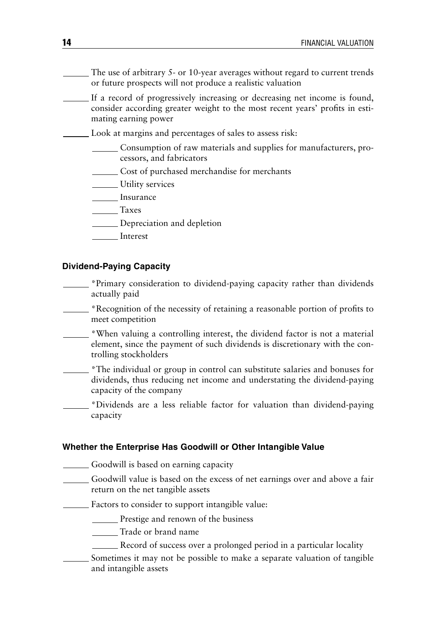- The use of arbitrary 5- or 10-year averages without regard to current trends or future prospects will not produce a realistic valuation
	- If a record of progressively increasing or decreasing net income is found, consider according greater weight to the most recent years' profits in estimating earning power
	- Look at margins and percentages of sales to assess risk:
		- Consumption of raw materials and supplies for manufacturers, processors, and fabricators
		- **Cost of purchased merchandise for merchants**
		- Utility services
		- **Insurance**
		- Taxes
		- **Depreciation and depletion**
		- Interest

#### **Dividend-Paying Capacity**

- \*Primary consideration to dividend-paying capacity rather than dividends actually paid
- $\mathbb{R}^*$ Recognition of the necessity of retaining a reasonable portion of profits to meet competition
	- $\mathbb{R}^*$  When valuing a controlling interest, the dividend factor is not a material element, since the payment of such dividends is discretionary with the controlling stockholders
		- \*The individual or group in control can substitute salaries and bonuses for dividends, thus reducing net income and understating the dividend-paying capacity of the company
- \*Dividends are a less reliable factor for valuation than dividend-paying capacity

#### **Whether the Enterprise Has Goodwill or Other Intangible Value**

- Goodwill is based on earning capacity
- Goodwill value is based on the excess of net earnings over and above a fair return on the net tangible assets
- **EXECUTE:** Factors to consider to support intangible value:
	- **Prestige and renown of the business**
	- Trade or brand name
		- Record of success over a prolonged period in a particular locality
	- Sometimes it may not be possible to make a separate valuation of tangible and intangible assets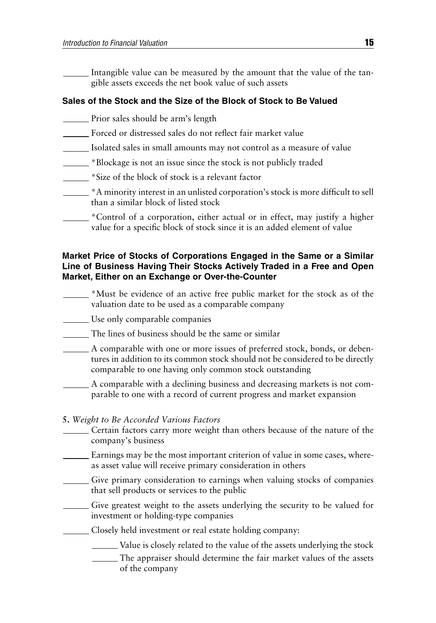Intangible value can be measured by the amount that the value of the tangible assets exceeds the net book value of such assets

## **Sales of the Stock and the Size of the Block of Stock to Be Valued**

- Prior sales should be arm's length
- Forced or distressed sales do not reflect fair market value
- Isolated sales in small amounts may not control as a measure of value
- \*Blockage is not an issue since the stock is not publicly traded
- \*Size of the block of stock is a relevant factor
- \*A minority interest in an unlisted corporation's stock is more difficult to sell than a similar block of listed stock
	- \*Control of a corporation, either actual or in effect, may justify a higher value for a specific block of stock since it is an added element of value

## **Market Price of Stocks of Corporations Engaged in the Same or a Similar Line of Business Having Their Stocks Actively Traded in a Free and Open Market, Either on an Exchange or Over-the-Counter**

- \*Must be evidence of an active free public market for the stock as of the valuation date to be used as a comparable company
- Use only comparable companies
- The lines of business should be the same or similar
- A comparable with one or more issues of preferred stock, bonds, or debentures in addition to its common stock should not be considered to be directly comparable to one having only common stock outstanding
- A comparable with a declining business and decreasing markets is not comparable to one with a record of current progress and market expansion
- **5.** *Weight to Be Accorded Various Factors*
- Certain factors carry more weight than others because of the nature of the company's business
- Earnings may be the most important criterion of value in some cases, whereas asset value will receive primary consideration in others
- Give primary consideration to earnings when valuing stocks of companies that sell products or services to the public
- Give greatest weight to the assets underlying the security to be valued for investment or holding-type companies
- Closely held investment or real estate holding company:
	- Value is closely related to the value of the assets underlying the stock

 The appraiser should determine the fair market values of the assets of the company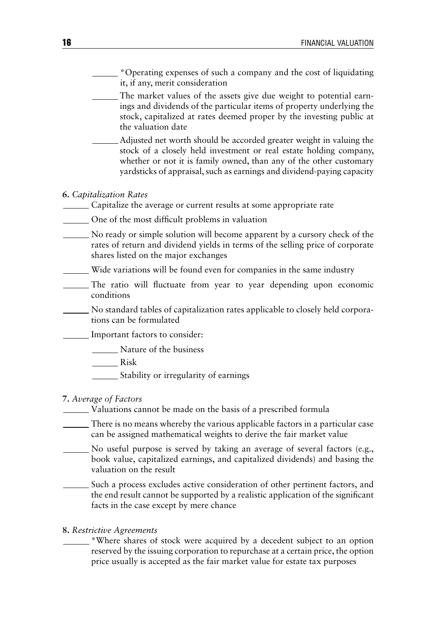- \*Operating expenses of such a company and the cost of liquidating it, if any, merit consideration
- The market values of the assets give due weight to potential earnings and dividends of the particular items of property underlying the stock, capitalized at rates deemed proper by the investing public at the valuation date
- Adjusted net worth should be accorded greater weight in valuing the stock of a closely held investment or real estate holding company, whether or not it is family owned, than any of the other customary yardsticks of appraisal, such as earnings and dividend-paying capacity
- **6.** *Capitalization Rates*
- Capitalize the average or current results at some appropriate rate
- $\sum$  One of the most difficult problems in valuation
- No ready or simple solution will become apparent by a cursory check of the rates of return and dividend yields in terms of the selling price of corporate shares listed on the major exchanges
	- Wide variations will be found even for companies in the same industry
- The ratio will fluctuate from year to year depending upon economic conditions
- No standard tables of capitalization rates applicable to closely held corporations can be formulated
- **Important factors to consider:**

Nature of the business

Risk

- **Stability or irregularity of earnings**
- **7.** *Average of Factors*

Valuations cannot be made on the basis of a prescribed formula

- There is no means whereby the various applicable factors in a particular case can be assigned mathematical weights to derive the fair market value
- No useful purpose is served by taking an average of several factors (e.g., book value, capitalized earnings, and capitalized dividends) and basing the valuation on the result

 Such a process excludes active consideration of other pertinent factors, and the end result cannot be supported by a realistic application of the significant facts in the case except by mere chance

#### **8.** *Restrictive Agreements*

 \*Where shares of stock were acquired by a decedent subject to an option reserved by the issuing corporation to repurchase at a certain price, the option price usually is accepted as the fair market value for estate tax purposes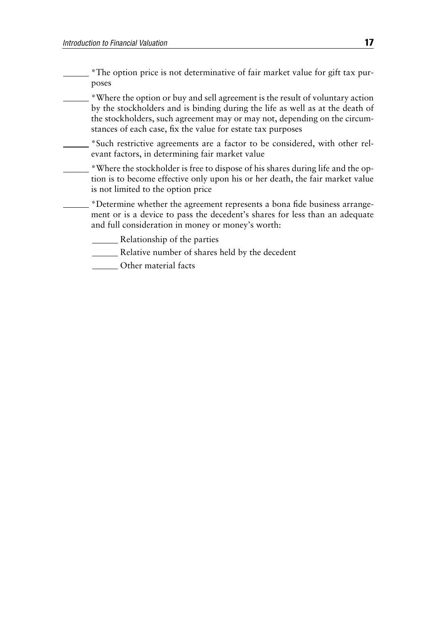- <sup>\*</sup>The option price is not determinative of fair market value for gift tax purposes
	- \*Where the option or buy and sell agreement is the result of voluntary action by the stockholders and is binding during the life as well as at the death of the stockholders, such agreement may or may not, depending on the circumstances of each case, fix the value for estate tax purposes
- \*Such restrictive agreements are a factor to be considered, with other relevant factors, in determining fair market value
	- \*Where the stockholder is free to dispose of his shares during life and the option is to become effective only upon his or her death, the fair market value is not limited to the option price
		- \*Determine whether the agreement represents a bona fide business arrangement or is a device to pass the decedent's shares for less than an adequate and full consideration in money or money's worth:
			- **EXECUTE:** Relationship of the parties
			- **EXECUTE:** Relative number of shares held by the decedent
			- Other material facts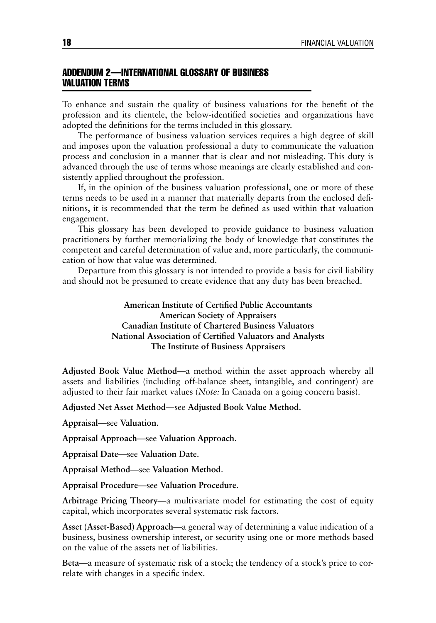## ADDENDUM 2—INTERNATIONAL GLOSSARY OF BUSINESS VALUATION TERMS

To enhance and sustain the quality of business valuations for the benefit of the profession and its clientele, the below-identified societies and organizations have adopted the definitions for the terms included in this glossary.

The performance of business valuation services requires a high degree of skill and imposes upon the valuation professional a duty to communicate the valuation process and conclusion in a manner that is clear and not misleading. This duty is advanced through the use of terms whose meanings are clearly established and consistently applied throughout the profession.

If, in the opinion of the business valuation professional, one or more of these terms needs to be used in a manner that materially departs from the enclosed definitions, it is recommended that the term be defined as used within that valuation engagement.

This glossary has been developed to provide guidance to business valuation practitioners by further memorializing the body of knowledge that constitutes the competent and careful determination of value and, more particularly, the communication of how that value was determined.

Departure from this glossary is not intended to provide a basis for civil liability and should not be presumed to create evidence that any duty has been breached.

> **American Institute of Certified Public Accountants American Society of Appraisers Canadian Institute of Chartered Business Valuators National Association of Certified Valuators and Analysts The Institute of Business Appraisers**

Adjusted Book Value Method—a method within the asset approach whereby all assets and liabilities (including off-balance sheet, intangible, and contingent) are adjusted to their fair market values ( *Note:* In Canada on a going concern basis).

**Adjusted Net Asset Method** — see **Adjusted Book Value Method**.

**Appraisal**— see **Valuation**.

**Appraisal Approach**— see **Valuation Approach**.

**Appraisal Date**— see **Valuation Date**.

**Appraisal Method**— see **Valuation Method**.

**Appraisal Procedure**— see **Valuation Procedure**.

Arbitrage Pricing Theory—a multivariate model for estimating the cost of equity capital, which incorporates several systematic risk factors.

**Asset (Asset-Based) Approach**— a general way of determining a value indication of a business, business ownership interest, or security using one or more methods based on the value of the assets net of liabilities.

**Beta** — a measure of systematic risk of a stock; the tendency of a stock's price to correlate with changes in a specific index.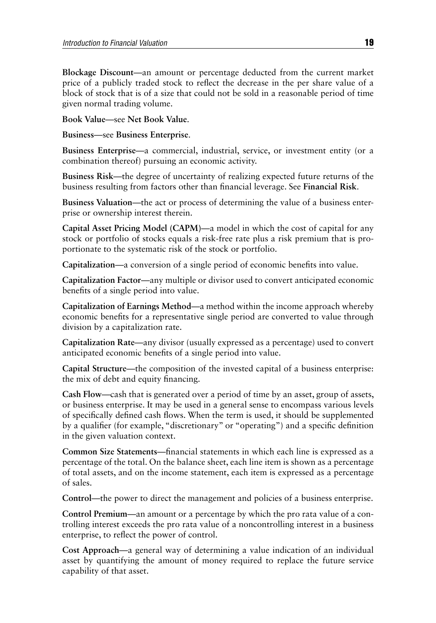**Blockage Discount** — an amount or percentage deducted from the current market price of a publicly traded stock to reflect the decrease in the per share value of a block of stock that is of a size that could not be sold in a reasonable period of time given normal trading volume.

**Book Value** — see **Net Book Value**.

**Business** — see **Business Enterprise**.

**Business Enterprise**— a commercial, industrial, service, or investment entity (or a combination thereof) pursuing an economic activity.

**Business Risk** — the degree of uncertainty of realizing expected future returns of the business resulting from factors other than financial leverage. See **Financial Risk.** 

**Business Valuation**— the act or process of determining the value of a business enterprise or ownership interest therein.

**Capital Asset Pricing Model (CAPM)—a model in which the cost of capital for any** stock or portfolio of stocks equals a risk-free rate plus a risk premium that is proportionate to the systematic risk of the stock or portfolio.

**Capitalization—a** conversion of a single period of economic benefits into value.

**Capitalization Factor** — any multiple or divisor used to convert anticipated economic benefits of a single period into value.

**Capitalization of Earnings Method**— a method within the income approach whereby economic benefits for a representative single period are converted to value through division by a capitalization rate.

**Capitalization Rate**— any divisor (usually expressed as a percentage) used to convert anticipated economic benefits of a single period into value.

**Capital Structure** — the composition of the invested capital of a business enterprise: the mix of debt and equity financing.

**Cash Flow—cash that is generated over a period of time by an asset, group of assets,** or business enterprise. It may be used in a general sense to encompass various levels of specifically defined cash flows. When the term is used, it should be supplemented by a qualifier (for example, "discretionary" or "operating") and a specific definition in the given valuation context.

**Common Size Statements—financial statements in which each line is expressed as a** percentage of the total. On the balance sheet, each line item is shown as a percentage of total assets, and on the income statement, each item is expressed as a percentage of sales.

**Control**— the power to direct the management and policies of a business enterprise.

**Control Premium—an amount or a percentage by which the pro rata value of a con**trolling interest exceeds the pro rata value of a noncontrolling interest in a business enterprise, to reflect the power of control.

**Cost Approach**— a general way of determining a value indication of an individual asset by quantifying the amount of money required to replace the future service capability of that asset.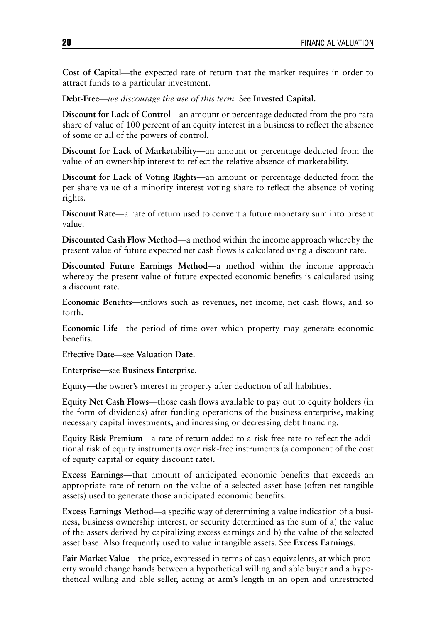**Cost of Capital**— the expected rate of return that the market requires in order to attract funds to a particular investment.

**Debt-Free**— *we discourage the use of this term.* See **Invested Capital.**

**Discount for Lack of Control**— an amount or percentage deducted from the pro rata share of value of 100 percent of an equity interest in a business to reflect the absence of some or all of the powers of control.

**Discount for Lack of Marketability**— an amount or percentage deducted from the value of an ownership interest to reflect the relative absence of marketability.

**Discount for Lack of Voting Rights**— an amount or percentage deducted from the per share value of a minority interest voting share to reflect the absence of voting rights.

**Discount Rate—a** rate of return used to convert a future monetary sum into present value.

**Discounted Cash Flow Method—a** method within the income approach whereby the present value of future expected net cash flows is calculated using a discount rate.

Discounted Future Earnings Method—a method within the income approach whereby the present value of future expected economic benefits is calculated using a discount rate.

**Economic Benefits—inflows such as revenues, net income, net cash flows, and so** forth.

**Economic Life**— the period of time over which property may generate economic benefits.

**Effective Date**— see **Valuation Date**.

**Enterprise**— see **Business Enterprise**.

Equity—the owner's interest in property after deduction of all liabilities.

Equity Net Cash Flows—those cash flows available to pay out to equity holders (in the form of dividends) after funding operations of the business enterprise, making necessary capital investments, and increasing or decreasing debt financing.

**Equity Risk Premium—a** rate of return added to a risk-free rate to reflect the additional risk of equity instruments over risk-free instruments (a component of the cost of equity capital or equity discount rate).

**Excess Earnings—that amount of anticipated economic benefits that exceeds an** appropriate rate of return on the value of a selected asset base (often net tangible assets) used to generate those anticipated economic benefits.

**Excess Earnings Method—a** specific way of determining a value indication of a business, business ownership interest, or security determined as the sum of a) the value of the assets derived by capitalizing excess earnings and b) the value of the selected asset base. Also frequently used to value intangible assets. See **Excess Earnings**.

Fair Market Value—the price, expressed in terms of cash equivalents, at which property would change hands between a hypothetical willing and able buyer and a hypothetical willing and able seller, acting at arm's length in an open and unrestricted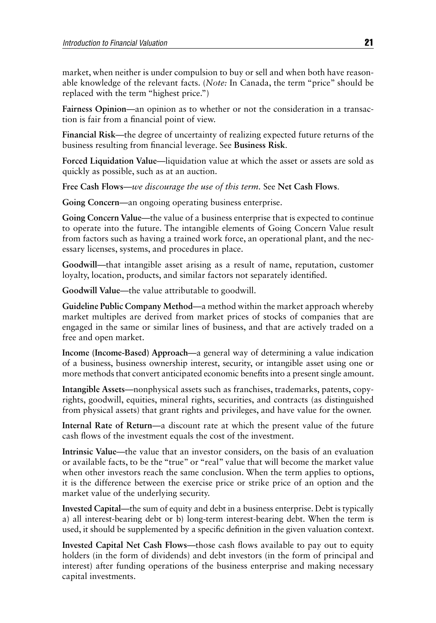market, when neither is under compulsion to buy or sell and when both have reasonable knowledge of the relevant facts. ( *Note:* In Canada, the term "price" should be replaced with the term "highest price.")

**Fairness Opinion**— an opinion as to whether or not the consideration in a transaction is fair from a financial point of view.

**Financial Risk**— the degree of uncertainty of realizing expected future returns of the business resulting from financial leverage. See **Business Risk.** 

**Forced Liquidation Value**— liquidation value at which the asset or assets are sold as quickly as possible, such as at an auction.

**Free Cash Flows**— *we discourage the use of this term.* See **Net Cash Flows**.

Going Concern—an ongoing operating business enterprise.

Going Concern Value—the value of a business enterprise that is expected to continue to operate into the future. The intangible elements of Going Concern Value result from factors such as having a trained work force, an operational plant, and the necessary licenses, systems, and procedures in place.

**Goodwill**— that intangible asset arising as a result of name, reputation, customer loyalty, location, products, and similar factors not separately identified.

Goodwill Value—the value attributable to goodwill.

**Guideline Public Company Method**— a method within the market approach whereby market multiples are derived from market prices of stocks of companies that are engaged in the same or similar lines of business, and that are actively traded on a free and open market.

**Income (Income-Based) Approach—a** general way of determining a value indication of a business, business ownership interest, security, or intangible asset using one or more methods that convert anticipated economic benefits into a present single amount.

**Intangible Assets** — nonphysical assets such as franchises, trademarks, patents, copyrights, goodwill, equities, mineral rights, securities, and contracts (as distinguished from physical assets) that grant rights and privileges, and have value for the owner.

**Internal Rate of Return—a** discount rate at which the present value of the future cash flows of the investment equals the cost of the investment.

**Intrinsic Value—the value that an investor considers, on the basis of an evaluation** or available facts, to be the "true" or "real" value that will become the market value when other investors reach the same conclusion. When the term applies to options, it is the difference between the exercise price or strike price of an option and the market value of the underlying security.

**Invested Capital**— the sum of equity and debt in a business enterprise. Debt is typically a) all interest-bearing debt or b) long-term interest-bearing debt. When the term is used, it should be supplemented by a specific definition in the given valuation context.

**Invested Capital Net Cash Flows—those cash flows available to pay out to equity** holders (in the form of dividends) and debt investors (in the form of principal and interest) after funding operations of the business enterprise and making necessary capital investments.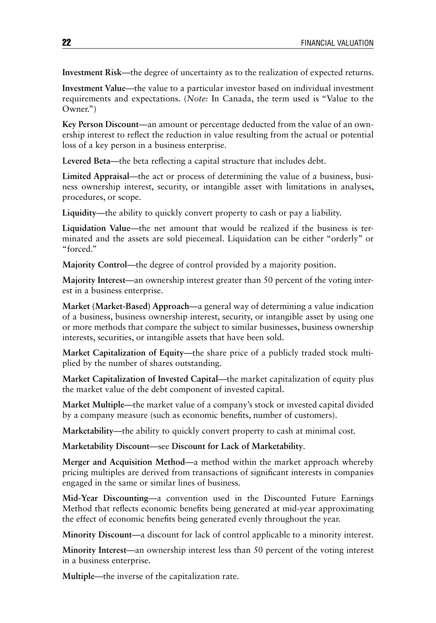**Investment Risk**— the degree of uncertainty as to the realization of expected returns.

**Investment Value**— the value to a particular investor based on individual investment requirements and expectations. (*Note:* In Canada, the term used is "Value to the Owner.")

Key Person Discount-an amount or percentage deducted from the value of an ownership interest to reflect the reduction in value resulting from the actual or potential loss of a key person in a business enterprise.

Levered Beta—the beta reflecting a capital structure that includes debt.

**Limited Appraisal**— the act or process of determining the value of a business, business ownership interest, security, or intangible asset with limitations in analyses, procedures, or scope.

Liquidity—the ability to quickly convert property to cash or pay a liability.

**Liquidation Value**— the net amount that would be realized if the business is terminated and the assets are sold piecemeal. Liquidation can be either "orderly" or "forced."

**Majority Control**— the degree of control provided by a majority position.

**Majority Interest**— an ownership interest greater than 50 percent of the voting interest in a business enterprise.

**Market (Market-Based) Approach**— a general way of determining a value indication of a business, business ownership interest, security, or intangible asset by using one or more methods that compare the subject to similar businesses, business ownership interests, securities, or intangible assets that have been sold.

**Market Capitalization of Equity—the share price of a publicly traded stock multi**plied by the number of shares outstanding.

**Market Capitalization of Invested Capital**— the market capitalization of equity plus the market value of the debt component of invested capital.

**Market Multiple—the market value of a company's stock or invested capital divided** by a company measure (such as economic benefits, number of customers).

Marketability—the ability to quickly convert property to cash at minimal cost.

**Marketability Discount**— see **Discount for Lack of Marketability**.

**Merger and Acquisition Method**— a method within the market approach whereby pricing multiples are derived from transactions of significant interests in companies engaged in the same or similar lines of business.

Mid-Year Discounting-a convention used in the Discounted Future Earnings Method that reflects economic benefits being generated at mid-year approximating the effect of economic benefits being generated evenly throughout the year.

**Minority Discount** — a discount for lack of control applicable to a minority interest.

**Minority Interest—an** ownership interest less than 50 percent of the voting interest in a business enterprise.

**Multiple—the inverse of the capitalization rate.**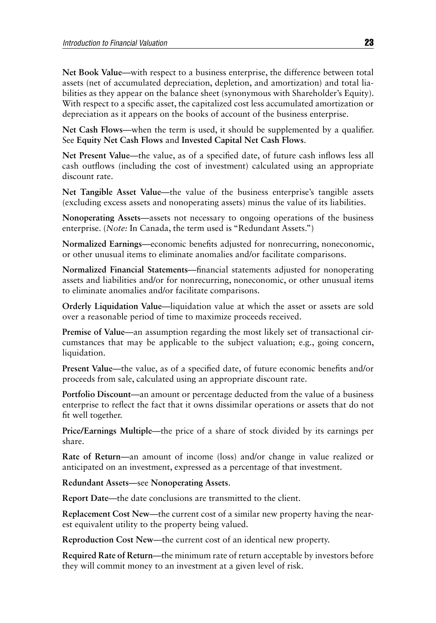**Net Book Value**— with respect to a business enterprise, the difference between total assets (net of accumulated depreciation, depletion, and amortization) and total liabilities as they appear on the balance sheet (synonymous with Shareholder's Equity). With respect to a specific asset, the capitalized cost less accumulated amortization or depreciation as it appears on the books of account of the business enterprise.

**Net Cash Flows—when the term is used, it should be supplemented by a qualifier.** See **Equity Net Cash Flows** and **Invested Capital Net Cash Flows**.

Net Present Value—the value, as of a specified date, of future cash inflows less all cash outflows (including the cost of investment) calculated using an appropriate discount rate.

**Net Tangible Asset Value**— the value of the business enterprise's tangible assets (excluding excess assets and nonoperating assets) minus the value of its liabilities.

**Nonoperating Assets** — assets not necessary to ongoing operations of the business enterprise. (*Note*: In Canada, the term used is "Redundant Assets.")

**Normalized Earnings—economic benefits adjusted for nonrecurring, noneconomic,** or other unusual items to eliminate anomalies and/or facilitate comparisons.

**Normalized Financial Statements—financial statements adjusted for nonoperating** assets and liabilities and/or for nonrecurring, noneconomic, or other unusual items to eliminate anomalies and/or facilitate comparisons.

**Orderly Liquidation Value** — liquidation value at which the asset or assets are sold over a reasonable period of time to maximize proceeds received.

**Premise of Value—an assumption regarding the most likely set of transactional cir**cumstances that may be applicable to the subject valuation; e.g., going concern, liquidation.

**Present Value—the value, as of a specified date, of future economic benefits and/or** proceeds from sale, calculated using an appropriate discount rate.

**Portfolio Discount**— an amount or percentage deducted from the value of a business enterprise to reflect the fact that it owns dissimilar operations or assets that do not fit well together.

**Price/Earnings Multiple**— the price of a share of stock divided by its earnings per share.

**Rate of Return—an amount of income (loss) and/or change in value realized or** anticipated on an investment, expressed as a percentage of that investment.

**Redundant Assets**— see **Nonoperating Assets**.

**Report Date—the date conclusions are transmitted to the client.** 

**Replacement Cost New—the current cost of a similar new property having the near**est equivalent utility to the property being valued.

**Reproduction Cost New—the current cost of an identical new property.** 

**Required Rate of Return**— the minimum rate of return acceptable by investors before they will commit money to an investment at a given level of risk.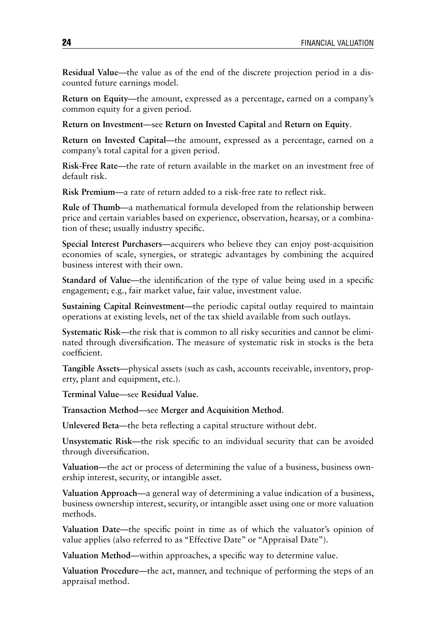**Residual Value**— the value as of the end of the discrete projection period in a discounted future earnings model.

**Return on Equity**— the amount, expressed as a percentage, earned on a company's common equity for a given period.

**Return on Investment**— see **Return on Invested Capital** and **Return on Equity**.

**Return on Invested Capital—the amount, expressed as a percentage, earned on a** company's total capital for a given period.

**Risk-Free Rate**— the rate of return available in the market on an investment free of default risk.

**Risk Premium—a** rate of return added to a risk-free rate to reflect risk.

**Rule of Thumb—a** mathematical formula developed from the relationship between price and certain variables based on experience, observation, hearsay, or a combination of these; usually industry specific.

**Special Interest Purchasers**— acquirers who believe they can enjoy post-acquisition economies of scale, synergies, or strategic advantages by combining the acquired business interest with their own.

Standard of Value—the identification of the type of value being used in a specific engagement; e.g., fair market value, fair value, investment value.

**Sustaining Capital Reinvestment**— the periodic capital outlay required to maintain operations at existing levels, net of the tax shield available from such outlays.

**Systematic Risk**— the risk that is common to all risky securities and cannot be eliminated through diversification. The measure of systematic risk in stocks is the beta coefficient.

**Tangible Assets** — physical assets (such as cash, accounts receivable, inventory, property, plant and equipment, etc.).

**Terminal Value**— see **Residual Value**.

**Transaction Method**— see **Merger and Acquisition Method**.

**Unlevered Beta—the beta reflecting a capital structure without debt.** 

**Unsystematic Risk—the risk specific to an individual security that can be avoided** through diversification.

**Valuation** — the act or process of determining the value of a business, business ownership interest, security, or intangible asset.

**Valuation Approach**— a general way of determining a value indication of a business, business ownership interest, security, or intangible asset using one or more valuation methods.

**Valuation Date—the specific point in time as of which the valuator's opinion of** value applies (also referred to as "Effective Date" or "Appraisal Date").

**Valuation Method—within approaches, a specific way to determine value.** 

**Valuation Procedure—the act, manner, and technique of performing the steps of an** appraisal method.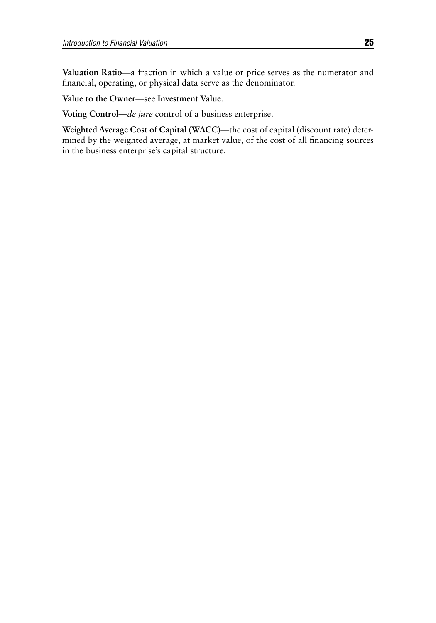Valuation Ratio-a fraction in which a value or price serves as the numerator and financial, operating, or physical data serve as the denominator.

**Value to the Owner**— see **Investment Value**.

Voting Control— *de jure* control of a business enterprise.

**Weighted Average Cost of Capital (WACC)**— the cost of capital (discount rate) determined by the weighted average, at market value, of the cost of all financing sources in the business enterprise's capital structure.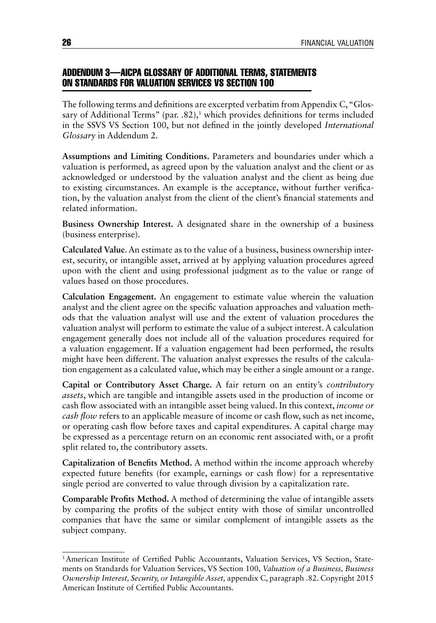## ADDENDUM 3—AICPA GLOSSARY OF ADDITIONAL TERMS, STATEMENTS ON STANDARDS FOR VALUATION SERVICES VS SECTION 100

The following terms and definitions are excerpted verbatim from Appendix C, "Glossary of Additional Terms" (par. .82),<sup>1</sup> which provides definitions for terms included in the SSVS VS Section 100, but not defined in the jointly developed *International Glossary* in Addendum 2.

**Assumptions and Limiting Conditions.** Parameters and boundaries under which a valuation is performed, as agreed upon by the valuation analyst and the client or as acknowledged or understood by the valuation analyst and the client as being due to existing circumstances. An example is the acceptance, without further verification, by the valuation analyst from the client of the client's financial statements and related information.

**Business Ownership Interest.** A designated share in the ownership of a business (business enterprise).

**Calculated Value**.An estimate as to the value of a business, business ownership interest, security, or intangible asset, arrived at by applying valuation procedures agreed upon with the client and using professional judgment as to the value or range of values based on those procedures.

**Calculation Engagement.** An engagement to estimate value wherein the valuation analyst and the client agree on the specific valuation approaches and valuation methods that the valuation analyst will use and the extent of valuation procedures the valuation analyst will perform to estimate the value of a subject interest. A calculation engagement generally does not include all of the valuation procedures required for a valuation engagement. If a valuation engagement had been performed, the results might have been different. The valuation analyst expresses the results of the calculation engagement as a calculated value, which may be either a single amount or a range.

**Capital or Contributory Asset Charge.** A fair return on an entity's *contributory assets*, which are tangible and intangible assets used in the production of income or cash flow associated with an intangible asset being valued. In this context, *income or cash flow* refers to an applicable measure of income or cash flow, such as net income, or operating cash flow before taxes and capital expenditures. A capital charge may be expressed as a percentage return on an economic rent associated with, or a profit split related to, the contributory assets.

**Capitalization of Benefits Method.** A method within the income approach whereby expected future benefits (for example, earnings or cash flow) for a representative single period are converted to value through division by a capitalization rate.

**Comparable Profits Method.** A method of determining the value of intangible assets by comparing the profits of the subject entity with those of similar uncontrolled companies that have the same or similar complement of intangible assets as the subject company.

<sup>&</sup>lt;sup>1</sup> American Institute of Certified Public Accountants, Valuation Services, VS Section, Statements on Standards for Valuation Services, VS Section 100, *Valuation of a Business, Business Ownership Interest, Security, or Intangible Asset,* appendix C, paragraph .82. Copyright 2015 American Institute of Certified Public Accountants.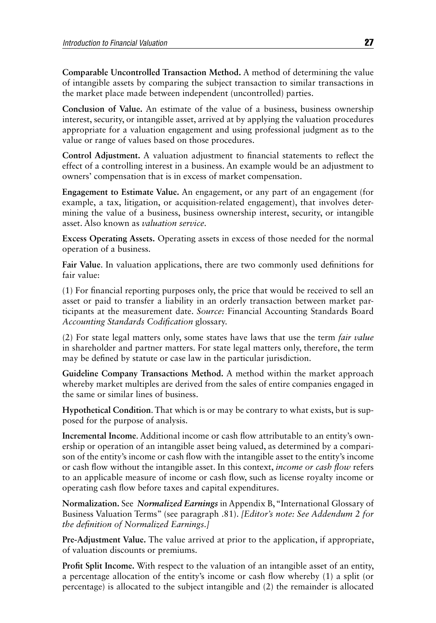**Comparable Uncontrolled Transaction Method.** A method of determining the value of intangible assets by comparing the subject transaction to similar transactions in the market place made between independent (uncontrolled) parties.

**Conclusion of Value.** An estimate of the value of a business, business ownership interest, security, or intangible asset, arrived at by applying the valuation procedures appropriate for a valuation engagement and using professional judgment as to the value or range of values based on those procedures.

**Control Adjustment.** A valuation adjustment to financial statements to reflect the effect of a controlling interest in a business. An example would be an adjustment to owners' compensation that is in excess of market compensation.

**Engagement to Estimate Value.** An engagement, or any part of an engagement (for example, a tax, litigation, or acquisition-related engagement), that involves determining the value of a business, business ownership interest, security, or intangible asset. Also known as *valuation service.*

**Excess Operating Assets.** Operating assets in excess of those needed for the normal operation of a business.

Fair Value. In valuation applications, there are two commonly used definitions for fair value:

 $(1)$  For financial reporting purposes only, the price that would be received to sell an asset or paid to transfer a liability in an orderly transaction between market participants at the measurement date. *Source:* Financial Accounting Standards Board *Accounting Standards Codifi cation* glossary.

(2) For state legal matters only, some states have laws that use the term *fair value* in shareholder and partner matters. For state legal matters only, therefore, the term may be defined by statute or case law in the particular jurisdiction.

**Guideline Company Transactions Method.** A method within the market approach whereby market multiples are derived from the sales of entire companies engaged in the same or similar lines of business.

**Hypothetical Condition**.That which is or may be contrary to what exists, but is supposed for the purpose of analysis.

**Incremental Income.** Additional income or cash flow attributable to an entity's ownership or operation of an intangible asset being valued, as determined by a comparison of the entity's income or cash flow with the intangible asset to the entity's income or cash flow without the intangible asset. In this context, *income or cash flow* refers to an applicable measure of income or cash flow, such as license royalty income or operating cash flow before taxes and capital expenditures.

**Normalization.** See *Normalized Earnings* in Appendix B, "International Glossary of Business Valuation Terms" (see paragraph .81). *[Editor's note: See Addendum 2 for the definition of Normalized Earnings.]* 

**Pre-Adjustment Value.** The value arrived at prior to the application, if appropriate, of valuation discounts or premiums.

**Profit Split Income.** With respect to the valuation of an intangible asset of an entity, a percentage allocation of the entity's income or cash flow whereby  $(1)$  a split (or percentage) is allocated to the subject intangible and (2) the remainder is allocated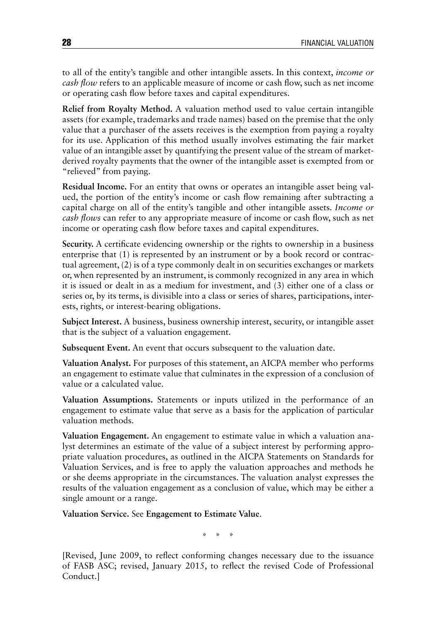to all of the entity's tangible and other intangible assets. In this context, *income or cash flow* refers to an applicable measure of income or cash flow, such as net income or operating cash flow before taxes and capital expenditures.

**Relief from Royalty Method.** A valuation method used to value certain intangible assets (for example, trademarks and trade names) based on the premise that the only value that a purchaser of the assets receives is the exemption from paying a royalty for its use. Application of this method usually involves estimating the fair market value of an intangible asset by quantifying the present value of the stream of marketderived royalty payments that the owner of the intangible asset is exempted from or "relieved" from paying.

**Residual Income.** For an entity that owns or operates an intangible asset being valued, the portion of the entity's income or cash flow remaining after subtracting a capital charge on all of the entity's tangible and other intangible assets*. Income or cash flows* can refer to any appropriate measure of income or cash flow, such as net income or operating cash flow before taxes and capital expenditures.

**Security.** A certificate evidencing ownership or the rights to ownership in a business enterprise that (1) is represented by an instrument or by a book record or contractual agreement, (2) is of a type commonly dealt in on securities exchanges or markets or, when represented by an instrument, is commonly recognized in any area in which it is issued or dealt in as a medium for investment, and (3) either one of a class or series or, by its terms, is divisible into a class or series of shares, participations, interests, rights, or interest-bearing obligations.

**Subject Interest.** A business, business ownership interest, security, or intangible asset that is the subject of a valuation engagement.

**Subsequent Event.** An event that occurs subsequent to the valuation date.

**Valuation Analyst.** For purposes of this statement, an AICPA member who performs an engagement to estimate value that culminates in the expression of a conclusion of value or a calculated value.

**Valuation Assumptions.** Statements or inputs utilized in the performance of an engagement to estimate value that serve as a basis for the application of particular valuation methods.

**Valuation Engagement.** An engagement to estimate value in which a valuation analyst determines an estimate of the value of a subject interest by performing appropriate valuation procedures, as outlined in the AICPA Statements on Standards for Valuation Services, and is free to apply the valuation approaches and methods he or she deems appropriate in the circumstances. The valuation analyst expresses the results of the valuation engagement as a conclusion of value, which may be either a single amount or a range.

**Valuation Service.** See **Engagement to Estimate Value**.

\* \* \*

[Revised, June 2009, to reflect conforming changes necessary due to the issuance of FASB ASC; revised, January 2015, to reflect the revised Code of Professional Conduct.]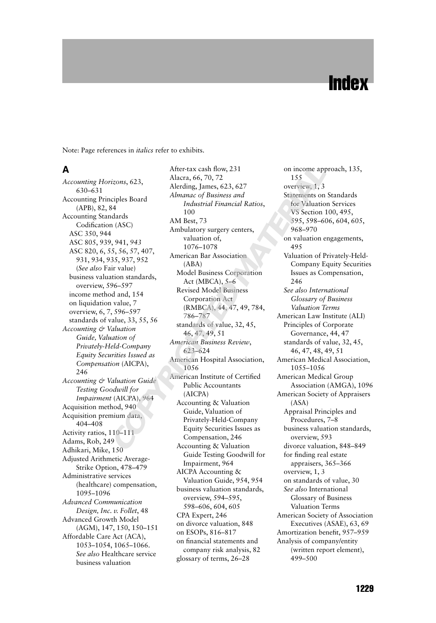

Note: Page references in *italics* refer to exhibits.

## **A**

*Accounting Horizons*, 623, 630–631 Accounting Principles Board (APB), 82, 84 Accounting Standards Codification (ASC) ASC 350, 944 ASC 805, 939, 941, *943* ASC 820, 6, 55, 56, 57, 407, 931, 934, 935, 937, 952 (*See also* Fair value) business valuation standards, overview, 596–597 income method and, 154 on liquidation value, 7 overview, 6, 7, 596–597 standards of value, 33, 55, 56 *Accounting & Valuation Guide, Valuation of Privately-Held-Company Equity Securities Issued as Compensation* (AICPA), 246 *Accounting & Valuation Guide Testing Goodwill for Impairment* (AICPA), 964 Acquisition method, 940 Acquisition premium data, 404–408 Activity ratios, 110–111 Adams, Rob, 249 Adhikari, Mike, 150 Adjusted Arithmetic Average-Strike Option, 478–479 Administrative services (healthcare) compensation, 1095–1096 *Advanced Communication Design, Inc. v. Follet*, 48 Advanced Growth Model (AGM), 147, 150, 150–151 Affordable Care Act (ACA), 1053–1054, 1065–1066. *See also* Healthcare service business valuation

After-tax cash flow, 231 Alacra, 66, 70, 72 Alerding, James, 623, 627 *Almanac of Business and Industrial Financial Ratios*, 100 AM Best, 73 Ambulatory surgery centers, valuation of, 1076–1078 American Bar Association (ABA) Model Business Corporation Act (MBCA), 5–6 Revised Model Business Corporation Act (RMBCA), 44, 47, 49, 784, 786–787 standards of value, 32, 45, 46, 47, 49, 51 *American Business Review*, 623–624 American Hospital Association, 1056 American Institute of Certified Public Accountants (AICPA) Accounting & Valuation Guide, Valuation of Privately-Held-Company Equity Securities Issues as Compensation, 246 Accounting & Valuation Guide Testing Goodwill for Impairment, 964 AICPA Accounting & Valuation Guide, 954, 954 business valuation standards, overview, 594–595, 598–606, 604, 605 CPA Expert, 246 on divorce valuation, 848 on ESOPs, 816–817 on financial statements and company risk analysis, 82 glossary of terms, 26–28 After-tax cash flow, 231 on income apprizons, 623, After-tax cash flow, 231 on income appricans, 623, Almanac of Business and Statements on allmanac of Business and Statements on a Mediated Financial Ratios, for Valuation

on income approach, 135, 155 overview, 1, 3 Statements on Standards for Valuation Services VS Section 100, 495, 595, 598–606, 604, 605, 968–970 on valuation engagements, 495 Valuation of Privately-Held-Company Equity Securities Issues as Compensation, 246 *See also International Glossary of Business Valuation Terms* American Law Institute (ALI) Principles of Corporate Governance, 44, 47 standards of value, 32, 45, 46, 47, 48, 49, 51 American Medical Association, 1055–1056 American Medical Group Association (AMGA), 1096 American Society of Appraisers (ASA) Appraisal Principles and Procedures, 7–8 business valuation standards, overview, 593 divorce valuation, 848–849 for finding real estate appraisers, 365–366 overview, 1, 3 on standards of value, 30 *See also* International Glossary of Business Valuation Terms American Society of Association Executives (ASAE), 63, 69 Amortization benefit, 957-959 Analysis of company/entity (written report element), 499–500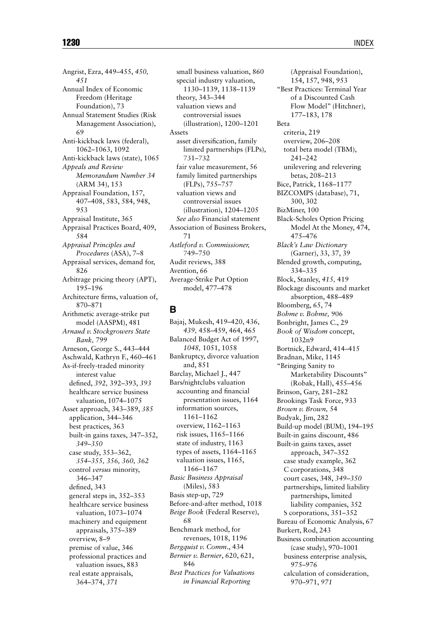Angrist, Ezra, 449–455, *450, 451* Annual Index of Economic Freedom (Heritage Foundation), 73 Annual Statement Studies (Risk Management Association), 69 Anti-kickback laws (federal), 1062–1063, 1092 Anti-kickback laws (state), 1065 *Appeals and Review Memorandum Number 34* (ARM 34), 153 Appraisal Foundation, 157, 407–408, 583, 584, 948, 953 Appraisal Institute, 365 Appraisal Practices Board, 409, 584 *Appraisal Principles and Procedures* (ASA), 7–8 Appraisal services, demand for, 826 Arbitrage pricing theory (APT), 195–196 Architecture firms, valuation of, 870–871 Arithmetic average-strike put model (AASPM), 481 *Arnaud v. Stockgrowers State Bank,* 799 Arneson, George S., 443–444 Aschwald, Kathryn F., 460–461 As-if-freely-traded minority interest value defi ned, *392,* 392–393, *393* healthcare service business valuation, 1074–1075 Asset approach, 343–389, *385* application, 344–346 best practices, 363 built-in gains taxes, 347–352, *349–350* case study, 353–362, *354–355, 356, 360, 362* control *versus* minority, 346–347 defined, 343 general steps in, 352–353 healthcare service business valuation, 1073–1074 machinery and equipment appraisals, 375–389 overview, 8–9 premise of value, 346 professional practices and valuation issues, 883 real estate appraisals, 364–374, *371*

small business valuation, 860 special industry valuation, 1130–1139, 1138–1139 theory, 343–344 valuation views and controversial issues (illustration), 1200–1201 Assets asset diversification, family limited partnerships (FLPs), 731–732 fair value measurement, 56 family limited partnerships (FLPs), 755–757 valuation views and controversial issues (illustration), 1204–1205 *See also* Financial statement Association of Business Brokers, 71 *Astleford v. Commissioner,* 749–750 Audit reviews, 388 Avention, 66 Average-Strike Put Option model, 477–478

## **B**

Bajaj, Mukesh, 419–420, 436, *439,* 458–459, 464, 465 Balanced Budget Act of 1997, *1048,* 1051, 1058 Bankruptcy, divorce valuation and, 851 Barclay, Michael J., 447 Bars/nightclubs valuation accounting and financial presentation issues, 1164 information sources, 1161–1162 overview, 1162–1163 risk issues, 1165–1166 state of industry, 1163 types of assets, 1164–1165 valuation issues, 1165, 1166–1167 *Basic Business Appraisal* (Miles), 583 Basis step-up, 729 Before-and-after method, 1018 *Beige Book* (Federal Reserve), 68 Benchmark method, for revenues, 1018, 1196 *Bergquist v. Comm*., 434 *Bernier v. Bernier*, 620, 621, 846 *Best Practices for Valuations in Financial Reporting*

(Appraisal Foundation), 154, 157, 948, 953 "Best Practices: Terminal Year of a Discounted Cash Flow Model" (Hitchner), 177–183, 178 Beta criteria, 219 overview, 206–208 total beta model (TBM), 241–242 unilevering and relevering betas, 208–213 Bice, Patrick, 1168–1177 BIZCOMPS (database), 71, 300, 302 BizMiner, 100 Black-Scholes Option Pricing Model At the Money, 474, 475–476 *Black's Law Dictionary* (Garner), 33, 37, 39 Blended growth, computing, 334–335 Block, Stanley, *415,* 419 Blockage discounts and market absorption, 488–489 Bloomberg, 65, 74 *Bohme v. Bohme,* 906 Bonbright, James C., 29 *Book of Wisdom* concept, 1032n9 Bortnick, Edward, 414–415 Bradnan, Mike, 1145 "Bringing Sanity to Marketability Discounts" (Robak, Hall), 455–456 Brinson, Gary, 281–282 Brookings Task Force, 933 *Brown v. Brown,* 54 Budyak, Jim, 282 Build-up model (BUM), 194–195 Built-in gains discount, 486 Built-in gains taxes, asset approach, 347–352 case study example, 362 C corporations, 348 court cases, 348, *349–350* partnerships, limited liability partnerships, limited liability companies, 352 S corporations, 351–352 Bureau of Economic Analysis, 67 Burkert, Rod, 243 Business combination accounting (case study), 970–1001 business enterprise analysis, 975–976 calculation of consideration, 970–971, *971*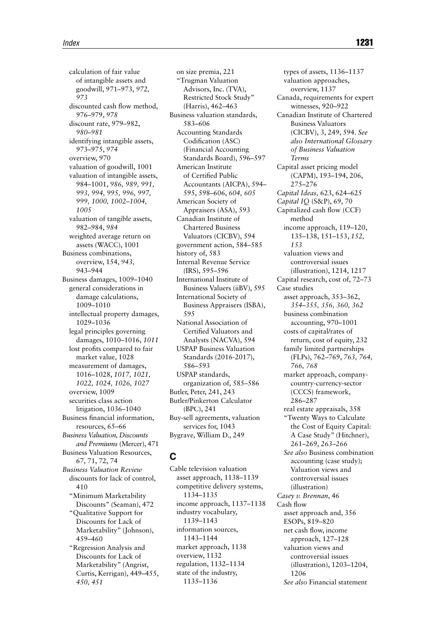calculation of fair value of intangible assets and goodwill, 971–973, *972, 973* discounted cash flow method, 976–979, *978* discount rate, 979–982, *980–981* identifying intangible assets, 973–975, *974* overview, 970 valuation of goodwill, 1001 valuation of intangible assets, 984–1001, *986, 989, 991, 993, 994, 995, 996, 997, 999, 1000, 1002–1004, 1005* valuation of tangible assets, 982–984, *984* weighted average return on assets (WACC), 1001 Business combinations, overview, 154, *943,* 943–944 Business damages, 1009–1040 general considerations in damage calculations, 1009–1010 intellectual property damages, 1029–1036 legal principles governing damages, 1010–1016, *1011* lost profits compared to fair market value, 1028 measurement of damages, 1016–1028, *1017, 1021, 1022, 1024, 1026, 1027* overview, 1009 securities class action litigation, 1036–1040 Business financial information, resources, 65–66 *Business Valuation, Discounts and Premiums* (Mercer), 471 Business Valuation Resources, 67, 71, 72, 74 *Business Valuation Review* discounts for lack of control, 410 "Minimum Marketability Discounts" (Seaman), 472 "Qualitative Support for Discounts for Lack of Marketability" (Johnson), 459–460 "Regression Analysis and Discounts for Lack of Marketability" (Angrist, Curtis, Kerrigan), 449–455,

*450, 451*

on size premia, 221 "Trugman Valuation Advisors, Inc. (TVA), Restricted Stock Study" (Harris), 462–463 Business valuation standards, 583–606 Accounting Standards Codification (ASC) (Financial Accounting Standards Board), 596–597 American Institute of Certified Public Accountants (AICPA), 594– 595, 598–606, *604, 605* American Society of Appraisers (ASA), 593 Canadian Institute of Chartered Business Valuators (CICBV), 594 government action, 584–585 history of, 583 Internal Revenue Service (IRS), 595–596 International Institute of Business Valuers (iiBV), 595 International Society of Business Appraisers (ISBA), 595 National Association of Certified Valuators and Analysts (NACVA), 594 USPAP Business Valuation Standards (2016-2017), 586–593 USPAP standards, organization of, 585–586 Butler, Peter, 241, 243 Butler/Pinkerton Calculator (BPC), 241 Buy-sell agreements, valuation services for, 1043 Bygrave, William D., 249

## **C**

Cable television valuation asset approach, 1138–1139 competitive delivery systems, 1134–1135 income approach, 1137–1138 industry vocabulary, 1139–1143 information sources, 1143–1144 market approach, 1138 overview, 1132 regulation, 1132–1134 state of the industry, 1135–1136

types of assets, 1136–1137 valuation approaches, overview, 1137 Canada, requirements for expert witnesses, 920–922 Canadian Institute of Chartered Business Valuators (CICBV), 3, 249, 594. *See also International Glossary of Business Valuation Terms* Capital asset pricing model (CAPM), 193–194, 206, 275–276 *Capital Ideas,* 623, 624–625 *Capital IQ* (S&P), 69, 70 Capitalized cash flow (CCF) method income approach, 119–120, 135–138, 151–153, *152, 153* valuation views and controversial issues (illustration), 1214, 1217 Capital research, cost of, 72–73 Case studies asset approach, 353–362, *354–355, 356, 360, 362* business combination accounting, 970–1001 costs of capital/rates of return, cost of equity, 232 family limited partnerships (FLPs), 762–769, *763, 764, 766, 768* market approach, companycountry-currency-sector (CCCS) framework, 286–287 real estate appraisals, 358 "Twenty Ways to Calculate the Cost of Equity Capital: A Case Study" (Hitchner), 261–269, *263–266 See also* Business combination accounting (case study); Valuation views and controversial issues (illustration) *Casey v. Brennan*, 46 Cash flow asset approach and, 356 ESOPs, 819–820 net cash flow, income approach, 127–128 valuation views and controversial issues (illustration), 1203–1204, 1206 *See also* Financial statement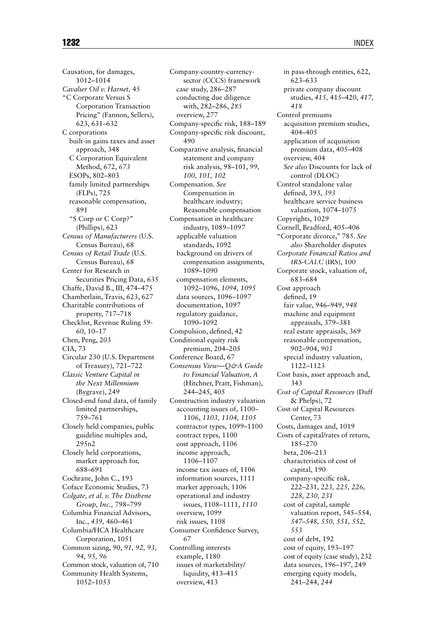Causation, for damages, 1012–1014 *Cavalier Oil v. Harnet,* 45 "C Corporate Versus S Corporation Transaction Pricing" (Fannon, Sellers), 623, 631–632 C corporations built-in gains taxes and asset approach, 348 C Corporation Equivalent Method, 672, *673* ESOPs, 802–803 family limited partnerships (FLPs), 725 reasonable compensation, 891 "S Corp or C Corp?" (Phillips), 623 *Census of Manufacturers* (U.S. Census Bureau), 68 *Census of Retail Trade* (U.S. Census Bureau), 68 Center for Research in Securities Pricing Data, 635 Chaffe, David B., III, 474–475 Chamberlain, Travis, 623, 627 Charitable contributions of property, 717–718 Checklist, Revenue Ruling 59- 60, 10–17 Chen, Peng, 203 CIA, 73 Circular 230 (U.S. Department of Treasury), 721–722 *Classic Venture Capital in the Next Millennium* (Bygrave), 249 Closed-end fund data, of family limited partnerships, 759–761 Closely held companies, public guideline multiples and, 295n2 Closely held corporations, market approach for, 688–691 Cochrane, John C., 193 Coface Economic Studies, 73 *Colgate, et al. v. The Disthene Group, Inc.,* 798–799 Columbia Financial Advisors, Inc., *439,* 460–461 Columbia/HCA Healthcare Corporation, 1051 Common sizing, 90, *91, 92, 93, 94, 95, 96* Common stock, valuation of, 710 Community Health Systems, 1052–1053

Company-country-currencysector (CCCS) framework case study, 286–287 conducting due diligence with, 282–286, *285* overview, 277 Company-specific risk, 188-189 Company-specific risk discount, 490 Comparative analysis, financial statement and company risk analysis, 98–101, *99, 100, 101, 102* Compensation. *See* Compensation in healthcare industry; Reasonable compensation Compensation in healthcare industry, 1089–1097 applicable valuation standards, 1092 background on drivers of compensation assignments, 1089–1090 compensation elements, 1092–1096, *1094, 1095* data sources, 1096–1097 documentation, 1097 regulatory guidance, 1090–1092 Compulsion, defined, 42 Conditional equity risk premium, 204–205 Conference Board, 67 *Consensus View—Q&A Guide to Financial Valuation, A* (Hitchner, Pratt, Fishman), 244–245, 405 Construction industry valuation accounting issues of, 1100– 1106, *1103, 1104, 1105* contractor types, 1099–1100 contract types, 1100 cost approach, 1106 income approach, 1106–1107 income tax issues of, 1106 information sources, 1111 market approach, 1106 operational and industry issues, 1108–1111, *1110* overview, 1099 risk issues, 1108 Consumer Confidence Survey, 67 Controlling interests example, 1180 issues of marketability/ liquidity, 413–415 overview, 413

in pass-through entities, 622, 623–633 private company discount studies, *415,* 415–420, *417, 418* Control premiums acquisition premium studies, 404–405 application of acquisition premium data, 405–408 overview, 404 *See also* Discounts for lack of control (DLOC) Control standalone value defined, 393, 393 healthcare service business valuation, 1074–1075 Copyrights, 1029 Cornell, Bradford, 405–406 "Corporate divorce," 785. *See also* Shareholder disputes *Corporate Financial Ratios and IRS-CALC* (IRS), 100 Corporate stock, valuation of, 683–684 Cost approach defined, 19 fair value, 946–949, *948* machine and equipment appraisals, 379–381 real estate appraisals, 369 reasonable compensation, 902–904, *903* special industry valuation, 1122–1123 Cost basis, asset approach and, 343 *Cost of Capital Resources* (Duff & Phelps), 72 Cost of Capital Resources Center, 73 Costs, damages and, 1019 Costs of capital/rates of return, 185–270 beta, 206–213 characteristics of cost of capital, 190 company-specific risk, 222–231, *223, 225, 226, 228, 230, 231* cost of capital, sample valuation report, 545–554, *547–548, 550, 551, 552, 553* cost of debt, 192 cost of equity, 193–197 cost of equity (case study), 232 data sources, 196–197, 249 emerging equity models, 241–244, *244*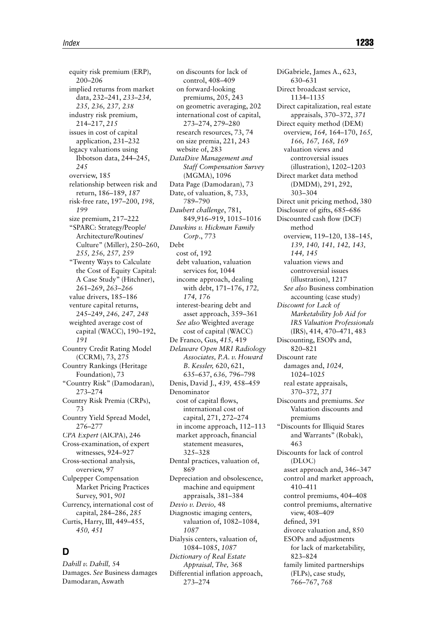equity risk premium (ERP), 200–206 implied returns from market data, 232–241, *233–234, 235, 236, 237, 238* industry risk premium, 214–217, *215* issues in cost of capital application, 231–232 legacy valuations using Ibbotson data, 244–245, *245* overview, 185 relationship between risk and return, 186–189, *187* risk-free rate, 197–200, *198, 199* size premium, 217–222 "SPARC: Strategy/People/ Architecture/Routines/ Culture" (Miller), 250–260, *255, 256, 257, 259* "Twenty Ways to Calculate the Cost of Equity Capital: A Case Study" (Hitchner), 261–269, *263–266* value drivers, 185–186 venture capital returns, 245–249, *246, 247, 248* weighted average cost of capital (WACC), 190–192, *191* Country Credit Rating Model (CCRM), 73, 275 Country Rankings (Heritage Foundation), 73 "Country Risk" (Damodaran), 273–274 Country Risk Premia (CRPs), 73 Country Yield Spread Model, 276–277 *CPA Expert* (AICPA), 246 Cross-examination, of expert witnesses, 924–927 Cross-sectional analysis, overview, 97 Culpepper Compensation Market Pricing Practices Survey, 901, *901* Currency, international cost of capital, 284–286, *285* Curtis, Harry, III, 449–455, *450, 451*

## **D**

*Dahill v. Dahill,* 54 Damages. *See* Business damages Damodaran, Aswath

on discounts for lack of control, 408–409 on forward-looking premiums, 205, 243 on geometric averaging, 202 international cost of capital, 273–274, 279–280 research resources, 73, 74 on size premia, 221, 243 website of, 283 *DataDive Management and Staff Compensation Survey* (MGMA), 1096 Data Page (Damodaran), 73 Date, of valuation, 8, 733, 789–790 *Daubert challenge*, 781, 849,916–919, 1015–1016 *Dawkins v. Hickman Family Corp*., 773 Debt cost of, 192 debt valuation, valuation services for, 1044 income approach, dealing with debt, 171–176, *172, 174, 176* interest-bearing debt and asset approach, 359–361 *See also* Weighted average cost of capital (WACC) De Franco, Gus, *415,* 419 *Delaware Open MRI Radiology Associates, P.A. v. Howard B. Kessler,* 620, 621, 635–637, *636,* 796–798 Denis, David J., *439,* 458–459 Denominator cost of capital flows, international cost of capital, 271, 272–274 in income approach, 112–113 market approach, financial statement measures, 325–328 Dental practices, valuation of, 869 Depreciation and obsolescence, machine and equipment appraisals, 381–384 *Devio v. Devio,* 48 Diagnostic imaging centers, valuation of, 1082–1084, *1087* Dialysis centers, valuation of, 1084–1085, *1087 Dictionary of Real Estate Appraisal, The,* 368 Differential inflation approach, 273–274

DiGabriele, James A., 623, 630–631 Direct broadcast service, 1134–1135 Direct capitalization, real estate appraisals, 370–372, *371* Direct equity method (DEM) overview, *164,* 164–170, *165, 166, 167, 168, 169* valuation views and controversial issues (illustration), 1202–1203 Direct market data method (DMDM), 291, 292, 303–304 Direct unit pricing method, 380 Disclosure of gifts, 685–686 Discounted cash flow (DCF) method overview, 119–120, 138–145, *139, 140, 141, 142, 143, 144, 145* valuation views and controversial issues (illustration), 1217 *See also* Business combination accounting (case study) *Discount for Lack of Marketability Job Aid for IRS Valuation Professionals* (IRS), 414, 470–471, 483 Discounting, ESOPs and, 820–821 Discount rate damages and, *1024,* 1024–1025 real estate appraisals, 370–372, *371* Discounts and premiums. *See* Valuation discounts and premiums "Discounts for Illiquid Stares and Warrants" (Robak), 463 Discounts for lack of control (DLOC) asset approach and, 346–347 control and market approach, 410–411 control premiums, 404–408 control premiums, alternative view, 408–409 defined, 391 divorce valuation and, 850 ESOPs and adjustments for lack of marketability, 823–824 family limited partnerships (FLPs), case study, 766–767, *768*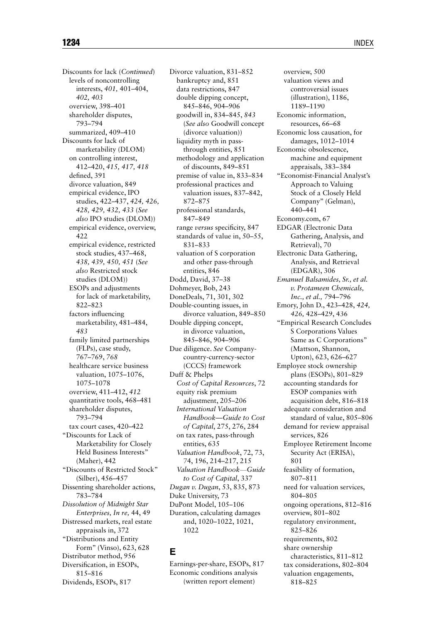levels of noncontrolling interests, *401,* 401–404, *402, 403* overview, 398–401 shareholder disputes, 793–794 summarized, 409–410 Discounts for lack of marketability (DLOM) on controlling interest, 412–420, *415, 417, 418* defined, 391 divorce valuation, 849 empirical evidence, IPO studies, 422–437, *424, 426, 428, 429, 432, 433* (*See also* IPO studies (DLOM)) empirical evidence, overview, 422 empirical evidence, restricted stock studies, 437–468, *438, 439, 450, 451* (*See also* Restricted stock studies (DLOM)) ESOPs and adjustments for lack of marketability, 822–823 factors influencing marketability, 481–484, *483* family limited partnerships (FLPs), case study, 767–769, *768* healthcare service business valuation, 1075–1076, 1075–1078 overview, 411–412, *412* quantitative tools, 468–481 shareholder disputes, 793–794 tax court cases, 420–422 "Discounts for Lack of Marketability for Closely Held Business Interests" (Maher), 442 "Discounts of Restricted Stock" (Silber), 456–457 Dissenting shareholder actions, 783–784 *Dissolution of Midnight Star Enterprises, In re,* 44, 49 Distressed markets, real estate appraisals in, 372 "Distributions and Entity Form" (Vinso), 623, 628 Distributor method, 956 Diversification, in ESOPs, 815–816 Discounts for lack (*Continued*)

Dividends, ESOPs, 817

Divorce valuation, 831–852 bankruptcy and, 851 data restrictions, 847 double dipping concept, 845–846, 904–906 goodwill in, 834–845, *843* (*See also* Goodwill concept (divorce valuation)) liquidity myth in passthrough entities, 851 methodology and application of discounts, 849–851 premise of value in, 833–834 professional practices and valuation issues, 837–842, 872–875 professional standards, 847–849 range versus specificity, 847 standards of value in, 50–55, 831–833 valuation of S corporation and other pass-through entities, 846 Dodd, David, 37–38 Dohmeyer, Bob, 243 DoneDeals, 71, 301, 302 Double-counting issues, in divorce valuation, 849–850 Double dipping concept, in divorce valuation, 845–846, 904–906 Due diligence. *See* Companycountry-currency-sector (CCCS) framework Duff & Phelps *Cost of Capital Resources*, 72 equity risk premium adjustment, 205–206 *International Valuation Handbook—Guide to Cost of Capital*, 275, 276, 284 on tax rates, pass-through entities, 635 *Valuation Handbook*, 72, 73, 74, 196, 214–217, 215 *Valuation Handbook*—*Guide to Cost of Capital*, 337 *Dugan v. Dugan*, 53, 835, 873 Duke University, 73 DuPont Model, 105–106 Duration, calculating damages and, 1020–1022, 1021, 1022

## **E**

Earnings-per-share, ESOPs, 817 Economic conditions analysis (written report element)

overview, 500 valuation views and controversial issues (illustration), 1186, 1189–1190 Economic information, resources, 66–68 Economic loss causation, for damages, 1012–1014 Economic obsolescence, machine and equipment appraisals, 383–384 "Economist-Financial Analyst's Approach to Valuing Stock of a Closely Held Company" (Gelman), 440–441 Economy.com, 67 EDGAR (Electronic Data Gathering, Analysis, and Retrieval), 70 Electronic Data Gathering, Analysis, and Retrieval (EDGAR), 306 *Emanuel Balsamides, Sr., et al. v. Protameen Chemicals, Inc., et al.,* 794–796 Emory, John D., 423–428, *424, 426,* 428–429, 436 "Empirical Research Concludes S Corporations Values Same as C Corporations" (Mattson, Shannon, Upton), 623, 626–627 Employee stock ownership plans (ESOPs), 801–829 accounting standards for ESOP companies with acquisition debt, 816–818 adequate consideration and standard of value, 805–806 demand for review appraisal services, 826 Employee Retirement Income Security Act (ERISA), 801 feasibility of formation, 807–811 need for valuation services, 804–805 ongoing operations, 812–816 overview, 801–802 regulatory environment, 825–826 requirements, 802 share ownership characteristics, 811–812 tax considerations, 802–804 valuation engagements, 818–825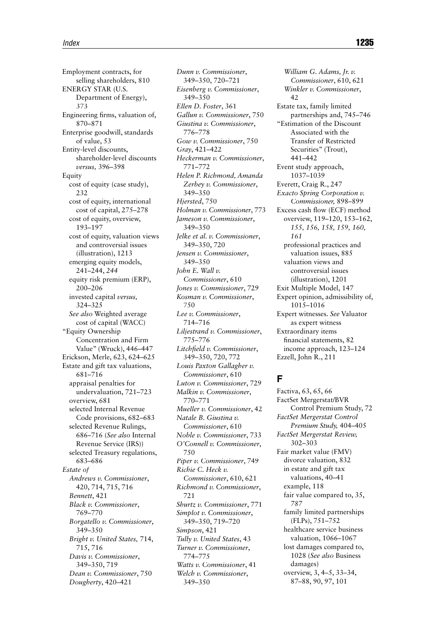Employment contracts, for selling shareholders, 810 ENERGY STAR (U.S. Department of Energy), 373 Engineering firms, valuation of, 870–871 Enterprise goodwill, standards of value, 53 Entity-level discounts, shareholder-level discounts *versus,* 396–398 Equity cost of equity (case study), 232 cost of equity, international cost of capital, 275–278 cost of equity, overview, 193–197 cost of equity, valuation views and controversial issues (illustration), 1213 emerging equity models, 241–244, *244* equity risk premium (ERP), 200–206 invested capital *versus,* 324–325 *See also* Weighted average cost of capital (WACC) "Equity Ownership Concentration and Firm Value" (Wruck), 446–447 Erickson, Merle, 623, 624–625 Estate and gift tax valuations, 681–716 appraisal penalties for undervaluation, 721–723 overview, 681 selected Internal Revenue Code provisions, 682–683 selected Revenue Rulings, 686–716 (*See also* Internal Revenue Service (IRS)) selected Treasury regulations, 683–686 *Estate of Andrews v. Commissioner*, 420, 714, 715, 716 *Bennett*, 421 *Black v. Commissioner*, 769–770 *Borgatello v. Commissioner*, 349–350 *Bright v. United States,* 714, 715, 716 *Davis v. Commissioner*, 349–350, 719 *Dean v. Commissioner*, 750 *Dougherty*, 420–421

*Dunn v. Commissioner*, 349–350, 720–721 *Eisenberg v. Commissioner*, 349–350 *Ellen D. Foster*, 361 *Gallun v. Commissioner*, 750 *Giustina v. Commissioner*, 776–778 *Gow v. Commissioner*, 750 *Gray*, 421–422 *Heckerman v. Commissioner*, 771–772 *Helen P. Richmond, Amanda Zerbey v. Commissioner*, 349–350 *Hjersted*, 750 *Holman v. Commissioner*, 773 *Jameson v. Commissioner*, 349–350 *Jelke et al. v. Commissioner*, 349–350, 720 *Jensen v. Commissioner*, 349–350 *John E. Wall v. Commissioner*, 610 *Jones v. Commissioner*, 729 *Kosman v. Commissioner*, 750 *Lee v. Commissioner*, 714–716 *Liljestrand v. Commissioner*, 775–776 Litchfield v. Commissioner, 349–350, 720, 772 *Louis Paxton Gallagher v. Commissioner*, 610 *Luton v. Commissioner*, 729 *Malkin v. Commissioner*, 770–771 *Mueller v. Commissioner*, 42 *Natale B. Giustina v. Commissioner*, 610 *Noble v. Commissioner*, 733 *O'Connell v. Commissioner*, 750 *Piper v. Commissioner*, 749 *Richie C. Heck v. Commissioner*, 610, 621 *Richmond v. Commissioner*, 721 *Shurtz v. Commissioner*, 771 *Simplot v. Commissioner*, 349–350, 719–720 *Simpson*, 421 *Tully v. United States*, 43 *Turner v. Commissioner*, 774–775 *Watts v. Commissioner*, 41 *Welch v. Commissioner*, 349–350

*William G. Adams, Jr. v. Commissioner*, 610, 621 *Winkler v. Commissioner*, 42 Estate tax, family limited partnerships and, 745–746 "Estimation of the Discount Associated with the Transfer of Restricted Securities" (Trout), 441–442 Event study approach, 1037–1039 Everett, Craig R., 247 *Exacto Spring Corporation v. Commissioner,* 898–899 Excess cash flow (ECF) method overview, 119–120, 153–162, *155, 156, 158, 159, 160, 161* professional practices and valuation issues, 885 valuation views and controversial issues (illustration), 1201 Exit Multiple Model, 147 Expert opinion, admissibility of, 1015–1016 Expert witnesses. *See* Valuator as expert witness Extraordinary items financial statements, 82 income approach, 123–124 Ezzell, John R., 211

## **F**

Factiva, 63, 65, 66 FactSet Mergerstat/BVR Control Premium Study, 72 *FactSet Mergerstat Control Premium Study,* 404–405 *FactSet Mergerstat Review,* 302–303 Fair market value (FMV) divorce valuation, 832 in estate and gift tax valuations, 40–41 example, 118 fair value compared to, 35, *787* family limited partnerships (FLPs), 751–752 healthcare service business valuation, 1066–1067 lost damages compared to, 1028 (*See also* Business damages) overview, 3, 4–5, 33–34, 87–88, 90, 97, 101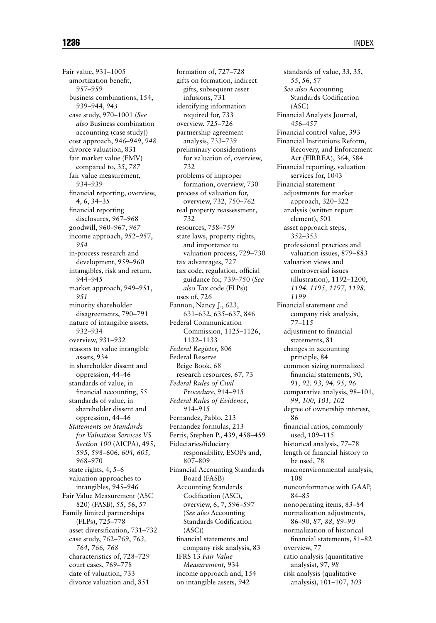Fair value, 931–1005 amortization benefit, 957–959 business combinations, 154, 939–944, *943* case study, 970–1001 (*See also* Business combination accounting (case study)) cost approach, 946–949, *948* divorce valuation, 831 fair market value (FMV) compared to, 35, *787* fair value measurement, 934–939 financial reporting, overview, 4, 6, 34–35 financial reporting disclosures, 967–968 goodwill, 960–967, *967* income approach, 952–957, *954* in-process research and development, 959–960 intangibles, risk and return, 944–945 market approach, 949–951, *951* minority shareholder disagreements, 790–791 nature of intangible assets, 932–934 overview, 931–932 reasons to value intangible assets, 934 in shareholder dissent and oppression, 44–46 standards of value, in financial accounting, 55 standards of value, in shareholder dissent and oppression, 44–46 *Statements on Standards for Valuation Services VS Section 100* (AICPA), 495, 595, 598–606, *604, 605,* 968–970 state rights, 4, 5–6 valuation approaches to intangibles, 945–946 Fair Value Measurement (ASC 820) (FASB), 55, 56, 57 Family limited partnerships (FLPs), 725–778 asset diversification, 731-732 case study, 762–769, *763, 764, 766, 768* characteristics of, 728–729 court cases, 769–778 date of valuation, 733 divorce valuation and, 851

formation of, 727–728 gifts on formation, indirect gifts, subsequent asset infusions, 731 identifying information required for, 733 overview, 725–726 partnership agreement analysis, 733–739 preliminary considerations for valuation of, overview, 732 problems of improper formation, overview, 730 process of valuation for, overview, 732, 750–762 real property reassessment, 732 resources, 758–759 state laws, property rights, and importance to valuation process, 729–730 tax advantages, 727 tax code, regulation, official guidance for, 739–750 (*See also* Tax code (FLPs)) uses of, 726 Fannon, Nancy J., 623, 631–632, 635–637, 846 Federal Communication Commission, 1125–1126, 1132–1133 *Federal Register,* 806 Federal Reserve Beige Book, 68 research resources, 67, 73 *Federal Rules of Civil Procedure*, 914–915 *Federal Rules of Evidence*, 914–915 Fernandez, Pablo, 213 Fernandez formulas, 213 Ferris, Stephen P., 439, 458–459 Fiduciaries/fiduciary responsibility, ESOPs and, 807–809 Financial Accounting Standards Board (FASB) Accounting Standards Codification (ASC), overview, 6, 7, 596–597 (*See also* Accounting Standards Codification  $(ASC)$ financial statements and company risk analysis, 83 IFRS 13 *Fair Value Measurement,* 934 income approach and, 154 on intangible assets, 942

standards of value, 33, 35, 55, 56, 57 *See also* Accounting Standards Codification (ASC) Financial Analysts Journal, 456–457 Financial control value, 393 Financial Institutions Reform, Recovery, and Enforcement Act (FIRREA), 364, 584 Financial reporting, valuation services for, 1043 Financial statement adjustments for market approach, 320–322 analysis (written report element), 501 asset approach steps, 352–353 professional practices and valuation issues, 879–883 valuation views and controversial issues (illustration), 1192–1200, *1194, 1195, 1197, 1198, 1199* Financial statement and company risk analysis, 77–115 adjustment to financial statements, 81 changes in accounting principle, 84 common sizing normalized financial statements, 90, *91, 92, 93, 94, 95, 96* comparative analysis, 98–101, *99, 100, 101, 102* degree of ownership interest, 86 financial ratios, commonly used, 109–115 historical analysis, 77–78 length of financial history to be used, 78 macroenvironmental analysis, 108 nonconformance with GAAP, 84–85 nonoperating items, 83–84 normalization adjustments, 86–90, *87, 88, 89–90* normalization of historical financial statements, 81-82 overview, 77 ratio analysis (quantitative analysis), 97, *98* risk analysis (qualitative analysis), 101–107, *103*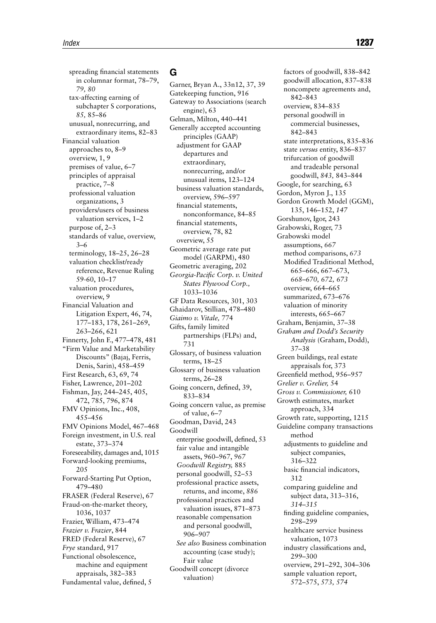spreading financial statements in columnar format, 78–79, *79, 80* tax-affecting earning of subchapter S corporations, *85,* 85–86 unusual, nonrecurring, and extraordinary items, 82–83 Financial valuation approaches to, 8–9 overview, 1, 9 premises of value, 6–7 principles of appraisal practice, 7–8 professional valuation organizations, 3 providers/users of business valuation services, 1–2 purpose of, 2–3 standards of value, overview, 3–6 terminology, 18–25, 26–28 valuation checklist/ready reference, Revenue Ruling 59-60, 10–17 valuation procedures, overview, 9 Financial Valuation and Litigation Expert, 46, 74, 177–183, 178, 261–269, 263–266, 621 Finnerty, John F., 477–478, 481 "Firm Value and Marketability Discounts" (Bajaj, Ferris, Denis, Sarin), 458–459 First Research, 63, 69, 74 Fisher, Lawrence, 201–202 Fishman, Jay, 244–245, 405, 472, 785, 796, 874 FMV Opinions, Inc., 408, 455–456 FMV Opinions Model, 467–468 Foreign investment, in U.S. real estate, 373–374 Foreseeability, damages and, 1015 Forward-looking premiums, 205 Forward-Starting Put Option, 479–480 FRASER (Federal Reserve), 67 Fraud-on-the-market theory, 1036, 1037 Frazier, William, 473–474 *Frazier v. Frazier*, 844 FRED (Federal Reserve), 67 *Frye* standard, 917 Functional obsolescence, machine and equipment appraisals, 382–383 Fundamental value, defined, 5

## **G**

Garner, Bryan A., 33n12, 37, 39 Gatekeeping function, 916 Gateway to Associations (search engine), 63 Gelman, Milton, 440–441 Generally accepted accounting principles (GAAP) adjustment for GAAP departures and extraordinary, nonrecurring, and/or unusual items, 123–124 business valuation standards, overview, 596–597 financial statements, nonconformance, 84–85 financial statements, overview, 78, 82 overview, 55 Geometric average rate put model (GARPM), 480 Geometric averaging, 202 *Georgia-Pacifi c Corp. v. United States Plywood Corp.,* 1033–1036 GF Data Resources, 301, 303 Ghaidarov, Stillian, 478–480 *Giaimo v. Vitale,* 774 Gifts, family limited partnerships (FLPs) and, 731 Glossary, of business valuation terms, 18–25 Glossary of business valuation terms, 26–28 Going concern, defined, 39, 833–834 Going concern value, as premise of value, 6–7 Goodman, David, 243 Goodwill enterprise goodwill, defined, 53 fair value and intangible assets, 960–967, *967 Goodwill Registry,* 885 personal goodwill, 52–53 professional practice assets, returns, and income, *886* professional practices and valuation issues, 871–873 reasonable compensation and personal goodwill, 906–907 *See also* Business combination accounting (case study); Fair value Goodwill concept (divorce valuation)

factors of goodwill, 838–842 goodwill allocation, 837–838 noncompete agreements and, 842–843 overview, 834–835 personal goodwill in commercial businesses, 842–843 state interpretations, 835–836 state *versus* entity, 836–837 trifurcation of goodwill and tradeable personal goodwill, *843,* 843–844 Google, for searching, 63 Gordon, Myron J., 135 Gordon Growth Model (GGM), 135, 146–152, *147* Gorshunov, Igor, 243 Grabowski, Roger, 73 Grabowski model assumptions, *667* method comparisons, *673* Modified Traditional Method, 665–666, 667–673, *668–670, 672, 673* overview, 664–665 summarized, 673–676 valuation of minority interests, 665–667 Graham, Benjamin, 37–38 *Graham and Dodd's Security Analysis* (Graham, Dodd), 37–38 Green buildings, real estate appraisals for, 373 Greenfield method, 956-957 *Grelier v. Grelier,* 54 *Gross v. Commissioner,* 610 Growth estimates, market approach, 334 Growth rate, supporting, 1215 Guideline company transactions method adjustments to guideline and subject companies, 316–322 basic financial indicators, 312 comparing guideline and subject data, 313–316, *314–315* finding guideline companies, 298–299 healthcare service business valuation, 1073 industry classifications and, 299–300 overview, 291–292, 304–306 sample valuation report, 572–575, *573, 574*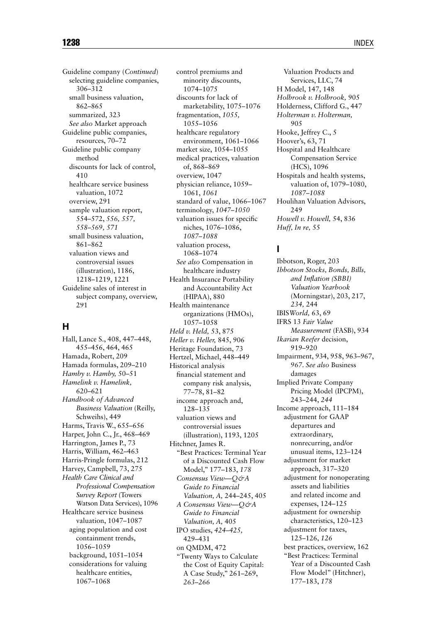selecting guideline companies, 306–312 small business valuation, 862–865 summarized, 323 *See also* Market approach Guideline public companies, resources, 70–72 Guideline public company method discounts for lack of control, 410 healthcare service business valuation, 1072 overview, 291 sample valuation report, 554–572, *556, 557, 558–569, 571* small business valuation, 861–862 valuation views and controversial issues (illustration), 1186, 1218–1219, 1221 Guideline sales of interest in subject company, overview, 291 Guideline company (*Continued*)

#### **H**

Hall, Lance S., 408, 447–448, 455–456, 464, 465 Hamada, Robert, 209 Hamada formulas, 209–210 *Hamby v. Hamby,* 50–51 *Hamelink v. Hamelink,* 620–621 *Handbook of Advanced Business Valuation* (Reilly, Schweihs), 449 Harms, Travis W., 655–656 Harper, John C., Jr., 468–469 Harrington, James P., 73 Harris, William, 462–463 Harris-Pringle formulas, 212 Harvey, Campbell, 73, 275 *Health Care Clinical and Professional Compensation Survey Report* (Towers Watson Data Services), 1096 Healthcare service business valuation, 1047–1087 aging population and cost containment trends, 1056–1059 background, 1051–1054 considerations for valuing healthcare entities, 1067–1068

control premiums and minority discounts, 1074–1075 discounts for lack of marketability, 1075–1076 fragmentation, *1055,* 1055–1056 healthcare regulatory environment, 1061–1066 market size, 1054–1055 medical practices, valuation of, 868–869 overview, 1047 physician reliance, 1059– 1061, *1061* standard of value, 1066–1067 terminology, *1047–1050* valuation issues for specific niches, 1076–1086, *1087–1088* valuation process, 1068–1074 *See also* Compensation in healthcare industry Health Insurance Portability and Accountability Act (HIPAA), 880 Health maintenance organizations (HMOs), 1057–1058 *Held v. Held,* 53, 875 *Heller v. Heller,* 845, 906 Heritage Foundation, 73 Hertzel, Michael, 448–449 Historical analysis financial statement and company risk analysis, 77–78, 81–82 income approach and, 128–135 valuation views and controversial issues (illustration), 1193, 1205 Hitchner, James R. "Best Practices: Terminal Year of a Discounted Cash Flow Model," 177–183, *178 Consensus View—Q&A Guide to Financial Valuation, A,* 244–245, 405 *A Consensus View—Q&A Guide to Financial Valuation, A,* 405 IPO studies, *424–425,* 429–431 on QMDM, 472

"Twenty Ways to Calculate the Cost of Equity Capital: A Case Study," 261–269, *263–266*

Valuation Products and Services, LLC, 74 H Model, 147, 148 *Holbrook v. Holbrook,* 905 Holderness, Clifford G., 447 *Holterman v. Holterman,* 905 Hooke, Jeffrey C., 5 Hoover's, 63, 71 Hospital and Healthcare Compensation Service (HCS), 1096 Hospitals and health systems, valuation of, 1079–1080, *1087–1088* Houlihan Valuation Advisors, 249 *Howell v. Howell,* 54, 836 *Huff, In re,* 55

## **I**

Ibbotson, Roger, 203 *Ibbotson Stocks, Bonds, Bills,*  and Inflation (SBBI) *Valuation Yearbook* (Morningstar), 203, 217, *234,* 244 IBIS*World,* 63, 69 IFRS 13 *Fair Value Measurement* (FASB), 934 *Ikarian Reefer* decision, 919–920 Impairment, 934, 958, 963–967, *967. See also* Business damages Implied Private Company Pricing Model (IPCPM), 243–244, *244* Income approach, 111–184 adjustment for GAAP departures and extraordinary, nonrecurring, and/or unusual items, 123–124 adjustment for market approach, 317–320 adjustment for nonoperating assets and liabilities and related income and expenses, 124–125 adjustment for ownership characteristics, 120–123 adjustment for taxes, 125–126, *126* best practices, overview, 162 "Best Practices: Terminal Year of a Discounted Cash Flow Model" (Hitchner), 177–183, *178*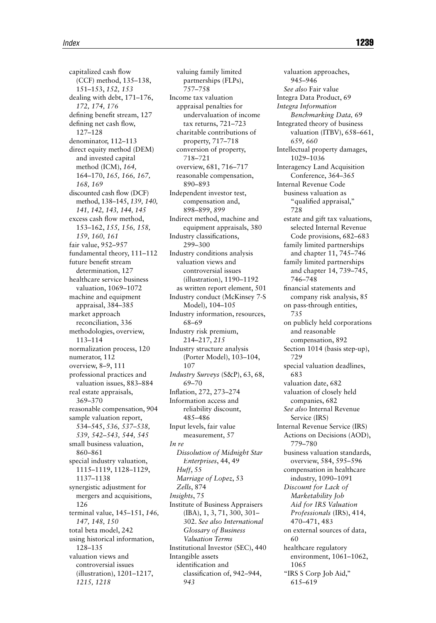capitalized cash flow (CCF) method, 135–138, 151–153, *152, 153* dealing with debt, 171–176, *172, 174, 176* defining benefit stream, 127 defining net cash flow, 127–128 denominator, 112–113 direct equity method (DEM) and invested capital method (ICM), *164,* 164–170, *165, 166, 167, 168, 169* discounted cash flow (DCF) method, 138–145, *139, 140, 141, 142, 143, 144, 145* excess cash flow method, 153–162, *155, 156, 158, 159, 160, 161* fair value, 952–957 fundamental theory, 111–112 future benefit stream determination, 127 healthcare service business valuation, 1069–1072 machine and equipment appraisal, 384–385 market approach reconciliation, 336 methodologies, overview, 113–114 normalization process, 120 numerator, 112 overview, 8–9, 111 professional practices and valuation issues, 883–884 real estate appraisals, 369–370 reasonable compensation, 904 sample valuation report, 534–545, *536, 537–538, 539, 542–543, 544, 545* small business valuation, 860–861 special industry valuation, 1115–1119, 1128–1129, 1137–1138 synergistic adjustment for mergers and acquisitions, 126 terminal value, 145–151, *146, 147, 148, 150* total beta model, 242 using historical information, 128–135 valuation views and controversial issues (illustration), 1201–1217, *1215, 1218*

valuing family limited partnerships (FLPs), 757–758 Income tax valuation appraisal penalties for undervaluation of income tax returns, 721–723 charitable contributions of property, 717–718 conversion of property, 718–721 overview, 681, 716–717 reasonable compensation, 890–893 Independent investor test, compensation and, 898–899, *899* Indirect method, machine and equipment appraisals, 380 Industry classifications, 299–300 Industry conditions analysis valuation views and controversial issues (illustration), 1190–1192 as written report element, 501 Industry conduct (McKinsey 7-S Model), 104–105 Industry information, resources, 68–69 Industry risk premium, 214–217, *215* Industry structure analysis (Porter Model), 103–104, 107 *Industry Surveys* (S&P), 63, 68, 69–70 Inflation, 272, 273-274 Information access and reliability discount, 485–486 Input levels, fair value measurement, 57 *In re Dissolution of Midnight Star Enterprises*, 44, 49 *Huff*, 55 *Marriage of Lopez*, 53 *Zells*, 874 *Insights*, 75 Institute of Business Appraisers (IBA), 1, 3, 71, 300, 301– 302. *See also International Glossary of Business Valuation Terms* Institutional Investor (SEC), 440 Intangible assets identification and classification of, 942-944, *943*

valuation approaches, 945–946 *See also* Fair value Integra Data Product, 69 *Integra Information Benchmarking Data,* 69 Integrated theory of business valuation (ITBV), 658–661, *659, 660* Intellectual property damages, 1029–1036 Interagency Land Acquisition Conference, 364–365 Internal Revenue Code business valuation as "qualified appraisal," 728 estate and gift tax valuations, selected Internal Revenue Code provisions, 682–683 family limited partnerships and chapter 11, 745–746 family limited partnerships and chapter 14, 739–745, 746–748 financial statements and company risk analysis, 85 on pass-through entities, 735 on publicly held corporations and reasonable compensation, 892 Section 1014 (basis step-up), 729 special valuation deadlines, 683 valuation date, 682 valuation of closely held companies, 682 *See also* Internal Revenue Service (IRS) Internal Revenue Service (IRS) Actions on Decisions (AOD), 779–780 business valuation standards, overview, 584, 595–596 compensation in healthcare industry, 1090–1091 *Discount for Lack of Marketability Job Aid for IRS Valuation Professionals* (IRS), 414, 470–471, 483 on external sources of data,  $60$ healthcare regulatory environment, 1061–1062, 1065 "IRS S Corp Job Aid," 615–619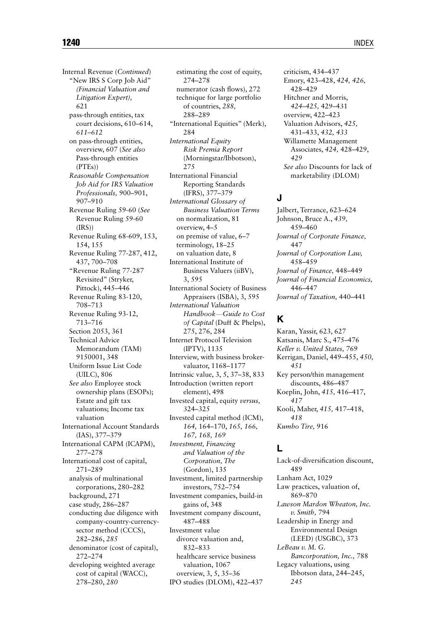"New IRS S Corp Job Aid" *(Financial Valuation and Litigation Expert),* 621 pass-through entities, tax court decisions, 610–614, *611–612* on pass-through entities, overview, 607 (*See also* Pass-through entities (PTEs)) *Reasonable Compensation Job Aid for IRS Valuation Professionals,* 900–901, 907–910 Revenue Ruling 59-60 (*See* Revenue Ruling 59-60  $(IRS)$ Revenue Ruling 68-609, 153, 154, 155 Revenue Ruling 77-287, 412, 437, 700–708 "Revenue Ruling 77-287 Revisited" (Stryker, Pittock), 445–446 Revenue Ruling 83-120, 708–713 Revenue Ruling 93-12, 713–716 Section 2053, 361 Technical Advice Memorandum (TAM) 9150001, 348 Uniform Issue List Code (UILC), 806 *See also* Employee stock ownership plans (ESOPs); Estate and gift tax valuations; Income tax valuation International Account Standards (IAS), 377–379 International CAPM (ICAPM), 277–278 International cost of capital, 271–289 analysis of multinational corporations, 280–282 background, 271 case study, 286–287 conducting due diligence with company-country-currencysector method (CCCS), 282–286, *285* denominator (cost of capital), 272–274 developing weighted average cost of capital (WACC), 278–280, *280* Internal Revenue (*Continued*)

estimating the cost of equity, 274–278 numerator (cash flows), 272 technique for large portfolio of countries, *288,* 288–289 "International Equities" (Merk), 284 *International Equity Risk Premia Report* (Morningstar/Ibbotson), 275 International Financial Reporting Standards (IFRS), 377–379 *International Glossary of Business Valuation Terms* on normalization, 81 overview, 4–5 on premise of value, 6–7 terminology, 18–25 on valuation date, 8 International Institute of Business Valuers (iiBV), 3, 595 International Society of Business Appraisers (ISBA), 3, 595 *International Valuation Handbook*—*Guide to Cost of Capital* (Duff & Phelps), 275, 276, 284 Internet Protocol Television (IPTV), 1135 Interview, with business brokervaluator, 1168–1177 Intrinsic value, 3, 5, 37–38, 833 Introduction (written report element), 498 Invested capital, equity *versus,* 324–325 Invested capital method (ICM), *164,* 164–170, *165, 166, 167, 168, 169 Investment, Financing and Valuation of the Corporation, The* (Gordon), 135 Investment, limited partnership investors, 752–754 Investment companies, build-in gains of, 348 Investment company discount, 487–488 Investment value divorce valuation and, 832–833 healthcare service business valuation, 1067 overview, 3, 5, 35–36

IPO studies (DLOM), 422–437

criticism, 434–437 Emory, 423–428, *424, 426,* 428–429 Hitchner and Morris, *424–425,* 429–431 overview, 422–423 Valuation Advisors, *425,* 431–433, *432, 433* Willamette Management Associates, *424,* 428–429, *429 See also* Discounts for lack of marketability (DLOM)

## **J**

Jalbert, Terrance, 623–624 Johnson, Bruce A., *439,* 459–460 *Journal of Corporate Finance,* 447 *Journal of Corporation Law,* 458–459 *Journal of Finance,* 448–449 *Journal of Financial Economics,* 446–447 *Journal of Taxation,* 440–441

## **K**

Karan, Yassir, 623, 627 Katsanis, Marc S., 475–476 *Keller v. United States,* 769 Kerrigan, Daniel, 449–455, *450, 451* Key person/thin management discounts, 486–487 Koeplin, John, *415,* 416–417, *417* Kooli, Maher, *415,* 417–418, *418 Kumbo Tire,* 916

## **L**

Lack-of-diversification discount, 489 Lanham Act, 1029 Law practices, valuation of, 869–870 *Lawson Mardon Wheaton, Inc. v. Smith,* 794 Leadership in Energy and Environmental Design (LEED) (USGBC), 373 *LeBeau v. M. G. Bancorporation, Inc.,* 788 Legacy valuations, using Ibbotson data, 244–245, *245*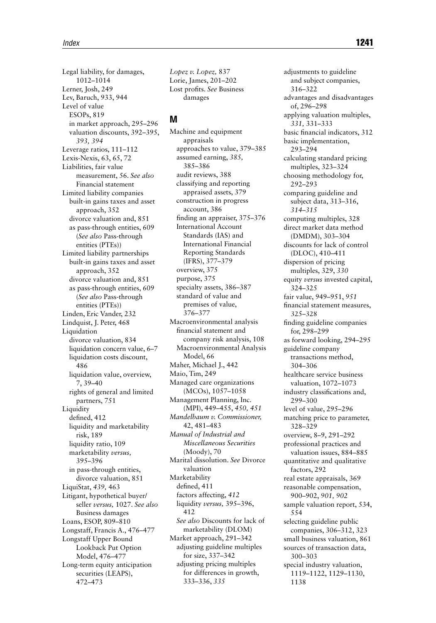Legal liability, for damages, 1012–1014 Lerner, Josh, 249 Lev, Baruch, 933, 944 Level of value ESOPs, 819 in market approach, 295–296 valuation discounts, 392–395, *393, 394* Leverage ratios, 111–112 Lexis-Nexis, 63, 65, 72 Liabilities, fair value measurement, 56. *See also* Financial statement Limited liability companies built-in gains taxes and asset approach, 352 divorce valuation and, 851 as pass-through entities, 609 (*See also* Pass-through entities (PTEs)) Limited liability partnerships built-in gains taxes and asset approach, 352 divorce valuation and, 851 as pass-through entities, 609 (*See also* Pass-through entities (PTEs)) Linden, Eric Vander, 232 Lindquist, J. Peter, 468 Liquidation divorce valuation, 834 liquidation concern value, 6–7 liquidation costs discount, 486 liquidation value, overview, 7, 39–40 rights of general and limited partners, 751 Liquidity defined, 412 liquidity and marketability risk, 189 liquidity ratio, 109 marketability *versus,* 395–396 in pass-through entities, divorce valuation, 851 LiquiStat, *439,* 463 Litigant, hypothetical buyer/ seller *versus,* 1027. *See also* Business damages Loans, ESOP, 809–810 Longstaff, Francis A., 476–477 Longstaff Upper Bound Lookback Put Option Model, 476–477 Long-term equity anticipation securities (LEAPS), 472–473

*Lopez v. Lopez,* 837 Lorie, James, 201–202 Lost profits. See Business damages

## **M**

Machine and equipment appraisals approaches to value, 379–385 assumed earning, *385,* 385–386 audit reviews, 388 classifying and reporting appraised assets, 379 construction in progress account, 386 finding an appraiser, 375–376 International Account Standards (IAS) and International Financial Reporting Standards (IFRS), 377–379 overview, 375 purpose, 375 specialty assets, 386–387 standard of value and premises of value, 376–377 Macroenvironmental analysis financial statement and company risk analysis, 108 Macroenvironmental Analysis Model, 66 Maher, Michael J., 442 Maio, Tim, 249 Managed care organizations (MCOs), 1057–1058 Management Planning, Inc. (MPI), 449–455, *450, 451 Mandelbaum v. Commissioner,* 42, 481–483 *Manual of Industrial and Miscellaneous Securities* (Moody), 70 Marital dissolution. *See* Divorce valuation Marketability defined, 411 factors affecting, *412* liquidity *versus,* 395–396, 412 *See also* Discounts for lack of marketability (DLOM) Market approach, 291–342 adjusting guideline multiples for size, 337–342 adjusting pricing multiples for differences in growth, 333–336, *335*

adjustments to guideline and subject companies, 316–322 advantages and disadvantages of, 296–298 applying valuation multiples, *331,* 331–333 basic financial indicators, 312 basic implementation, 293–294 calculating standard pricing multiples, 323–324 choosing methodology for, 292–293 comparing guideline and subject data, 313–316, *314–315* computing multiples, 328 direct market data method (DMDM), 303–304 discounts for lack of control (DLOC), 410–411 dispersion of pricing multiples, 329, *330* equity *versus* invested capital, 324–325 fair value, 949–951, *951* financial statement measures, 325–328 finding guideline companies for, 298–299 as forward looking, 294–295 guideline company transactions method, 304–306 healthcare service business valuation, 1072–1073 industry classifications and, 299–300 level of value, 295–296 matching price to parameter, 328–329 overview, 8–9, 291–292 professional practices and valuation issues, 884–885 quantitative and qualitative factors, 292 real estate appraisals, 369 reasonable compensation, 900–902, *901, 902* sample valuation report, 534, 554 selecting guideline public companies, 306–312, 323 small business valuation, 861 sources of transaction data, 300–303 special industry valuation, 1119–1122, 1129–1130, 1138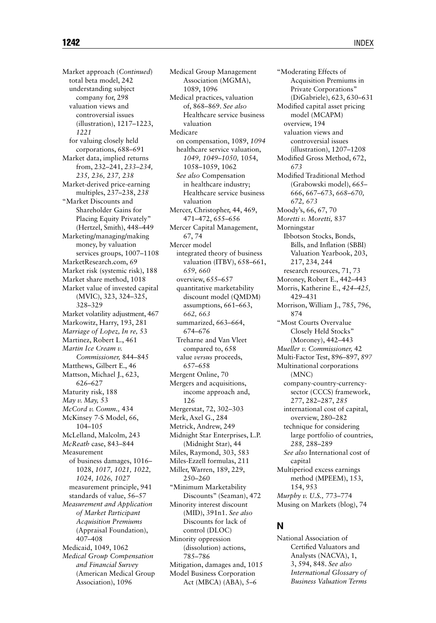total beta model, 242 understanding subject company for, 298 valuation views and controversial issues (illustration), 1217–1223, *1221* for valuing closely held corporations, 688–691 Market data, implied returns from, 232–241, *233–234, 235, 236, 237, 238* Market-derived price-earning multiples, 237–238, *238* "Market Discounts and Shareholder Gains for Placing Equity Privately" (Hertzel, Smith), 448–449 Marketing/managing/making money, by valuation services groups, 1007–1108 MarketResearch.com, 69 Market risk (systemic risk), 188 Market share method, 1018 Market value of invested capital (MVIC), 323, 324–325, 328–329 Market volatility adjustment, 467 Markowitz, Harry, 193, 281 *Marriage of Lopez, In re,* 53 Martinez, Robert L., 461 *Martin Ice Cream v. Commissioner,* 844–845 Matthews, Gilbert E., 46 Mattson, Michael J., 623, 626–627 Maturity risk, 188 *May v. May,* 53 *McCord v. Comm.,* 434 McKinsey 7-S Model, 66, 104–105 McLelland, Malcolm, 243 *McReath* case, 843–844 Measurement of business damages, 1016– 1028, *1017, 1021, 1022, 1024, 1026, 1027* measurement principle, 941 standards of value, 56–57 *Measurement and Application of Market Participant Acquisition Premiums* (Appraisal Foundation), 407–408 Medicaid, 1049, 1062 *Medical Group Compensation and Financial Survey* (American Medical Group Association), 1096 Market approach (*Continued*)

Medical Group Management Association (MGMA), 1089, 1096 Medical practices, valuation of, 868–869. *See also* Healthcare service business valuation Medicare on compensation, 1089, *1094* healthcare service valuation, *1049, 1049–1050,* 1054, 1058–1059, 1062 *See also* Compensation in healthcare industry; Healthcare service business valuation Mercer, Christopher, 44, 469, 471–472, 655–656 Mercer Capital Management, 67, 74 Mercer model integrated theory of business valuation (ITBV), 658–661, *659, 660* overview, 655–657 quantitative marketability discount model (QMDM) assumptions, 661–663, *662, 663* summarized, 663–664, 674–676 Treharne and Van Vleet compared to, 658 value *versus* proceeds, 657–658 Mergent Online, 70 Mergers and acquisitions, income approach and, 126 Mergerstat, 72, 302–303 Merk, Axel G., 284 Metrick, Andrew, 249 Midnight Star Enterprises, L.P. (Midnight Star), 44 Miles, Raymond, 303, 583 Miles-Ezzell formulas, 211 Miller, Warren, 189, 229, 250–260 "Minimum Marketability Discounts" (Seaman), 472 Minority interest discount (MID), 391n1. *See also* Discounts for lack of control (DLOC) Minority oppression (dissolution) actions, 785–786 Mitigation, damages and, 1015 Model Business Corporation Act (MBCA) (ABA), 5–6

"Moderating Effects of Acquisition Premiums in Private Corporations" (DiGabriele), 623, 630–631 Modified capital asset pricing model (MCAPM) overview, 194 valuation views and controversial issues (illustration), 1207–1208 Modified Gross Method, 672, *673* Modified Traditional Method (Grabowski model), 665– 666, 667–673, *668–670, 672, 673* Moody's, 66, 67, 70 *Moretti v. Moretti,* 837 Morningstar Ibbotson Stocks, Bonds, Bills, and Inflation (SBBI) Valuation Yearbook, 203, 217, 234, 244 research resources, 71, 73 Moroney, Robert E., 442–443 Morris, Katherine E., *424–425,* 429–431 Morrison, William J., 785, 796, 874 "Most Courts Overvalue Closely Held Stocks" (Moroney), 442–443 *Mueller v. Commissioner,* 42 Multi-Factor Test, 896–897, *897* Multinational corporations (MNC) company-country-currencysector (CCCS) framework, 277, 282–287, *285* international cost of capital, overview, 280–282 technique for considering large portfolio of countries, *288,* 288–289 *See also* International cost of capital Multiperiod excess earnings method (MPEEM), 153, 154, 953 *Murphy v. U.S.,* 773–774 Musing on Markets (blog), 74

#### **N**

National Association of Certified Valuators and Analysts (NACVA), 1, 3, 594, 848. *See also International Glossary of Business Valuation Terms*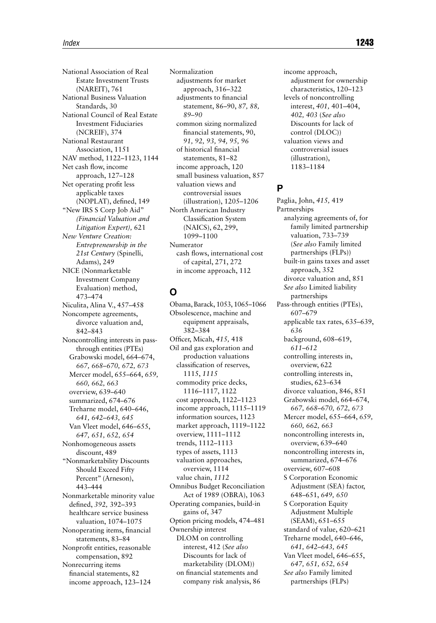National Association of Real Estate Investment Trusts (NAREIT), 761 National Business Valuation Standards, 30 National Council of Real Estate Investment Fiduciaries (NCREIF), 374 National Restaurant Association, 1151 NAV method, 1122–1123, 1144 Net cash flow, income approach, 127–128 Net operating profit less applicable taxes (NOPLAT), defined, 149 "New IRS S Corp Job Aid" *(Financial Valuation and Litigation Expert),* 621 *New Venture Creation: Entrepreneurship in the 21st Century* (Spinelli, Adams), 249 NICE (Nonmarketable Investment Company Evaluation) method, 473–474 Niculita, Alina V., 457–458 Noncompete agreements, divorce valuation and, 842–843 Noncontrolling interests in passthrough entities (PTEs) Grabowski model, 664–674, *667, 668–670, 672, 673* Mercer model, 655–664, *659, 660, 662, 663* overview, 639–640 summarized, 674–676 Treharne model, 640–646, *641, 642–643, 645* Van Vleet model, 646–655, *647, 651, 652, 654* Nonhomogeneous assets discount, 489 "Nonmarketability Discounts Should Exceed Fifty Percent" (Arneson), 443–444 Nonmarketable minority value defined, 392, 392-393 healthcare service business valuation, 1074–1075 Nonoperating items, financial statements, 83–84 Nonprofit entities, reasonable compensation, 892 Nonrecurring items financial statements, 82 income approach, 123–124

Normalization adjustments for market approach, 316–322 adjustments to financial statement, 86–90, *87, 88, 89–90* common sizing normalized financial statements, 90, *91, 92, 93, 94, 95, 96* of historical financial statements, 81–82 income approach, 120 small business valuation, 857 valuation views and controversial issues (illustration), 1205–1206 North American Industry Classification System (NAICS), 62, 299, 1099–1100 Numerator cash flows, international cost of capital, 271, 272 in income approach, 112

## **O**

Obama, Barack, 1053, 1065–1066 Obsolescence, machine and equipment appraisals, 382–384 Officer, Micah, 415, 418 Oil and gas exploration and production valuations classification of reserves, 1115, *1115* commodity price decks, 1116–1117, 1122 cost approach, 1122–1123 income approach, 1115–1119 information sources, 1123 market approach, 1119–1122 overview, 1111–1112 trends, 1112–1113 types of assets, 1113 valuation approaches, overview, 1114 value chain, *1112* Omnibus Budget Reconciliation Act of 1989 (OBRA), 1063 Operating companies, build-in gains of, 347 Option pricing models, 474–481 Ownership interest DLOM on controlling interest, 412 (*See also* Discounts for lack of marketability (DLOM)) on financial statements and company risk analysis, 86

income approach, adjustment for ownership characteristics, 120–123 levels of noncontrolling interest, *401,* 401–404, *402, 403* (*See also* Discounts for lack of control (DLOC)) valuation views and controversial issues (illustration), 1183–1184

## **P**

Paglia, John, *415,* 419 Partnerships analyzing agreements of, for family limited partnership valuation, 733–739 (*See also* Family limited partnerships (FLPs)) built-in gains taxes and asset approach, 352 divorce valuation and, 851 *See also* Limited liability partnerships Pass-through entities (PTEs), 607–679 applicable tax rates, 635–639, *636* background, 608–619, *611–612* controlling interests in, overview, 622 controlling interests in, studies, 623–634 divorce valuation, 846, 851 Grabowski model, 664–674, *667, 668–670, 672, 673* Mercer model, 655–664, *659, 660, 662, 663* noncontrolling interests in, overview, 639–640 noncontrolling interests in, summarized, 674–676 overview, 607–608 S Corporation Economic Adjustment (SEA) factor, 648–651, *649, 650* S Corporation Equity Adjustment Multiple (SEAM), 651–655 standard of value, 620–621 Treharne model, 640–646, *641, 642–643, 645* Van Vleet model, 646–655, *647, 651, 652, 654 See also* Family limited partnerships (FLPs)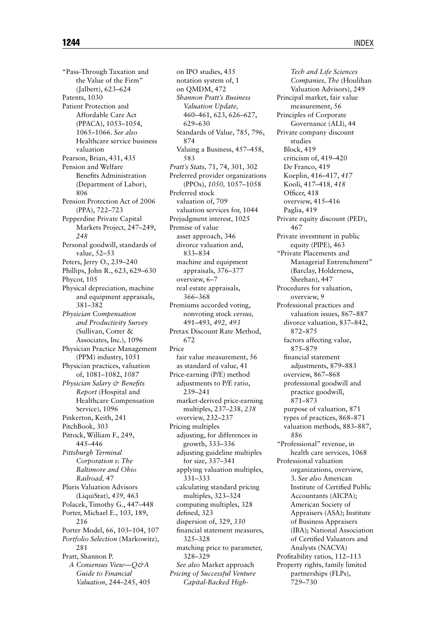"Pass-Through Taxation and the Value of the Firm" (Jalbert), 623–624 Patents, 1030 Patient Protection and Affordable Care Act (PPACA), 1053–1054, 1065–1066. *See also* Healthcare service business valuation Pearson, Brian, 431, 435 Pension and Welfare Benefits Administration (Department of Labor), 806 Pension Protection Act of 2006 (PPA), 722–723 Pepperdine Private Capital Markets Project, 247–249, *248* Personal goodwill, standards of value, 52–53 Peters, Jerry O., 239–240 Phillips, John R., 623, 629–630 Phycor, 105 Physical depreciation, machine and equipment appraisals, 381–382 *Physician Compensation and Productivity Survey* (Sullivan, Cotter & Associates, Inc.), 1096 Physician Practice Management (PPM) industry, 1051 Physician practices, valuation of, 1081–1082, *1087 Physician Salary & Benefits Report* (Hospital and Healthcare Compensation Service), 1096 Pinkerton, Keith, 241 PitchBook, 303 Pittock, William F., 249, 445–446 *Pittsburgh Terminal Corporation v. The Baltimore and Ohio Railroad,* 47 Pluris Valuation Advisors (LiquiStat), *439,* 463 Polacek, Timothy G., 447–448 Porter, Michael E., 103, 189, 216 Porter Model, 66, 103–104, 107 *Portfolio Selection* (Markowitz), 281 Pratt, Shannon P. *A Consensus View—Q&A Guide to Financial Valuation*, 244–245, 405

on IPO studies, 435 notation system of, 1 on QMDM, 472 *Shannon Pratt's Business Valuation Update,* 460–461, 623, 626–627, 629–630 Standards of Value, 785, 796, 874 Valuing a Business, 457–458, 583 *Pratt's Stats,* 71, 74, 301, 302 Preferred provider organizations (PPOs), *1050,* 1057–1058 Preferred stock valuation of, 709 valuation services for, 1044 Prejudgment interest, 1025 Premise of value asset approach, 346 divorce valuation and, 833–834 machine and equipment appraisals, 376–377 overview, 6–7 real estate appraisals, 366–368 Premiums accorded voting, nonvoting stock *versus,* 491–493, *492, 493* Pretax Discount Rate Method, 672 Price fair value measurement, 56 as standard of value, 41 Price-earning (P/E) method adjustments to P/E ratio, 239–241 market-derived price-earning multiples, 237–238, *238* overview, 232–237 Pricing multiples adjusting, for differences in growth, 333–336 adjusting guideline multiples for size, 337–341 applying valuation multiples, 331–333 calculating standard pricing multiples, 323–324 computing multiples, 328 defined, 323 dispersion of, 329, *330* financial statement measures, 325–328 matching price to parameter, 328–329 *See also* Market approach *Pricing of Successful Venture Capital-Backed High-*

*Tech and Life Sciences Companies, The* (Houlihan Valuation Advisors), 249 Principal market, fair value measurement, 56 Principles of Corporate Governance (ALI), 44 Private company discount studies Block, 419 criticism of, 419–420 De Franco, 419 Koeplin, 416–417, *417* Kooli, 417–418, *418* Officer, 418 overview, 415–416 Paglia, 419 Private equity discount (PED), 467 Private investment in public equity (PIPE), 463 "Private Placements and Managerial Entrenchment" (Barclay, Holderness, Sheehan), 447 Procedures for valuation, overview, 9 Professional practices and valuation issues, 867–887 divorce valuation, 837–842, 872–875 factors affecting value, 875–879 financial statement adjustments, 879–883 overview, 867–868 professional goodwill and practice goodwill, 871–873 purpose of valuation, 871 types of practices, 868–871 valuation methods, 883–887, *886* "Professional" revenue, in health care services, 1068 Professional valuation organizations, overview, 3. *See also* American Institute of Certified Public Accountants (AICPA); American Society of Appraisers (ASA); Institute of Business Appraisers (IBA); National Association of Certified Valuators and Analysts (NACVA) Profitability ratios, 112-113 Property rights, family limited partnerships (FLPs), 729–730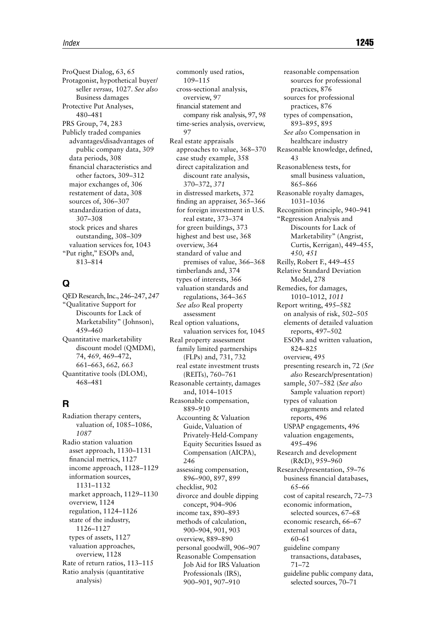ProQuest Dialog, 63, 65 Protagonist, hypothetical buyer/ seller *versus,* 1027. *See also* Business damages Protective Put Analyses, 480–481 PRS Group, 74, 283 Publicly traded companies advantages/disadvantages of public company data, 309 data periods, 308 financial characteristics and other factors, 309–312 major exchanges of, 306 restatement of data, 308 sources of, 306–307 standardization of data, 307–308 stock prices and shares outstanding, 308–309 valuation services for, 1043 "Put right," ESOPs and, 813–814

## **Q**

QED Research, Inc., 246–247, *247* "Qualitative Support for Discounts for Lack of Marketability" (Johnson), 459–460 Quantitative marketability discount model (QMDM), 74, *469,* 469–472, 661–663, *662, 663* Quantitative tools (DLOM), 468–481

## **R**

Radiation therapy centers, valuation of, 1085–1086, *1087* Radio station valuation asset approach, 1130–1131 financial metrics, 1127 income approach, 1128–1129 information sources, 1131–1132 market approach, 1129–1130 overview, 1124 regulation, 1124–1126 state of the industry, 1126–1127 types of assets, 1127 valuation approaches, overview, 1128 Rate of return ratios, 113–115 Ratio analysis (quantitative analysis)

commonly used ratios, 109–115 cross-sectional analysis, overview, 97 financial statement and company risk analysis, 97, *98* time-series analysis, overview, 97 Real estate appraisals approaches to value, 368–370 case study example, 358 direct capitalization and discount rate analysis, 370–372, *371* in distressed markets, 372 finding an appraiser, 365-366 for foreign investment in U.S. real estate, 373–374 for green buildings, 373 highest and best use, 368 overview, 364 standard of value and premises of value, 366–368 timberlands and, 374 types of interests, 366 valuation standards and regulations, 364–365 *See also* Real property assessment Real option valuations, valuation services for, 1045 Real property assessment family limited partnerships (FLPs) and, 731, 732 real estate investment trusts (REITs), 760–761 Reasonable certainty, damages and, 1014–1015 Reasonable compensation, 889–910 Accounting & Valuation Guide, Valuation of Privately-Held-Company Equity Securities Issued as Compensation (AICPA), 246 assessing compensation, 896–900, 897, 899 checklist, 902 divorce and double dipping concept, 904–906 income tax, 890–893 methods of calculation, 900–904, 901, 903 overview, 889–890 personal goodwill, 906–907 Reasonable Compensation Job Aid for IRS Valuation Professionals (IRS), 900–901, 907–910

reasonable compensation sources for professional practices, 876 sources for professional practices, 876 types of compensation, 893–895, 895 *See also* Compensation in healthcare industry Reasonable knowledge, defined, 43 Reasonableness tests, for small business valuation, 865–866 Reasonable royalty damages, 1031–1036 Recognition principle, 940–941 "Regression Analysis and Discounts for Lack of Marketability" (Angrist, Curtis, Kerrigan), 449–455, *450, 451* Reilly, Robert F., 449–455 Relative Standard Deviation Model, 278 Remedies, for damages, 1010–1012, *1011* Report writing, 495–582 on analysis of risk, 502–505 elements of detailed valuation reports, 497–502 ESOPs and written valuation, 824–825 overview, 495 presenting research in, 72 (*See also* Research/presentation) sample, 507–582 (*See also* Sample valuation report) types of valuation engagements and related reports, 496 USPAP engagements, 496 valuation engagements, 495–496 Research and development (R&D), 959–960 Research/presentation, 59–76 business financial databases, 65–66 cost of capital research, 72–73 economic information, selected sources, 67–68 economic research, 66–67 external sources of data, 60–61 guideline company transactions, databases, 71–72 guideline public company data, selected sources, 70–71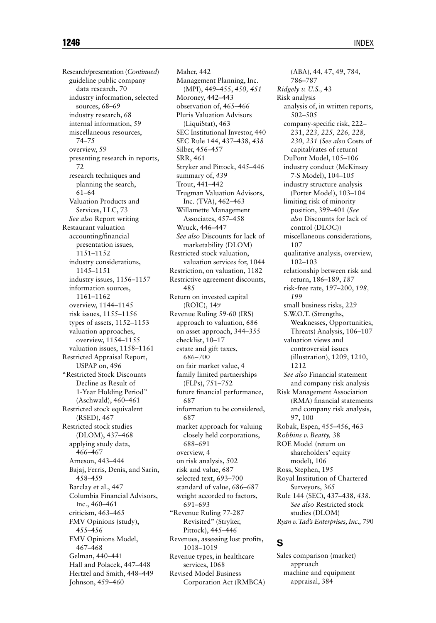guideline public company data research, 70 industry information, selected sources, 68–69 industry research, 68 internal information, 59 miscellaneous resources, 74–75 overview, 59 presenting research in reports, 72 research techniques and planning the search, 61–64 Valuation Products and Services, LLC, 73 *See also* Report writing Restaurant valuation accounting/financial presentation issues, 1151–1152 industry considerations, 1145–1151 industry issues, 1156–1157 information sources, 1161–1162 overview, 1144–1145 risk issues, 1155–1156 types of assets, 1152–1153 valuation approaches, overview, 1154–1155 valuation issues, 1158–1161 Restricted Appraisal Report, USPAP on, 496 "Restricted Stock Discounts Decline as Result of 1-Year Holding Period" (Aschwald), 460–461 Restricted stock equivalent (RSED), 467 Restricted stock studies (DLOM), 437–468 applying study data, 466–467 Arneson, 443–444 Bajaj, Ferris, Denis, and Sarin, 458–459 Barclay et al., 447 Columbia Financial Advisors, Inc., 460–461 criticism, 463–465 FMV Opinions (study), 455–456 FMV Opinions Model, 467–468 Gelman, 440–441 Hall and Polacek, 447–448 Hertzel and Smith, 448–449 Johnson, 459–460 Research/presentation (*Continued*)

Maher, 442 Management Planning, Inc. (MPI), 449–455, *450, 451* Moroney, 442–443 observation of, 465–466 Pluris Valuation Advisors (LiquiStat), 463 SEC Institutional Investor, 440 SEC Rule 144, 437–438, *438* Silber, 456–457 SRR, 461 Stryker and Pittock, 445–446 summary of, *439* Trout, 441–442 Trugman Valuation Advisors, Inc. (TVA), 462–463 Willamette Management Associates, 457–458 Wruck, 446–447 *See also* Discounts for lack of marketability (DLOM) Restricted stock valuation, valuation services for, 1044 Restriction, on valuation, 1182 Restrictive agreement discounts, 485 Return on invested capital (ROIC), 149 Revenue Ruling 59-60 (IRS) approach to valuation, 686 on asset approach, 344–355 checklist, 10–17 estate and gift taxes, 686–700 on fair market value, 4 family limited partnerships (FLPs), 751–752 future financial performance, 687 information to be considered, 687 market approach for valuing closely held corporations, 688–691 overview, 4 on risk analysis, 502 risk and value, 687 selected text, 693–700 standard of value, 686–687 weight accorded to factors, 691–693 "Revenue Ruling 77-287 Revisited" (Stryker, Pittock), 445–446 Revenues, assessing lost profits, 1018–1019 Revenue types, in healthcare services, 1068 Revised Model Business Corporation Act (RMBCA)

(ABA), 44, 47, 49, 784, 786–787 *Ridgely v. U.S.,* 43 Risk analysis analysis of, in written reports, 502–505 company-specific risk, 222-231, *223, 225, 226, 228, 230, 231* (*See also* Costs of capital/rates of return) DuPont Model, 105–106 industry conduct (McKinsey 7-S Model), 104–105 industry structure analysis (Porter Model), 103–104 limiting risk of minority position, 399–401 (*See also* Discounts for lack of control (DLOC)) miscellaneous considerations, 107 qualitative analysis, overview, 102–103 relationship between risk and return, 186–189, *187* risk-free rate, 197–200, *198, 199* small business risks, 229 S.W.O.T. (Strengths, Weaknesses, Opportunities, Threats) Analysis, 106–107 valuation views and controversial issues (illustration), 1209, 1210, 1212 *See also* Financial statement and company risk analysis Risk Management Association (RMA) financial statements and company risk analysis, 97, 100 Robak, Espen, 455–456, 463 *Robbins v. Beatty,* 38 ROE Model (return on shareholders' equity model), 106 Ross, Stephen, 195 Royal Institution of Chartered Surveyors, 365 Rule 144 (SEC), 437–438, *438*. *See also* Restricted stock studies (DLOM) *Ryan v. Tad's Enterprises, Inc.,* 790

#### **S**

Sales comparison (market) approach machine and equipment appraisal, 384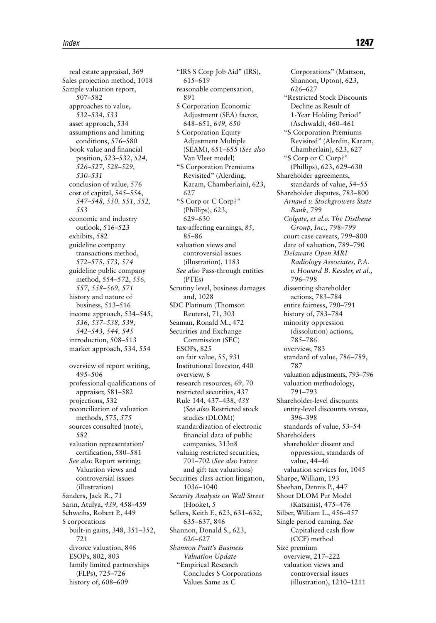real estate appraisal, 369 Sales projection method, 1018 Sample valuation report, 507–582 approaches to value, 532–534, *533* asset approach, 534 assumptions and limiting conditions, 576–580 book value and financial position, 523–532, *524, 526–527, 528–529, 530–531* conclusion of value, 576 cost of capital, 545–554, *547–548, 550, 551, 552, 553* economic and industry outlook, 516–523 exhibits, 582 guideline company transactions method, 572–575, *573, 574* guideline public company method, 554–572, *556, 557, 558–569, 571* history and nature of business, 513–516 income approach, 534–545, *536, 537–538, 539, 542–543, 544, 545* introduction, 508–513 market approach, 534, 554 overview of report writing, 495–506 professional qualifications of appraiser, 581–582 projections, 532 reconciliation of valuation methods, 575, *575* sources consulted (note), 582 valuation representation/ certification, 580-581 *See also* Report writing; Valuation views and controversial issues (illustration) Sanders, Jack R., 71 Sarin, Atulya, *439,* 458–459 Schweihs, Robert P., 449 S corporations built-in gains, 348, 351–352, 721 divorce valuation, 846 ESOPs, 802, 803 family limited partnerships (FLPs), 725–726 history of, 608–609

"IRS S Corp Job Aid" (IRS), 615–619 reasonable compensation, 891 S Corporation Economic Adjustment (SEA) factor, 648–651, *649, 650* S Corporation Equity Adjustment Multiple (SEAM), 651–655 (*See also* Van Vleet model) "S Corporation Premiums Revisited" (Alerding, Karam, Chamberlain), 623, 627 "S Corp or C Corp?" (Phillips), 623, 629–630 tax-affecting earnings, *85,* 85–86 valuation views and controversial issues (illustration), 1183 *See also* Pass-through entities (PTEs) Scrutiny level, business damages and, 1028 SDC Platinum (Thomson Reuters), 71, 303 Seaman, Ronald M., 472 Securities and Exchange Commission (SEC) ESOPs, 825 on fair value, 55, 931 Institutional Investor, 440 overview, 6 research resources, 69, 70 restricted securities, 437 Rule 144, 437–438, *438* (*See also* Restricted stock studies (DLOM)) standardization of electronic financial data of public companies, 313n8 valuing restricted securities, 701–702 (*See also* Estate and gift tax valuations) Securities class action litigation, 1036–1040 *Security Analysis on Wall Street* (Hooke), 5 Sellers, Keith F., 623, 631–632, 635–637, 846 Shannon, Donald S., 623, 626–627 *Shannon Pratt's Business Valuation Update* "Empirical Research Concludes S Corporations Values Same as C

Corporations" (Mattson, Shannon, Upton), 623, 626–627 "Restricted Stock Discounts Decline as Result of 1-Year Holding Period" (Aschwald), 460–461 "S Corporation Premiums Revisited" (Alerdin, Karam, Chamberlain), 623, 627 "S Corp or C Corp?" (Phillips), 623, 629–630 Shareholder agreements, standards of value, 54–55 Shareholder disputes, 783–800 *Arnaud v. Stockgrowers State Bank,* 799 *Colgate, et al.v. The Disthene Group, Inc.,* 798–799 court case caveats, 799–800 date of valuation, 789–790 *Delaware Open MRI Radiology Associates, P.A. v. Howard B. Kessler, et al.,* 796–798 dissenting shareholder actions, 783–784 entire fairness, 790–791 history of, 783–784 minority oppression (dissolution) actions, 785–786 overview, 783 standard of value, 786–789, 787 valuation adjustments, 793–796 valuation methodology, 791–793 Shareholder-level discounts entity-level discounts *versus,* 396–398 standards of value, 53–54 Shareholders shareholder dissent and oppression, standards of value, 44–46 valuation services for, 1045 Sharpe, William, 193 Sheehan, Dennis P., 447 Shout DLOM Put Model (Katsanis), 475–476 Silber, William L., 456–457 Single period earning. *See* Capitalized cash flow (CCF) method Size premium overview, 217–222 valuation views and controversial issues (illustration), 1210–1211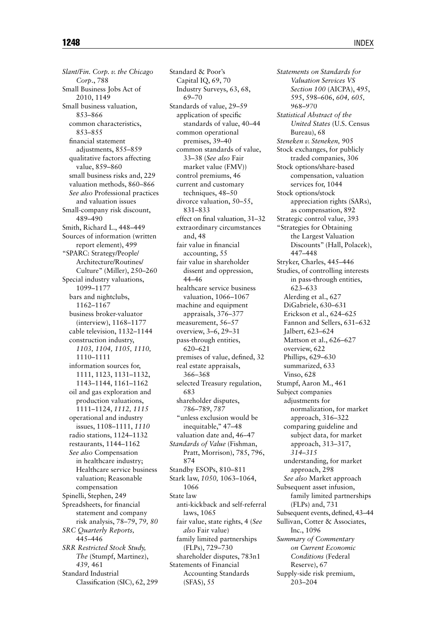*Slant/Fin. Corp. v. the Chicago Corp*., 788 Small Business Jobs Act of 2010, 1149 Small business valuation, 853–866 common characteristics, 853–855 financial statement adjustments, 855–859 qualitative factors affecting value, 859–860 small business risks and, 229 valuation methods, 860–866 *See also* Professional practices and valuation issues Small-company risk discount, 489–490 Smith, Richard L., 448–449 Sources of information (written report element), 499 "SPARC: Strategy/People/ Architecture/Routines/ Culture" (Miller), 250–260 Special industry valuations, 1099–1177 bars and nightclubs, 1162–1167 business broker-valuator (interview), 1168–1177 cable television, 1132–1144 construction industry, *1103, 1104, 1105, 1110,* 1110–1111 information sources for, 1111, 1123, 1131–1132, 1143–1144, 1161–1162 oil and gas exploration and production valuations, 1111–1124, *1112, 1115* operational and industry issues, 1108–1111, *1110* radio stations, 1124–1132 restaurants, 1144–1162 *See also* Compensation in healthcare industry; Healthcare service business valuation; Reasonable compensation Spinelli, Stephen, 249 Spreadsheets, for financial statement and company risk analysis, 78–79, *79, 80 SRC Quarterly Reports,* 445–446 *SRR Restricted Stock Study, The* (Stumpf, Martinez), *439,* 461 Standard Industrial Classification (SIC), 62, 299

Standard & Poor's Capital IQ, 69, 70 Industry Surveys, 63, 68, 69–70 Standards of value, 29–59 application of specific standards of value, 40–44 common operational premises, 39–40 common standards of value, 33–38 (*See also* Fair market value (FMV)) control premiums, 46 current and customary techniques, 48–50 divorce valuation, 50–55, 831–833 effect on final valuation, 31-32 extraordinary circumstances and, 48 fair value in financial accounting, 55 fair value in shareholder dissent and oppression, 44–46 healthcare service business valuation, 1066–1067 machine and equipment appraisals, 376–377 measurement, 56–57 overview, 3–6, 29–31 pass-through entities, 620–621 premises of value, defined, 32 real estate appraisals, 366–368 selected Treasury regulation, 683 shareholder disputes, 786–789, *787* "unless exclusion would be inequitable," 47–48 valuation date and, 46–47 *Standards of Value* (Fishman, Pratt, Morrison), 785, 796, 874 Standby ESOPs, 810–811 Stark law, *1050,* 1063–1064, 1066 State law anti-kickback and self-referral laws, 1065 fair value, state rights, 4 (*See also* Fair value) family limited partnerships (FLPs), 729–730 shareholder disputes, 783n1 Statements of Financial Accounting Standards (SFAS), 55

*Statements on Standards for Valuation Services VS Section 100* (AICPA), 495, 595, 598–606, *604, 605,* 968–970 *Statistical Abstract of the United States* (U.S. Census Bureau), 68 *Steneken v. Steneken,* 905 Stock exchanges, for publicly traded companies, 306 Stock options/share-based compensation, valuation services for, 1044 Stock options/stock appreciation rights (SARs), as compensation, 892 Strategic control value, 393 "Strategies for Obtaining the Largest Valuation Discounts" (Hall, Polacek), 447–448 Stryker, Charles, 445–446 Studies, of controlling interests in pass-through entities, 623–633 Alerding et al., 627 DiGabriele, 630–631 Erickson et al., 624–625 Fannon and Sellers, 631–632 Jalbert, 623–624 Mattson et al., 626–627 overview, 622 Phillips, 629–630 summarized, 633 Vinso, 628 Stumpf, Aaron M., 461 Subject companies adjustments for normalization, for market approach, 316–322 comparing guideline and subject data, for market approach, 313–317, *314–315* understanding, for market approach, 298 *See also* Market approach Subsequent asset infusion, family limited partnerships (FLPs) and, 731 Subsequent events, defined, 43-44 Sullivan, Cotter & Associates, Inc., 1096 *Summary of Commentary on Current Economic Conditions* (Federal Reserve), 67 Supply-side risk premium, 203–204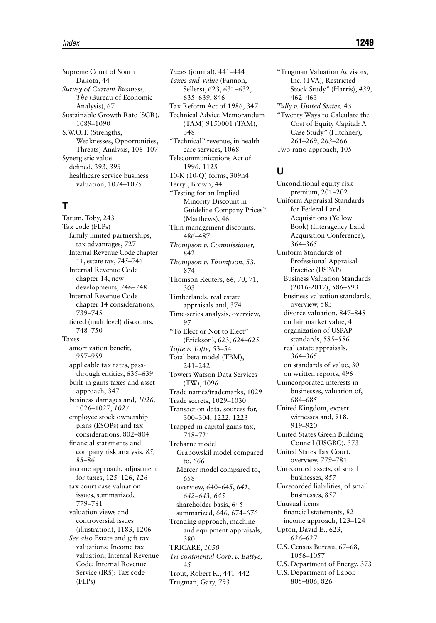Supreme Court of South Dakota, 44 *Survey of Current Business, The* (Bureau of Economic Analysis), 67 Sustainable Growth Rate (SGR), 1089–1090 S.W.O.T. (Strengths, Weaknesses, Opportunities, Threats) Analysis, 106–107 Synergistic value defined, 393, 393 healthcare service business valuation, 1074–1075

## **T**

Tatum, Toby, 243 Tax code (FLPs) family limited partnerships, tax advantages, 727 Internal Revenue Code chapter 11, estate tax, 745–746 Internal Revenue Code chapter 14, new developments, 746–748 Internal Revenue Code chapter 14 considerations, 739–745 tiered (multilevel) discounts, 748–750 Taxes amortization benefit, 957–959 applicable tax rates, passthrough entities, 635–639 built-in gains taxes and asset approach, 347 business damages and, *1026,* 1026–1027, *1027* employee stock ownership plans (ESOPs) and tax considerations, 802–804 financial statements and company risk analysis, *85,* 85–86 income approach, adjustment for taxes, 125–126, *126* tax court case valuation issues, summarized, 779–781 valuation views and controversial issues (illustration), 1183, 1206 *See also* Estate and gift tax valuations; Income tax valuation; Internal Revenue Code; Internal Revenue Service (IRS); Tax code (FLPs)

*Taxes* (journal), 441–444 *Taxes and Value* (Fannon, Sellers), 623, 631–632, 635–639, 846 Tax Reform Act of 1986, 347 Technical Advice Memorandum (TAM) 9150001 (TAM), 348 "Technical" revenue, in health care services, 1068 Telecommunications Act of 1996, 1125 10-K (10-Q) forms, 309n4 Terry , Brown, 44 "Testing for an Implied Minority Discount in Guideline Company Prices" (Matthews), 46 Thin management discounts, 486–487 *Thompson v. Commissioner,* 842 *Thompson v. Thompson,* 53, 874 Thomson Reuters, 66, 70, 71, 303 Timberlands, real estate appraisals and, 374 Time-series analysis, overview, 97 "To Elect or Not to Elect" (Erickson), 623, 624–625 *Tofte v. Tofte,* 53–54 Total beta model (TBM), 241–242 Towers Watson Data Services (TW), 1096 Trade names/trademarks, 1029 Trade secrets, 1029–1030 Transaction data, sources for, 300–304, 1222, 1223 Trapped-in capital gains tax, 718–721 Treharne model Grabowskil model compared to, 666 Mercer model compared to, 658 overview, 640–645, *641, 642–643, 645* shareholder basis, 645 summarized, 646, 674–676 Trending approach, machine and equipment appraisals, 380 TRICARE, *1050 Tri-continental Corp. v. Battye,* 45 Trout, Robert R., 441–442 Trugman, Gary, 793

"Trugman Valuation Advisors, Inc. (TVA), Restricted Stock Study" (Harris), *439,* 462–463 *Tully v. United States,* 43 "Twenty Ways to Calculate the Cost of Equity Capital: A Case Study" (Hitchner), 261–269, *263–266* Two-ratio approach, 105

## **U**

Unconditional equity risk premium, 201–202 Uniform Appraisal Standards for Federal Land Acquisitions (Yellow Book) (Interagency Land Acquisition Conference), 364–365 Uniform Standards of Professional Appraisal Practice (USPAP) Business Valuation Standards (2016-2017), 586–593 business valuation standards, overview, 583 divorce valuation, 847–848 on fair market value, 4 organization of USPAP standards, 585–586 real estate appraisals, 364–365 on standards of value, 30 on written reports, 496 Unincorporated interests in businesses, valuation of, 684–685 United Kingdom, expert witnesses and, 918, 919–920 United States Green Building Council (USGBC), 373 United States Tax Court, overview, 779–781 Unrecorded assets, of small businesses, 857 Unrecorded liabilities, of small businesses, 857 Unusual items financial statements, 82 income approach, 123–124 Upton, David E., 623, 626–627 U.S. Census Bureau, 67–68, 1056–1057 U.S. Department of Energy, 373 U.S. Department of Labor, 805–806, 826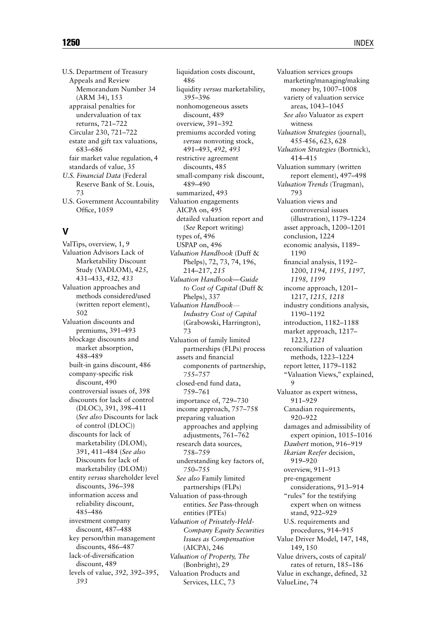U.S. Department of Treasury Appeals and Review Memorandum Number 34 (ARM 34), 153 appraisal penalties for undervaluation of tax returns, 721–722 Circular 230, 721–722 estate and gift tax valuations, 683–686 fair market value regulation, 4 standards of value, 35 *U.S. Financial Data* (Federal Reserve Bank of St. Louis, 73 U.S. Government Accountability Office, 1059

## **V**

ValTips, overview, 1, 9 Valuation Advisors Lack of Marketability Discount Study (VADLOM), *425,* 431–433, *432, 433* Valuation approaches and methods considered/used (written report element), 502 Valuation discounts and premiums, 391–493 blockage discounts and market absorption, 488–489 built-in gains discount, 486 company-specific risk discount, 490 controversial issues of, 398 discounts for lack of control (DLOC), 391, 398–411 (*See also* Discounts for lack of control (DLOC)) discounts for lack of marketability (DLOM), 391, 411–484 (*See also* Discounts for lack of marketability (DLOM)) entity *versus* shareholder level discounts, 396–398 information access and reliability discount, 485–486 investment company discount, 487–488 key person/thin management discounts, 486–487 lack-of-diversification discount, 489 levels of value, *392,* 392–395, *393*

liquidation costs discount, 486 liquidity *versus* marketability, 395–396 nonhomogeneous assets discount, 489 overview, 391–392 premiums accorded voting *versus* nonvoting stock, 491–493, *492, 493* restrictive agreement discounts, 485 small-company risk discount, 489–490 summarized, 493 Valuation engagements AICPA on, 495 detailed valuation report and (*See* Report writing) types of, 496 USPAP on, 496 *Valuation Handbook* (Duff & Phelps), 72, 73, 74, 196, 214–217, *215 Valuation Handbook*—*Guide to Cost of Capital* (Duff & Phelps), 337 *Valuation Handbook*— *Industry Cost of Capital* (Grabowski, Harrington), 73 Valuation of family limited partnerships (FLPs) process assets and financial components of partnership, 755–757 closed-end fund data, 759–761 importance of, 729–730 income approach, 757–758 preparing valuation approaches and applying adjustments, 761–762 research data sources, 758–759 understanding key factors of, 750–755 *See also* Family limited partnerships (FLPs) Valuation of pass-through entities. *See* Pass-through entities (PTEs) *Valuation of Privately-Held-Company Equity Securities Issues as Compensation* (AICPA), 246 *Valuation of Property, The* (Bonbright), 29 Valuation Products and Services, LLC, 73

Valuation services groups marketing/managing/making money by, 1007–1008 variety of valuation service areas, 1043–1045 *See also* Valuator as expert witness *Valuation Strategies* (journal), 455-456, 623, 628 *Valuation Strategies* (Bortnick), 414–415 Valuation summary (written report element), 497–498 *Valuation Trends* (Trugman), 793 Valuation views and controversial issues (illustration), 1179–1224 asset approach, 1200–1201 conclusion, 1224 economic analysis, 1189– 1190 financial analysis, 1192-1200, *1194, 1195, 1197, 1198, 1199* income approach, 1201– 1217, *1215, 1218* industry conditions analysis, 1190–1192 introduction, 1182–1188 market approach, 1217– 1223, *1221* reconciliation of valuation methods, 1223–1224 report letter, 1179–1182 "Valuation Views," explained, 9 Valuator as expert witness, 911–929 Canadian requirements, 920–922 damages and admissibility of expert opinion, 1015–1016 *Daubert* motion, 916–919 *Ikarian Reefer* decision, 919–920 overview, 911–913 pre-engagement considerations, 913–914 "rules" for the testifying expert when on witness stand, 922–929 U.S. requirements and procedures, 914–915 Value Driver Model, 147, 148, 149, 150 Value drivers, costs of capital/ rates of return, 185–186 Value in exchange, defined, 32 ValueLine, 74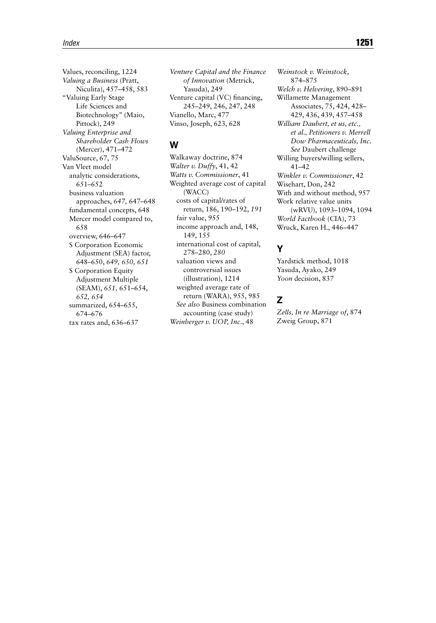Values, reconciling, 1224 *Valuing a Business* (Pratt, Niculita), 457–458, 583 "Valuing Early Stage Life Sciences and Biotechnology" (Maio, Pittock), 249 *Valuing Enterprise and Shareholder Cash Flows* (Mercer), 471–472 ValuSource, 67, 75 Van Vleet model analytic considerations, 651–652 business valuation approaches, *647,* 647–648 fundamental concepts, 648 Mercer model compared to, 658 overview, 646–647 S Corporation Economic Adjustment (SEA) factor, 648–650, *649, 650, 651* S Corporation Equity Adjustment Multiple (SEAM), *651,* 651–654, *652, 654* summarized, 654–655, 674–676 tax rates and, 636–637

*Venture Capital and the Finance of Innovation* (Metrick, Yasuda), 249 Venture capital (VC) financing, 245–249, 246, 247, 248 Vianello, Marc, 477 Vinso, Joseph, 623, 628

#### **W**

Walkaway doctrine, 874 *Walter v. Duffy*, 41, 42 *Watts v. Commissioner*, 41 Weighted average cost of capital (WACC) costs of capital/rates of return, 186, 190–192, *191* fair value, 955 income approach and, 148, 149, 155 international cost of capital, 278–280, *280* valuation views and controversial issues (illustration), 1214 weighted average rate of return (WARA), 955, 985 *See also* Business combination accounting (case study) *Weinberger v. UOP, Inc*., 48

*Weinstock v. Weinstock*, 874–875 *Welch v. Helvering*, 890–891 Willamette Management Associates, 75, 424, 428– 429, 436, 439, 457–458 *William Daubert, et us, etc., et al., Petitioners v. Merrell Dow Pharmaceuticals, Inc. See* Daubert challenge Willing buyers/willing sellers, 41–42 *Winkler v. Commissioner*, 42 Wisehart, Don, 242 With and without method, 957 Work relative value units (wRVU), 1093–1094, 1094 *World Factbook* (CIA), 73 Wruck, Karen H., 446–447

## **Y**

Yardstick method, 1018 Yasuda, Ayako, 249 *Yoon* decision, 837

## **Z**

*Zells, In re Marriage of*, 874 Zweig Group, 871